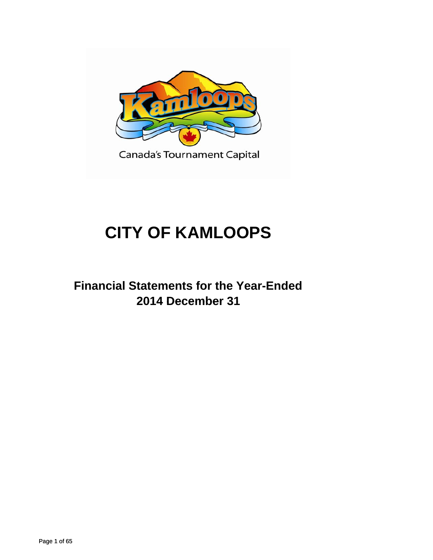

# **CITY OF KAMLOOPS**

# **Financial Statements for the Year-Ended 2014 December 31 2014 December**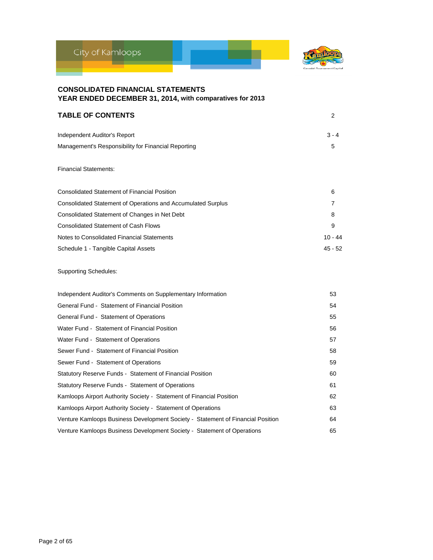

| <b>TABLE OF CONTENTS</b>                            |         |
|-----------------------------------------------------|---------|
| Independent Auditor's Report                        | $3 - 4$ |
| Management's Responsibility for Financial Reporting | 5       |

### Financial Statements:

| <b>Consolidated Statement of Financial Position</b>          | 6         |
|--------------------------------------------------------------|-----------|
| Consolidated Statement of Operations and Accumulated Surplus | 7         |
| Consolidated Statement of Changes in Net Debt                | 8         |
| <b>Consolidated Statement of Cash Flows</b>                  | 9         |
| Notes to Consolidated Financial Statements                   | $10 - 44$ |
| Schedule 1 - Tangible Capital Assets                         | 45 - 52   |

### Supporting Schedules:

| Independent Auditor's Comments on Supplementary Information                     | 53 |
|---------------------------------------------------------------------------------|----|
| General Fund - Statement of Financial Position                                  | 54 |
| General Fund - Statement of Operations                                          | 55 |
| Water Fund - Statement of Financial Position                                    | 56 |
| Water Fund - Statement of Operations                                            | 57 |
| Sewer Fund - Statement of Financial Position                                    | 58 |
| Sewer Fund - Statement of Operations                                            | 59 |
| Statutory Reserve Funds - Statement of Financial Position                       | 60 |
| Statutory Reserve Funds - Statement of Operations                               | 61 |
| Kamloops Airport Authority Society - Statement of Financial Position            | 62 |
| Kamloops Airport Authority Society - Statement of Operations                    | 63 |
| Venture Kamloops Business Development Society - Statement of Financial Position | 64 |
| Venture Kamloops Business Development Society - Statement of Operations         | 65 |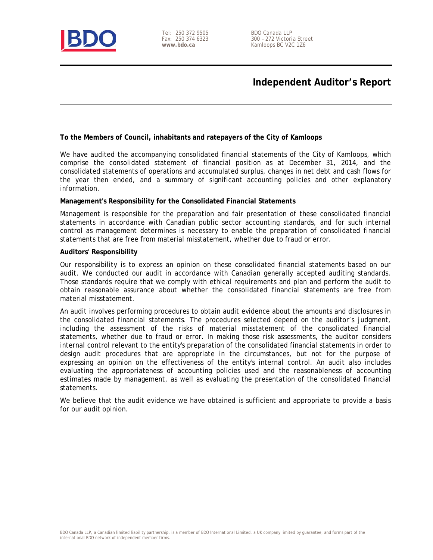

Tel: 250 372 9505 Fax: 250 374 6323 **www.bdo.ca** 

# **Independent Auditor's Report**

### **To the Members of Council, inhabitants and ratepayers of the City of Kamloops**

We have audited the accompanying consolidated financial statements of the City of Kamloops, which comprise the consolidated statement of financial position as at December 31, 2014, and the consolidated statements of operations and accumulated surplus, changes in net debt and cash flows for the year then ended, and a summary of significant accounting policies and other explanatory information.

### **Management's Responsibility for the Consolidated Financial Statements**

Management is responsible for the preparation and fair presentation of these consolidated financial statements in accordance with Canadian public sector accounting standards, and for such internal control as management determines is necessary to enable the preparation of consolidated financial statements that are free from material misstatement, whether due to fraud or error.

### **Auditors' Responsibility**

Our responsibility is to express an opinion on these consolidated financial statements based on our audit. We conducted our audit in accordance with Canadian generally accepted auditing standards. Those standards require that we comply with ethical requirements and plan and perform the audit to obtain reasonable assurance about whether the consolidated financial statements are free from material misstatement.

An audit involves performing procedures to obtain audit evidence about the amounts and disclosures in the consolidated financial statements. The procedures selected depend on the auditor's judgment, including the assessment of the risks of material misstatement of the consolidated financial statements, whether due to fraud or error. In making those risk assessments, the auditor considers internal control relevant to the entity's preparation of the consolidated financial statements in order to design audit procedures that are appropriate in the circumstances, but not for the purpose of expressing an opinion on the effectiveness of the entity's internal control. An audit also includes evaluating the appropriateness of accounting policies used and the reasonableness of accounting estimates made by management, as well as evaluating the presentation of the consolidated financial statements.

We believe that the audit evidence we have obtained is sufficient and appropriate to provide a basis for our audit opinion.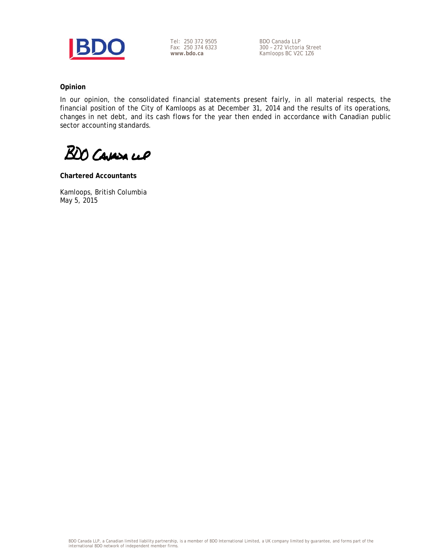

Tel: 250 372 9505 Fax: 250 374 6323 **www.bdo.ca** 

BDO Canada LLP 300 – 272 Victoria Street Kamloops BC V2C 1Z6

### **Opinion**

In our opinion, the consolidated financial statements present fairly, in all material respects, the financial position of the City of Kamloops as at December 31, 2014 and the results of its operations, changes in net debt, and its cash flows for the year then ended in accordance with Canadian public sector accounting standards.

BDO Cavasa cep

**Chartered Accountants** 

Kamloops, British Columbia May 5, 2015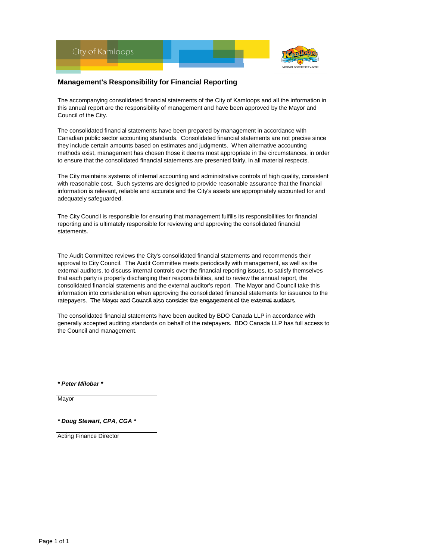

### **Management's Responsibility for Financial Reporting**

The accompanying consolidated financial statements of the City of Kamloops and all the information in this annual report are the responsibility of management and have been approved by the Mayor and Council of the City.

The consolidated financial statements have been prepared by management in accordance with Canadian public sector accounting standards. Consolidated financial statements are not precise since they include certain amounts based on estimates and judgments. When alternative accounting methods exist, management has chosen those it deems most appropriate in the circumstances, in order to ensure that the consolidated financial statements are presented fairly, in all material respects.

The City maintains systems of internal accounting and administrative controls of high quality, consistent with reasonable cost. Such systems are designed to provide reasonable assurance that the financial information is relevant, reliable and accurate and the City's assets are appropriately accounted for and adequately safeguarded.

The City Council is responsible for ensuring that management fulfills its responsibilities for financial reporting and is ultimately responsible for reviewing and approving the consolidated financial statements.

The Audit Committee reviews the City's consolidated financial statements and recommends their approval to City Council. The Audit Committee meets periodically with management, as well as the external auditors, to discuss internal controls over the financial reporting issues, to satisfy themselves that each party is properly discharging their responsibilities, and to review the annual report, the consolidated financial statements and the external auditor's report. The Mayor and Council take this information into consideration when approving the consolidated financial statements for issuance to the ratepayers. The Mayor and Council also consider the engagement of the external auditors.

The consolidated financial statements have been audited by BDO Canada LLP in accordance with generally accepted auditing standards on behalf of the ratepayers. BDO Canada LLP has full access to the Council and management.

*\* Peter Milobar \**

Mayor

*\* Doug Stewart, CPA, CGA \**

Acting Finance Director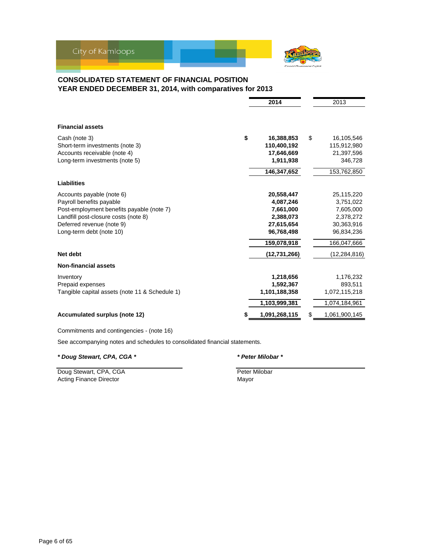

### **CONSOLIDATED STATEMENT OF FINANCIAL POSITION YEAR ENDED DECEMBER 31, 2014, with comparatives for 2013**

|                                                | 2014             |    | 2013           |
|------------------------------------------------|------------------|----|----------------|
| <b>Financial assets</b>                        |                  |    |                |
| Cash (note 3)                                  | \$<br>16,388,853 | \$ | 16,105,546     |
| Short-term investments (note 3)                | 110,400,192      |    | 115,912,980    |
| Accounts receivable (note 4)                   | 17,646,669       |    | 21,397,596     |
| Long-term investments (note 5)                 | 1,911,938        |    | 346,728        |
|                                                | 146,347,652      |    | 153,762,850    |
| <b>Liabilities</b>                             |                  |    |                |
| Accounts payable (note 6)                      | 20,558,447       |    | 25,115,220     |
| Payroll benefits payable                       | 4,087,246        |    | 3,751,022      |
| Post-employment benefits payable (note 7)      | 7,661,000        |    | 7,605,000      |
| Landfill post-closure costs (note 8)           | 2,388,073        |    | 2,378,272      |
| Deferred revenue (note 9)                      | 27,615,654       |    | 30,363,916     |
| Long-term debt (note 10)                       | 96,768,498       |    | 96,834,236     |
|                                                | 159,078,918      |    | 166,047,666    |
| Net debt                                       | (12,731,266)     |    | (12, 284, 816) |
| <b>Non-financial assets</b>                    |                  |    |                |
| Inventory                                      | 1,218,656        |    | 1,176,232      |
| Prepaid expenses                               | 1,592,367        |    | 893,511        |
| Tangible capital assets (note 11 & Schedule 1) | 1,101,188,358    |    | 1,072,115,218  |
|                                                | 1,103,999,381    |    | 1,074,184,961  |
| <b>Accumulated surplus (note 12)</b>           | 1,091,268,115    | S  | 1,061,900,145  |

Commitments and contingencies - (note 16)

See accompanying notes and schedules to consolidated financial statements.

*\* Doug Stewart, CPA, CGA \* \* Peter Milobar \**

Doug Stewart, CPA, CGA **Peter Milobar** Peter Milobar Acting Finance Director **Mayor** Mayor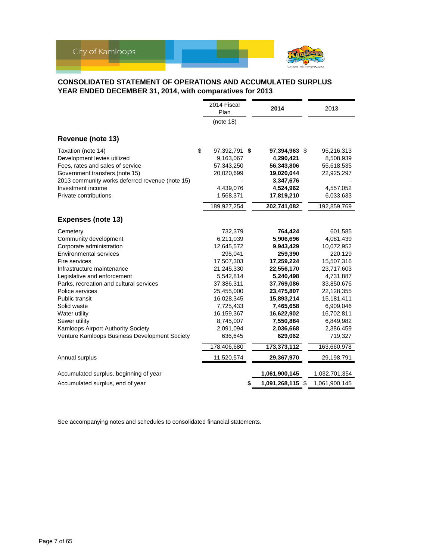

### **CONSOLIDATED STATEMENT OF OPERATIONS AND ACCUMULATED SURPLUS YEAR ENDED DECEMBER 31, 2014, with comparatives for 2013**

| (note 18)<br>\$<br>Taxation (note 14)<br>97,392,791 \$<br>95,216,313<br>97,394,963 \$<br>Development levies utilized<br>9,163,067<br>4,290,421<br>8,508,939<br>Fees, rates and sales of service<br>57,343,250<br>56,343,806<br>55,618,535<br>Government transfers (note 15)<br>20,020,699<br>19,020,044<br>22,925,297<br>2013 community works deferred revenue (note 15)<br>3,347,676<br>Investment income<br>4,439,076<br>4,524,962<br>4,557,052<br>17,819,210<br>Private contributions<br>1,568,371<br>6,033,633<br>189,927,254<br>202,741,082<br>192,859,769<br><b>Expenses (note 13)</b><br>732,379<br>764,424<br>601,585<br>6,211,039<br>Community development<br>5,906,696<br>4,081,439<br>Corporate administration<br>12,645,572<br>9,943,429<br>10,072,952<br>259,390<br><b>Environmental services</b><br>295,041<br>220,129<br>17,507,303<br>15,507,316<br>Fire services<br>17,259,224<br>22,556,170<br>23,717,603<br>Infrastructure maintenance<br>21,245,330<br>Legislative and enforcement<br>5,542,814<br>5,240,498<br>4,731,887<br>Parks, recreation and cultural services<br>37,386,311<br>37,769,086<br>33,850,676<br>Police services<br>25,455,000<br>23,475,807<br>22,128,355<br><b>Public transit</b><br>16,028,345<br>15,893,214<br>15,181,411<br>7,725,433<br>7,465,658<br>Solid waste<br>6,909,046<br>16,159,367<br>16,622,902<br>16,702,811<br>Sewer utility<br>8,745,007<br>7,550,884<br>6,849,982<br>Kamloops Airport Authority Society<br>2,091,094<br>2,036,668<br>2,386,459<br>Venture Kamloops Business Development Society<br>636,645<br>629,062<br>719,327<br>173,373,112<br>178,406,680<br>163,660,978<br>11,520,574<br>29,367,970<br>29,198,791<br>1,061,900,145<br>1,032,701,354<br>1,091,268,115 \$<br>1,061,900,145<br>\$ |                                        | 2014 Fiscal<br>Plan |  | 2014 | 2013 |
|---------------------------------------------------------------------------------------------------------------------------------------------------------------------------------------------------------------------------------------------------------------------------------------------------------------------------------------------------------------------------------------------------------------------------------------------------------------------------------------------------------------------------------------------------------------------------------------------------------------------------------------------------------------------------------------------------------------------------------------------------------------------------------------------------------------------------------------------------------------------------------------------------------------------------------------------------------------------------------------------------------------------------------------------------------------------------------------------------------------------------------------------------------------------------------------------------------------------------------------------------------------------------------------------------------------------------------------------------------------------------------------------------------------------------------------------------------------------------------------------------------------------------------------------------------------------------------------------------------------------------------------------------------------------------------------------------------------------------------------------------------------|----------------------------------------|---------------------|--|------|------|
|                                                                                                                                                                                                                                                                                                                                                                                                                                                                                                                                                                                                                                                                                                                                                                                                                                                                                                                                                                                                                                                                                                                                                                                                                                                                                                                                                                                                                                                                                                                                                                                                                                                                                                                                                               |                                        |                     |  |      |      |
|                                                                                                                                                                                                                                                                                                                                                                                                                                                                                                                                                                                                                                                                                                                                                                                                                                                                                                                                                                                                                                                                                                                                                                                                                                                                                                                                                                                                                                                                                                                                                                                                                                                                                                                                                               | Revenue (note 13)                      |                     |  |      |      |
|                                                                                                                                                                                                                                                                                                                                                                                                                                                                                                                                                                                                                                                                                                                                                                                                                                                                                                                                                                                                                                                                                                                                                                                                                                                                                                                                                                                                                                                                                                                                                                                                                                                                                                                                                               |                                        |                     |  |      |      |
|                                                                                                                                                                                                                                                                                                                                                                                                                                                                                                                                                                                                                                                                                                                                                                                                                                                                                                                                                                                                                                                                                                                                                                                                                                                                                                                                                                                                                                                                                                                                                                                                                                                                                                                                                               |                                        |                     |  |      |      |
|                                                                                                                                                                                                                                                                                                                                                                                                                                                                                                                                                                                                                                                                                                                                                                                                                                                                                                                                                                                                                                                                                                                                                                                                                                                                                                                                                                                                                                                                                                                                                                                                                                                                                                                                                               |                                        |                     |  |      |      |
|                                                                                                                                                                                                                                                                                                                                                                                                                                                                                                                                                                                                                                                                                                                                                                                                                                                                                                                                                                                                                                                                                                                                                                                                                                                                                                                                                                                                                                                                                                                                                                                                                                                                                                                                                               |                                        |                     |  |      |      |
|                                                                                                                                                                                                                                                                                                                                                                                                                                                                                                                                                                                                                                                                                                                                                                                                                                                                                                                                                                                                                                                                                                                                                                                                                                                                                                                                                                                                                                                                                                                                                                                                                                                                                                                                                               |                                        |                     |  |      |      |
|                                                                                                                                                                                                                                                                                                                                                                                                                                                                                                                                                                                                                                                                                                                                                                                                                                                                                                                                                                                                                                                                                                                                                                                                                                                                                                                                                                                                                                                                                                                                                                                                                                                                                                                                                               |                                        |                     |  |      |      |
|                                                                                                                                                                                                                                                                                                                                                                                                                                                                                                                                                                                                                                                                                                                                                                                                                                                                                                                                                                                                                                                                                                                                                                                                                                                                                                                                                                                                                                                                                                                                                                                                                                                                                                                                                               |                                        |                     |  |      |      |
|                                                                                                                                                                                                                                                                                                                                                                                                                                                                                                                                                                                                                                                                                                                                                                                                                                                                                                                                                                                                                                                                                                                                                                                                                                                                                                                                                                                                                                                                                                                                                                                                                                                                                                                                                               |                                        |                     |  |      |      |
|                                                                                                                                                                                                                                                                                                                                                                                                                                                                                                                                                                                                                                                                                                                                                                                                                                                                                                                                                                                                                                                                                                                                                                                                                                                                                                                                                                                                                                                                                                                                                                                                                                                                                                                                                               |                                        |                     |  |      |      |
|                                                                                                                                                                                                                                                                                                                                                                                                                                                                                                                                                                                                                                                                                                                                                                                                                                                                                                                                                                                                                                                                                                                                                                                                                                                                                                                                                                                                                                                                                                                                                                                                                                                                                                                                                               | Cemetery                               |                     |  |      |      |
|                                                                                                                                                                                                                                                                                                                                                                                                                                                                                                                                                                                                                                                                                                                                                                                                                                                                                                                                                                                                                                                                                                                                                                                                                                                                                                                                                                                                                                                                                                                                                                                                                                                                                                                                                               |                                        |                     |  |      |      |
|                                                                                                                                                                                                                                                                                                                                                                                                                                                                                                                                                                                                                                                                                                                                                                                                                                                                                                                                                                                                                                                                                                                                                                                                                                                                                                                                                                                                                                                                                                                                                                                                                                                                                                                                                               |                                        |                     |  |      |      |
|                                                                                                                                                                                                                                                                                                                                                                                                                                                                                                                                                                                                                                                                                                                                                                                                                                                                                                                                                                                                                                                                                                                                                                                                                                                                                                                                                                                                                                                                                                                                                                                                                                                                                                                                                               |                                        |                     |  |      |      |
|                                                                                                                                                                                                                                                                                                                                                                                                                                                                                                                                                                                                                                                                                                                                                                                                                                                                                                                                                                                                                                                                                                                                                                                                                                                                                                                                                                                                                                                                                                                                                                                                                                                                                                                                                               |                                        |                     |  |      |      |
|                                                                                                                                                                                                                                                                                                                                                                                                                                                                                                                                                                                                                                                                                                                                                                                                                                                                                                                                                                                                                                                                                                                                                                                                                                                                                                                                                                                                                                                                                                                                                                                                                                                                                                                                                               |                                        |                     |  |      |      |
|                                                                                                                                                                                                                                                                                                                                                                                                                                                                                                                                                                                                                                                                                                                                                                                                                                                                                                                                                                                                                                                                                                                                                                                                                                                                                                                                                                                                                                                                                                                                                                                                                                                                                                                                                               |                                        |                     |  |      |      |
|                                                                                                                                                                                                                                                                                                                                                                                                                                                                                                                                                                                                                                                                                                                                                                                                                                                                                                                                                                                                                                                                                                                                                                                                                                                                                                                                                                                                                                                                                                                                                                                                                                                                                                                                                               |                                        |                     |  |      |      |
|                                                                                                                                                                                                                                                                                                                                                                                                                                                                                                                                                                                                                                                                                                                                                                                                                                                                                                                                                                                                                                                                                                                                                                                                                                                                                                                                                                                                                                                                                                                                                                                                                                                                                                                                                               |                                        |                     |  |      |      |
|                                                                                                                                                                                                                                                                                                                                                                                                                                                                                                                                                                                                                                                                                                                                                                                                                                                                                                                                                                                                                                                                                                                                                                                                                                                                                                                                                                                                                                                                                                                                                                                                                                                                                                                                                               |                                        |                     |  |      |      |
|                                                                                                                                                                                                                                                                                                                                                                                                                                                                                                                                                                                                                                                                                                                                                                                                                                                                                                                                                                                                                                                                                                                                                                                                                                                                                                                                                                                                                                                                                                                                                                                                                                                                                                                                                               |                                        |                     |  |      |      |
|                                                                                                                                                                                                                                                                                                                                                                                                                                                                                                                                                                                                                                                                                                                                                                                                                                                                                                                                                                                                                                                                                                                                                                                                                                                                                                                                                                                                                                                                                                                                                                                                                                                                                                                                                               | Water utility                          |                     |  |      |      |
|                                                                                                                                                                                                                                                                                                                                                                                                                                                                                                                                                                                                                                                                                                                                                                                                                                                                                                                                                                                                                                                                                                                                                                                                                                                                                                                                                                                                                                                                                                                                                                                                                                                                                                                                                               |                                        |                     |  |      |      |
|                                                                                                                                                                                                                                                                                                                                                                                                                                                                                                                                                                                                                                                                                                                                                                                                                                                                                                                                                                                                                                                                                                                                                                                                                                                                                                                                                                                                                                                                                                                                                                                                                                                                                                                                                               |                                        |                     |  |      |      |
|                                                                                                                                                                                                                                                                                                                                                                                                                                                                                                                                                                                                                                                                                                                                                                                                                                                                                                                                                                                                                                                                                                                                                                                                                                                                                                                                                                                                                                                                                                                                                                                                                                                                                                                                                               |                                        |                     |  |      |      |
|                                                                                                                                                                                                                                                                                                                                                                                                                                                                                                                                                                                                                                                                                                                                                                                                                                                                                                                                                                                                                                                                                                                                                                                                                                                                                                                                                                                                                                                                                                                                                                                                                                                                                                                                                               |                                        |                     |  |      |      |
|                                                                                                                                                                                                                                                                                                                                                                                                                                                                                                                                                                                                                                                                                                                                                                                                                                                                                                                                                                                                                                                                                                                                                                                                                                                                                                                                                                                                                                                                                                                                                                                                                                                                                                                                                               | Annual surplus                         |                     |  |      |      |
|                                                                                                                                                                                                                                                                                                                                                                                                                                                                                                                                                                                                                                                                                                                                                                                                                                                                                                                                                                                                                                                                                                                                                                                                                                                                                                                                                                                                                                                                                                                                                                                                                                                                                                                                                               | Accumulated surplus, beginning of year |                     |  |      |      |
|                                                                                                                                                                                                                                                                                                                                                                                                                                                                                                                                                                                                                                                                                                                                                                                                                                                                                                                                                                                                                                                                                                                                                                                                                                                                                                                                                                                                                                                                                                                                                                                                                                                                                                                                                               | Accumulated surplus, end of year       |                     |  |      |      |

See accompanying notes and schedules to consolidated financial statements.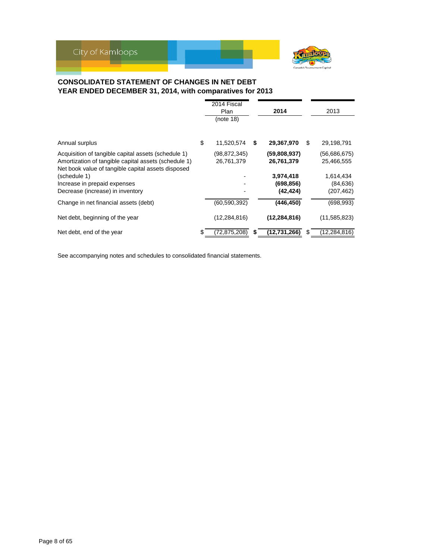

## **CONSOLIDATED STATEMENT OF CHANGES IN NET DEBT YEAR ENDED DECEMBER 31, 2014, with comparatives for 2013**

|                                                                                                                                                                   |    | 2014 Fiscal<br>Plan<br>(note 18) |   | 2014                                 |   | 2013                                 |
|-------------------------------------------------------------------------------------------------------------------------------------------------------------------|----|----------------------------------|---|--------------------------------------|---|--------------------------------------|
| Annual surplus                                                                                                                                                    | \$ | 11,520,574                       | S | 29,367,970                           | S | 29,198,791                           |
| Acquisition of tangible capital assets (schedule 1)<br>Amortization of tangible capital assets (schedule 1)<br>Net book value of tangible capital assets disposed |    | (98,872,345)<br>26,761,379       |   | (59,808,937)<br>26,761,379           |   | (56,686,675)<br>25,466,555           |
| (schedule 1)<br>Increase in prepaid expenses<br>Decrease (increase) in inventory                                                                                  |    |                                  |   | 3,974,418<br>(698, 856)<br>(42, 424) |   | 1,614,434<br>(84, 636)<br>(207, 462) |
| Change in net financial assets (debt)                                                                                                                             |    | (60,590,392)                     |   | (446, 450)                           |   | (698, 993)                           |
| Net debt, beginning of the year                                                                                                                                   |    | (12, 284, 816)                   |   | (12, 284, 816)                       |   | (11,585,823)                         |
| Net debt, end of the year                                                                                                                                         | S  | (72,875,208)                     |   | (12,731,266)                         |   | (12, 284, 816)                       |

See accompanying notes and schedules to consolidated financial statements.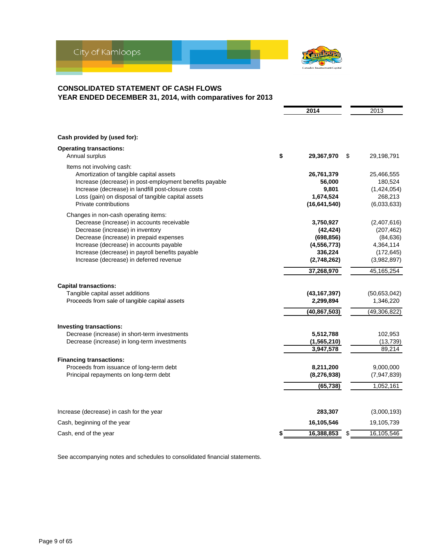

### **CONSOLIDATED STATEMENT OF CASH FLOWS YEAR ENDED DECEMBER 31, 2014, with comparatives for 2013**

|                                                                                                                                                                                                                                                                                                            | 2014                                                                            | 2013                                                                             |
|------------------------------------------------------------------------------------------------------------------------------------------------------------------------------------------------------------------------------------------------------------------------------------------------------------|---------------------------------------------------------------------------------|----------------------------------------------------------------------------------|
|                                                                                                                                                                                                                                                                                                            |                                                                                 |                                                                                  |
| Cash provided by (used for):                                                                                                                                                                                                                                                                               |                                                                                 |                                                                                  |
| <b>Operating transactions:</b><br>Annual surplus                                                                                                                                                                                                                                                           | \$<br>29,367,970                                                                | \$<br>29,198,791                                                                 |
| Items not involving cash:<br>Amortization of tangible capital assets<br>Increase (decrease) in post-employment benefits payable<br>Increase (decrease) in landfill post-closure costs<br>Loss (gain) on disposal of tangible capital assets<br>Private contributions                                       | 26,761,379<br>56,000<br>9,801<br>1,674,524<br>(16, 641, 540)                    | 25,466,555<br>180,524<br>(1,424,054)<br>268,213<br>(6,033,633)                   |
| Changes in non-cash operating items:<br>Decrease (increase) in accounts receivable<br>Decrease (increase) in inventory<br>Decrease (increase) in prepaid expenses<br>Increase (decrease) in accounts payable<br>Increase (decrease) in payroll benefits payable<br>Increase (decrease) in deferred revenue | 3,750,927<br>(42, 424)<br>(698, 856)<br>(4, 556, 773)<br>336,224<br>(2,748,262) | (2,407,616)<br>(207, 462)<br>(84, 636)<br>4,364,114<br>(172, 645)<br>(3,982,897) |
|                                                                                                                                                                                                                                                                                                            | 37,268,970                                                                      | 45, 165, 254                                                                     |
| <b>Capital transactions:</b><br>Tangible capital asset additions<br>Proceeds from sale of tangible capital assets                                                                                                                                                                                          | (43, 167, 397)<br>2,299,894                                                     | (50,653,042)<br>1,346,220                                                        |
|                                                                                                                                                                                                                                                                                                            | (40, 867, 503)                                                                  | (49, 306, 822)                                                                   |
| Investing transactions:<br>Decrease (increase) in short-term investments<br>Decrease (increase) in long-term investments                                                                                                                                                                                   | 5,512,788<br>(1, 565, 210)<br>3,947,578                                         | 102,953<br>(13, 739)<br>89,214                                                   |
| <b>Financing transactions:</b>                                                                                                                                                                                                                                                                             |                                                                                 |                                                                                  |
| Proceeds from issuance of long-term debt<br>Principal repayments on long-term debt                                                                                                                                                                                                                         | 8,211,200<br>(8, 276, 938)                                                      | 9,000,000<br>(7,947,839)                                                         |
|                                                                                                                                                                                                                                                                                                            | (65, 738)                                                                       | 1,052,161                                                                        |
| Increase (decrease) in cash for the year                                                                                                                                                                                                                                                                   | 283,307                                                                         | (3,000,193)                                                                      |
| Cash, beginning of the year                                                                                                                                                                                                                                                                                | 16,105,546                                                                      | 19,105,739                                                                       |
| Cash, end of the year                                                                                                                                                                                                                                                                                      | \$<br>16,388,853                                                                | \$<br>16,105,546                                                                 |

See accompanying notes and schedules to consolidated financial statements.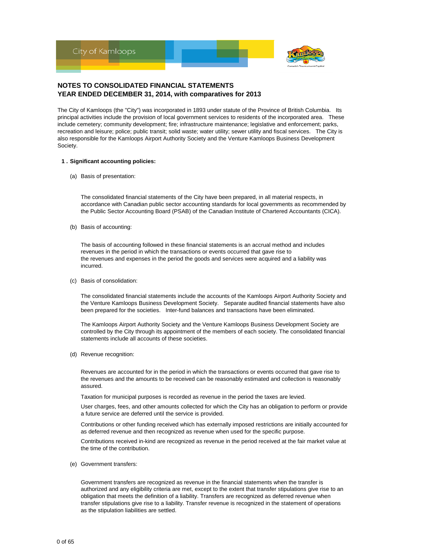

The City of Kamloops (the "City") was incorporated in 1893 under statute of the Province of British Columbia. Its principal activities include the provision of local government services to residents of the incorporated area. These include cemetery; community development; fire; infrastructure maintenance; legislative and enforcement; parks, recreation and leisure; police; public transit; solid waste; water utility; sewer utility and fiscal services. The City is also responsible for the Kamloops Airport Authority Society and the Venture Kamloops Business Development Society.

#### **1 . Significant accounting policies:**

(a) Basis of presentation:

The consolidated financial statements of the City have been prepared, in all material respects, in accordance with Canadian public sector accounting standards for local governments as recommended by the Public Sector Accounting Board (PSAB) of the Canadian Institute of Chartered Accountants (CICA).

(b) Basis of accounting:

The basis of accounting followed in these financial statements is an accrual method and includes revenues in the period in which the transactions or events occurred that gave rise to the revenues and expenses in the period the goods and services were acquired and a liability was incurred.

(c) Basis of consolidation:

The consolidated financial statements include the accounts of the Kamloops Airport Authority Society and the Venture Kamloops Business Development Society. Separate audited financial statements have also been prepared for the societies. Inter-fund balances and transactions have been eliminated.

The Kamloops Airport Authority Society and the Venture Kamloops Business Development Society are controlled by the City through its appointment of the members of each society. The consolidated financial statements include all accounts of these societies.

(d) Revenue recognition:

Revenues are accounted for in the period in which the transactions or events occurred that gave rise to the revenues and the amounts to be received can be reasonably estimated and collection is reasonably assured.

Taxation for municipal purposes is recorded as revenue in the period the taxes are levied.

User charges, fees, and other amounts collected for which the City has an obligation to perform or provide a future service are deferred until the service is provided.

Contributions or other funding received which has externally imposed restrictions are initially accounted for as deferred revenue and then recognized as revenue when used for the specific purpose.

Contributions received in-kind are recognized as revenue in the period received at the fair market value at the time of the contribution.

(e) Government transfers:

Government transfers are recognized as revenue in the financial statements when the transfer is authorized and any eligibility criteria are met, except to the extent that transfer stipulations give rise to an obligation that meets the definition of a liability. Transfers are recognized as deferred revenue when transfer stipulations give rise to a liability. Transfer revenue is recognized in the statement of operations as the stipulation liabilities are settled.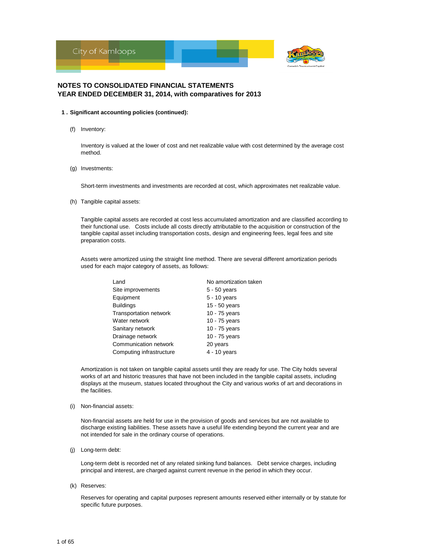

- **1 . Significant accounting policies (continued):**
	- (f) Inventory:

Inventory is valued at the lower of cost and net realizable value with cost determined by the average cost method.

(g) Investments:

Short-term investments and investments are recorded at cost, which approximates net realizable value.

(h) Tangible capital assets:

Tangible capital assets are recorded at cost less accumulated amortization and are classified according to their functional use. Costs include all costs directly attributable to the acquisition or construction of the tangible capital asset including transportation costs, design and engineering fees, legal fees and site preparation costs.

Assets were amortized using the straight line method. There are several different amortization periods used for each major category of assets, as follows:

| Land                          | No amortization taken |
|-------------------------------|-----------------------|
| Site improvements             | $5 - 50$ years        |
| Equipment                     | $5 - 10$ years        |
| <b>Buildings</b>              | 15 - 50 years         |
| <b>Transportation network</b> | 10 - 75 years         |
| Water network                 | 10 - 75 years         |
| Sanitary network              | 10 - 75 years         |
| Drainage network              | 10 - 75 years         |
| Communication network         | 20 years              |
| Computing infrastructure      | 4 - 10 years          |

Amortization is not taken on tangible capital assets until they are ready for use. The City holds several works of art and historic treasures that have not been included in the tangible capital assets, including displays at the museum, statues located throughout the City and various works of art and decorations in the facilities.

(i) Non-financial assets:

Non-financial assets are held for use in the provision of goods and services but are not available to discharge existing liabilities. These assets have a useful life extending beyond the current year and are not intended for sale in the ordinary course of operations.

(j) Long-term debt:

Long-term debt is recorded net of any related sinking fund balances. Debt service charges, including principal and interest, are charged against current revenue in the period in which they occur.

(k) Reserves:

Reserves for operating and capital purposes represent amounts reserved either internally or by statute for specific future purposes.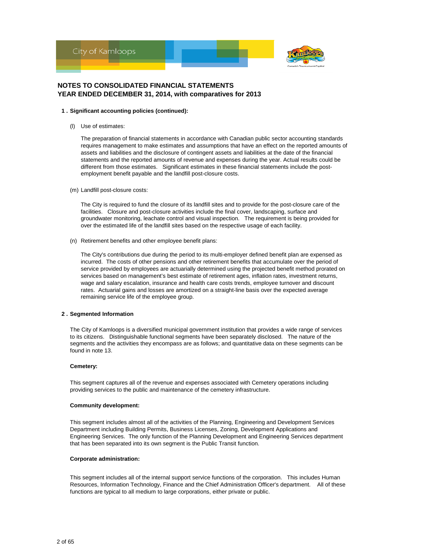

#### **1 . Significant accounting policies (continued):**

(l) Use of estimates:

The preparation of financial statements in accordance with Canadian public sector accounting standards requires management to make estimates and assumptions that have an effect on the reported amounts of assets and liabilities and the disclosure of contingent assets and liabilities at the date of the financial statements and the reported amounts of revenue and expenses during the year. Actual results could be different from those estimates. Significant estimates in these financial statements include the postemployment benefit payable and the landfill post-closure costs.

(m) Landfill post-closure costs:

The City is required to fund the closure of its landfill sites and to provide for the post-closure care of the facilities. Closure and post-closure activities include the final cover, landscaping, surface and groundwater monitoring, leachate control and visual inspection. The requirement is being provided for over the estimated life of the landfill sites based on the respective usage of each facility.

(n) Retirement benefits and other employee benefit plans:

The City's contributions due during the period to its multi-employer defined benefit plan are expensed as incurred. The costs of other pensions and other retirement benefits that accumulate over the period of service provided by employees are actuarially determined using the projected benefit method prorated on services based on management's best estimate of retirement ages, inflation rates, investment returns, wage and salary escalation, insurance and health care costs trends, employee turnover and discount rates. Actuarial gains and losses are amortized on a straight-line basis over the expected average remaining service life of the employee group.

#### **2 . Segmented Information**

The City of Kamloops is a diversified municipal government institution that provides a wide range of services to its citizens. Distinguishable functional segments have been separately disclosed. The nature of the segments and the activities they encompass are as follows; and quantitative data on these segments can be found in note 13.

#### **Cemetery:**

This segment captures all of the revenue and expenses associated with Cemetery operations including providing services to the public and maintenance of the cemetery infrastructure.

#### **Community development:**

This segment includes almost all of the activities of the Planning, Engineering and Development Services Department including Building Permits, Business Licenses, Zoning, Development Applications and Engineering Services. The only function of the Planning Development and Engineering Services department that has been separated into its own segment is the Public Transit function.

#### **Corporate administration:**

This segment includes all of the internal support service functions of the corporation. This includes Human Resources, Information Technology, Finance and the Chief Administration Officer's department. All of these functions are typical to all medium to large corporations, either private or public.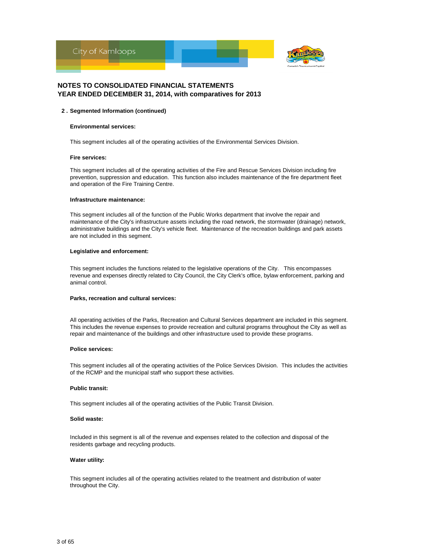

#### **2 . Segmented Information (continued)**

#### **Environmental services:**

This segment includes all of the operating activities of the Environmental Services Division.

#### **Fire services:**

This segment includes all of the operating activities of the Fire and Rescue Services Division including fire prevention, suppression and education. This function also includes maintenance of the fire department fleet and operation of the Fire Training Centre.

#### **Infrastructure maintenance:**

This segment includes all of the function of the Public Works department that involve the repair and maintenance of the City's infrastructure assets including the road network, the stormwater (drainage) network, administrative buildings and the City's vehicle fleet. Maintenance of the recreation buildings and park assets are not included in this segment.

#### **Legislative and enforcement:**

This segment includes the functions related to the legislative operations of the City. This encompasses revenue and expenses directly related to City Council, the City Clerk's office, bylaw enforcement, parking and animal control.

#### **Parks, recreation and cultural services:**

All operating activities of the Parks, Recreation and Cultural Services department are included in this segment. This includes the revenue expenses to provide recreation and cultural programs throughout the City as well as repair and maintenance of the buildings and other infrastructure used to provide these programs.

#### **Police services:**

This segment includes all of the operating activities of the Police Services Division. This includes the activities of the RCMP and the municipal staff who support these activities.

#### **Public transit:**

This segment includes all of the operating activities of the Public Transit Division.

#### **Solid waste:**

Included in this segment is all of the revenue and expenses related to the collection and disposal of the residents garbage and recycling products.

#### **Water utility:**

This segment includes all of the operating activities related to the treatment and distribution of water throughout the City.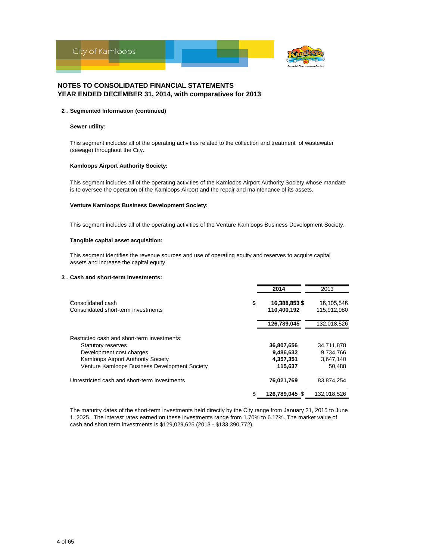

#### **2 . Segmented Information (continued)**

#### **Sewer utility:**

This segment includes all of the operating activities related to the collection and treatment of wastewater (sewage) throughout the City.

#### **Kamloops Airport Authority Society:**

This segment includes all of the operating activities of the Kamloops Airport Authority Society whose mandate is to oversee the operation of the Kamloops Airport and the repair and maintenance of its assets.

#### **Venture Kamloops Business Development Society:**

This segment includes all of the operating activities of the Venture Kamloops Business Development Society.

#### **Tangible capital asset acquisition:**

This segment identifies the revenue sources and use of operating equity and reserves to acquire capital assets and increase the capital equity.

#### **3 . Cash and short-term investments:**

|                                                          | 2014                               | 2013                      |
|----------------------------------------------------------|------------------------------------|---------------------------|
| Consolidated cash<br>Consolidated short-term investments | \$<br>16,388,853 \$<br>110,400,192 | 16.105.546<br>115,912,980 |
|                                                          | 126,789,045                        | 132,018,526               |
| Restricted cash and short-term investments:              |                                    |                           |
| <b>Statutory reserves</b><br>Development cost charges    | 36,807,656<br>9,486,632            | 34,711,878<br>9,734,766   |
| Kamloops Airport Authority Society                       | 4,357,351                          | 3,647,140                 |
| Venture Kamloops Business Development Society            | 115,637                            | 50,488                    |
| Unrestricted cash and short-term investments             | 76,021,769                         | 83,874,254                |
|                                                          | 126,789,045 \$                     | 132,018,526               |

The maturity dates of the short-term investments held directly by the City range from January 21, 2015 to June 1, 2025. The interest rates earned on these investments range from 1.70% to 6.17%. The market value of cash and short term investments is \$129,029,625 (2013 - \$133,390,772).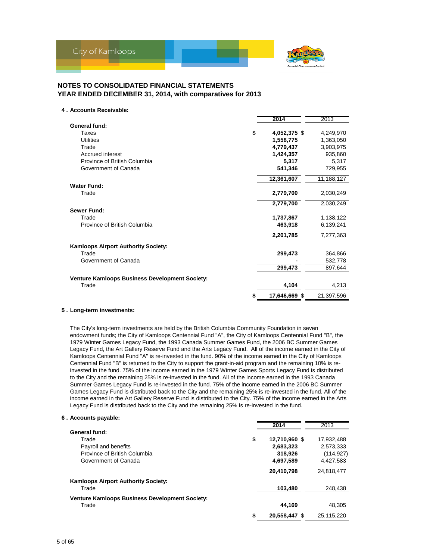

#### **4 . Accounts Receivable:**

|                                                       |    | 2014          | 2013       |
|-------------------------------------------------------|----|---------------|------------|
| General fund:                                         |    |               |            |
| Taxes                                                 | \$ | 4,052,375 \$  | 4,249,970  |
| <b>Utilities</b>                                      |    | 1,558,775     | 1,363,050  |
| Trade                                                 |    | 4,779,437     | 3,903,975  |
| Accrued interest                                      |    | 1,424,357     | 935,860    |
| Province of British Columbia                          |    | 5,317         | 5,317      |
| Government of Canada                                  |    | 541,346       | 729,955    |
|                                                       |    | 12,361,607    | 11,188,127 |
| <b>Water Fund:</b>                                    |    |               |            |
| Trade                                                 |    | 2,779,700     | 2,030,249  |
|                                                       |    | 2,779,700     | 2,030,249  |
| <b>Sewer Fund:</b>                                    |    |               |            |
| Trade                                                 |    | 1,737,867     | 1,138,122  |
| Province of British Columbia                          |    | 463,918       | 6,139,241  |
|                                                       |    | 2,201,785     | 7,277,363  |
| <b>Kamloops Airport Authority Society:</b>            |    |               |            |
| Trade                                                 |    | 299,473       | 364,866    |
| Government of Canada                                  |    |               | 532,778    |
|                                                       |    | 299,473       | 897,644    |
| <b>Venture Kamloops Business Development Society:</b> |    |               |            |
| Trade                                                 |    | 4,104         | 4,213      |
|                                                       | S  | 17,646,669 \$ | 21,397,596 |

#### **5 . Long-term investments:**

The City's long-term investments are held by the British Columbia Community Foundation in seven endowment funds; the City of Kamloops Centennial Fund "A", the City of Kamloops Centennial Fund "B", the 1979 Winter Games Legacy Fund, the 1993 Canada Summer Games Fund, the 2006 BC Summer Games Legacy Fund, the Art Gallery Reserve Fund and the Arts Legacy Fund. All of the income earned in the City of Kamloops Centennial Fund "A" is re-invested in the fund. 90% of the income earned in the City of Kamloops Centennial Fund "B" is returned to the City to support the grant-in-aid program and the remaining 10% is reinvested in the fund. 75% of the income earned in the 1979 Winter Games Sports Legacy Fund is distributed to the City and the remaining 25% is re-invested in the fund. All of the income earned in the 1993 Canada Summer Games Legacy Fund is re-invested in the fund. 75% of the income earned in the 2006 BC Summer Games Legacy Fund is distributed back to the City and the remaining 25% is re-invested in the fund. All of the income earned in the Art Gallery Reserve Fund is distributed to the City. 75% of the income earned in the Arts Legacy Fund is distributed back to the City and the remaining 25% is re-invested in the fund.

#### **6 . Accounts payable:**

|                                                | 2014                | 2013       |
|------------------------------------------------|---------------------|------------|
| General fund:                                  |                     |            |
| Trade                                          | \$<br>12,710,960 \$ | 17,932,488 |
| Payroll and benefits                           | 2,683,323           | 2.573.333  |
| Province of British Columbia                   | 318,926             | (114, 927) |
| Government of Canada                           | 4,697,589           | 4.427.583  |
|                                                | 20,410,798          | 24,818,477 |
| <b>Kamloops Airport Authority Society:</b>     |                     |            |
| Trade                                          | 103,480             | 248.438    |
| Venture Kamloops Business Development Society: |                     |            |
| Trade                                          | 44,169              | 48,305     |
|                                                | 20.558.447 \$       | 25.115.220 |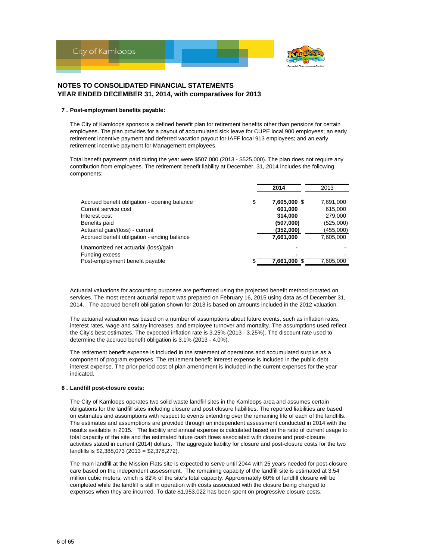

#### **7 . Post-employment benefits payable:**

The City of Kamloops sponsors a defined benefit plan for retirement benefits other than pensions for certain employees. The plan provides for a payout of accumulated sick leave for CUPE local 900 employees; an early retirement incentive payment and deferred vacation payout for IAFF local 913 employees; and an early retirement incentive payment for Management employees.

Total benefit payments paid during the year were \$507,000 (2013 - \$525,000). The plan does not require any contribution from employees. The retirement benefit liability at December, 31, 2014 includes the following components:

|                                              |    | 2014         | 2013      |
|----------------------------------------------|----|--------------|-----------|
| Accrued benefit obligation - opening balance | \$ | 7,605,000 \$ | 7,691,000 |
| Current service cost                         |    | 601.000      | 615,000   |
| Interest cost                                |    | 314,000      | 279,000   |
| Benefits paid                                |    | (507,000)    | (525,000) |
| Actuarial gain/(loss) - current              |    | (352,000)    | (455,000) |
| Accrued benefit obligation - ending balance  |    | 7,661,000    | 7,605,000 |
| Unamortized net actuarial (loss)/gain        |    |              |           |
| Funding excess                               |    |              |           |
| Post-employment benefit payable              | 5  | 7,661,000 \$ | 7,605,000 |

Actuarial valuations for accounting purposes are performed using the projected benefit method prorated on services. The most recent actuarial report was prepared on February 16, 2015 using data as of December 31, 2014. The accrued benefit obligation shown for 2013 is based on amounts included in the 2012 valuation.

The actuarial valuation was based on a number of assumptions about future events, such as inflation rates, interest rates, wage and salary increases, and employee turnover and mortality. The assumptions used reflect the City's best estimates. The expected inflation rate is 3.25% (2013 - 3.25%). The discount rate used to determine the accrued benefit obligation is 3.1% (2013 - 4.0%).

The retirement benefit expense is included in the statement of operations and accumulated surplus as a component of program expenses. The retirement benefit interest expense is included in the public debt interest expense. The prior period cost of plan amendment is included in the current expenses for the year indicated.

#### **8 . Landfill post-closure costs:**

The City of Kamloops operates two solid waste landfill sites in the Kamloops area and assumes certain obligations for the landfill sites including closure and post closure liabilities. The reported liabilities are based on estimates and assumptions with respect to events extending over the remaining life of each of the landfills. The estimates and assumptions are provided through an independent assessment conducted in 2014 with the results available in 2015. The liability and annual expense is calculated based on the ratio of current usage to total capacity of the site and the estimated future cash flows associated with closure and post-closure activities stated in current (2014) dollars. The aggregate liability for closure and post-closure costs for the two landfills is \$2,388,073 (2013 = \$2,378,272).

The main landfill at the Mission Flats site is expected to serve until 2044 with 25 years needed for post-closure care based on the independent assessment. The remaining capacity of the landfill site is estimated at 3.54 million cubic meters, which is 82% of the site's total capacity. Approximately 60% of landfill closure will be completed while the landfill is still in operation with costs associated with the closure being charged to expenses when they are incurred. To date \$1,953,022 has been spent on progressive closure costs.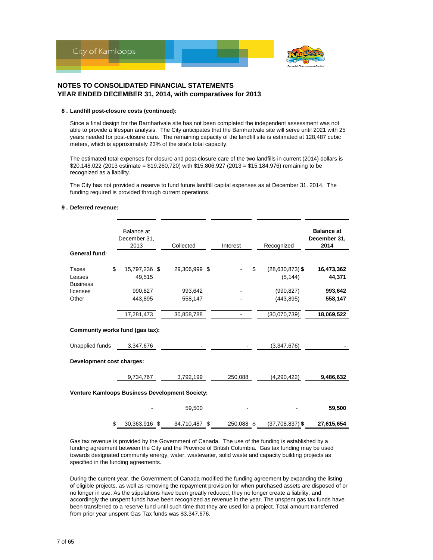

#### **8 . Landfill post-closure costs (continued):**

Since a final design for the Barnhartvale site has not been completed the independent assessment was not able to provide a lifespan analysis. The City anticipates that the Barnhartvale site will serve until 2021 with 25 years needed for post-closure care. The remaining capacity of the landfill site is estimated at 128,487 cubic meters, which is approximately 23% of the site's total capacity.

The estimated total expenses for closure and post-closure care of the two landfills in current (2014) dollars is \$20,148,022 (2013 estimate = \$19,260,720) with \$15,806,927 (2013 = \$15,184,976) remaining to be recognized as a liability.

The City has not provided a reserve to fund future landfill capital expenses as at December 31, 2014. The funding required is provided through current operations.

#### **9 . Deferred revenue:**

| General fund:                                         | Balance at<br>December 31,<br>2013 | Collected     | Interest   | Recognized                            | <b>Balance at</b><br>December 31,<br>2014 |
|-------------------------------------------------------|------------------------------------|---------------|------------|---------------------------------------|-------------------------------------------|
| Taxes<br>Leases<br><b>Business</b>                    | \$<br>15,797,236 \$<br>49,515      | 29,306,999 \$ |            | \$<br>$(28, 630, 873)$ \$<br>(5, 144) | 16,473,362<br>44,371                      |
| licenses                                              | 990,827                            | 993,642       |            | (990, 827)                            | 993,642                                   |
| Other                                                 | 443,895                            | 558,147       |            | (443, 895)                            | 558,147                                   |
|                                                       | 17,281,473                         | 30,858,788    |            | (30,070,739)                          | 18,069,522                                |
| Community works fund (gas tax):                       |                                    |               |            |                                       |                                           |
| Unapplied funds                                       | 3,347,676                          |               |            | (3,347,676)                           |                                           |
| Development cost charges:                             |                                    |               |            |                                       |                                           |
|                                                       | 9,734,767                          | 3,792,199     | 250,088    | (4,290,422)                           | 9,486,632                                 |
| <b>Venture Kamloops Business Development Society:</b> |                                    |               |            |                                       |                                           |
|                                                       |                                    | 59,500        |            |                                       | 59,500                                    |
|                                                       | \$<br>30,363,916 \$                | 34,710,487 \$ | 250,088 \$ | $(37,708,837)$ \$                     | 27,615,654                                |

Gas tax revenue is provided by the Government of Canada. The use of the funding is established by a funding agreement between the City and the Province of British Columbia. Gas tax funding may be used towards designated community energy, water, wastewater, solid waste and capacity building projects as specified in the funding agreements.

During the current year, the Government of Canada modified the funding agreement by expanding the listing of eligible projects, as well as removing the repayment provision for when purchased assets are disposed of or no longer in use. As the stipulations have been greatly reduced, they no longer create a liability, and accordingly the unspent funds have been recognized as revenue in the year. The unspent gas tax funds have been transferred to a reserve fund until such time that they are used for a project. Total amount transferred from prior year unspent Gas Tax funds was \$3,347,676.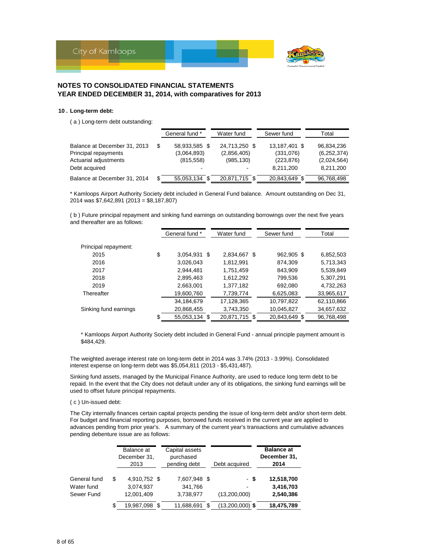

#### **10 . Long-term debt:**

( a ) Long-term debt outstanding:

|                                                                                                | General fund *                                   | Water fund                                                   | Sewer fund                                            | Total                                                   |
|------------------------------------------------------------------------------------------------|--------------------------------------------------|--------------------------------------------------------------|-------------------------------------------------------|---------------------------------------------------------|
| Balance at December 31, 2013<br>Principal repayments<br>Actuarial adjustments<br>Debt acquired | \$<br>58,933,585 \$<br>(3,064,893)<br>(815, 558) | 24,713,250 \$<br>(2,856,405)<br>(985, 130)<br>$\blacksquare$ | 13,187,401 \$<br>(331,076)<br>(223, 876)<br>8,211,200 | 96,834,236<br>(6, 252, 374)<br>(2,024,564)<br>8,211,200 |
| Balance at December 31, 2014                                                                   | \$<br>55,053,134 \$                              | 20,871,715 \$                                                | 20,843,649 \$                                         | 96,768,498                                              |

\* Kamloops Airport Authority Society debt included in General Fund balance. Amount outstanding on Dec 31, 2014 was \$7,642,891 (2013 = \$8,187,807)

( b ) Future principal repayment and sinking fund earnings on outstanding borrowings over the next five years and thereafter are as follows:

|                       | General fund *      |      | Water fund    | Sewer fund    | Total      |
|-----------------------|---------------------|------|---------------|---------------|------------|
|                       |                     |      |               |               |            |
| Principal repayment:  |                     |      |               |               |            |
| 2015                  | \$<br>3,054,931     | - \$ | 2,834,667 \$  | 962,905 \$    | 6,852,503  |
| 2016                  | 3,026,043           |      | 1,812,991     | 874,309       | 5,713,343  |
| 2017                  | 2,944,481           |      | 1,751,459     | 843,909       | 5,539,849  |
| 2018                  | 2,895,463           |      | 1,612,292     | 799,536       | 5,307,291  |
| 2019                  | 2,663,001           |      | 1,377,182     | 692,080       | 4,732,263  |
| Thereafter            | 19,600,760          |      | 7,739,774     | 6,625,083     | 33,965,617 |
|                       | 34,184,679          |      | 17,128,365    | 10,797,822    | 62,110,866 |
| Sinking fund earnings | 20,868,455          |      | 3,743,350     | 10,045,827    | 34,657,632 |
|                       | \$<br>55,053,134 \$ |      | 20,871,715 \$ | 20,843,649 \$ | 96,768,498 |

\* Kamloops Airport Authority Society debt included in General Fund - annual principle payment amount is \$484,429.

The weighted average interest rate on long-term debt in 2014 was 3.74% (2013 - 3.99%). Consolidated interest expense on long-term debt was \$5,054,811 (2013 - \$5,431,487).

Sinking fund assets, managed by the Municipal Finance Authority, are used to reduce long term debt to be repaid. In the event that the City does not default under any of its obligations, the sinking fund earnings will be used to offset future principal repayments.

### ( c ) Un-issued debt:

The City internally finances certain capital projects pending the issue of long-term debt and/or short-term debt. For budget and financial reporting purposes, borrowed funds received in the current year are applied to advances pending from prior year's. A summary of the current year's transactions and cumulative advances pending debenture issue are as follows:

|              | Balance at<br>December 31,<br>2013 | Capital assets<br>purchased<br>pending debt | Debt acquired     | <b>Balance at</b><br>December 31,<br>2014 |
|--------------|------------------------------------|---------------------------------------------|-------------------|-------------------------------------------|
| General fund | \$<br>4,910,752 \$                 | 7,607,948 \$                                | - \$              | 12,518,700                                |
| Water fund   | 3,074,937                          | 341,766                                     |                   | 3,416,703                                 |
| Sewer Fund   | 12,001,409                         | 3,738,977                                   | (13,200,000)      | 2,540,386                                 |
|              | \$<br>19,987,098 \$                | 11,688,691                                  | $(13,200,000)$ \$ | 18,475,789                                |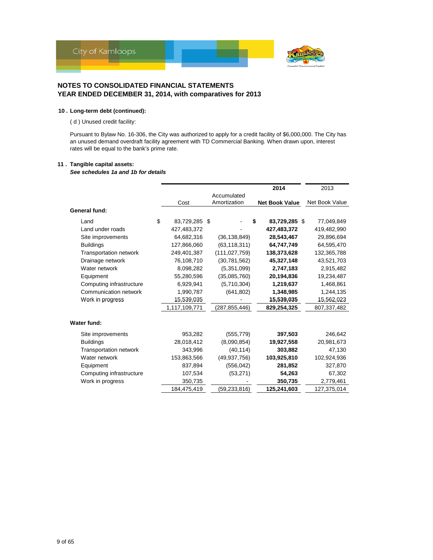

### **10 . Long-term debt (continued):**

( d ) Unused credit facility:

Pursuant to Bylaw No. 16-306, the City was authorized to apply for a credit facility of \$6,000,000. The City has an unused demand overdraft facility agreement with TD Commercial Banking. When drawn upon, interest rates will be equal to the bank's prime rate.

#### **11 . Tangible capital assets:**

*See schedules 1a and 1b for details*

|                               |                     |                 | 2014                  | 2013           |
|-------------------------------|---------------------|-----------------|-----------------------|----------------|
|                               |                     | Accumulated     |                       |                |
|                               | Cost                | Amortization    | <b>Net Book Value</b> | Net Book Value |
| General fund:                 |                     |                 |                       |                |
| Land                          | \$<br>83,729,285 \$ |                 | 83,729,285 \$<br>\$   | 77,049,849     |
| Land under roads              | 427,483,372         |                 | 427,483,372           | 419,482,990    |
| Site improvements             | 64,682,316          | (36, 138, 849)  | 28,543,467            | 29,896,694     |
| <b>Buildings</b>              | 127,866,060         | (63, 118, 311)  | 64,747,749            | 64,595,470     |
| <b>Transportation network</b> | 249,401,387         | (111, 027, 759) | 138,373,628           | 132,365,788    |
| Drainage network              | 76,108,710          | (30, 781, 562)  | 45,327,148            | 43,521,703     |
| Water network                 | 8,098,282           | (5,351,099)     | 2,747,183             | 2,915,482      |
| Equipment                     | 55,280,596          | (35,085,760)    | 20,194,836            | 19,234,487     |
| Computing infrastructure      | 6,929,941           | (5,710,304)     | 1,219,637             | 1,468,861      |
| Communication network         | 1,990,787           | (641, 802)      | 1,348,985             | 1,244,135      |
| Work in progress              | 15,539,035          |                 | 15,539,035            | 15,562,023     |
|                               | 1,117,109,771       | (287,855,446)   | 829,254,325           | 807,337,482    |
| Water fund:                   |                     |                 |                       |                |
| Site improvements             | 953,282             | (555, 779)      | 397,503               | 246,642        |
| <b>Buildings</b>              | 28,018,412          | (8,090,854)     | 19,927,558            | 20,981,673     |
| <b>Transportation network</b> | 343,996             | (40, 114)       | 303,882               | 47,130         |
| Water network                 | 153,863,566         | (49, 937, 756)  | 103,925,810           | 102,924,936    |
| Equipment                     | 837,894             | (556, 042)      | 281,852               | 327,870        |
| Computing infrastructure      | 107,534             | (53, 271)       | 54,263                | 67,302         |
| Work in progress              | 350,735             |                 | 350,735               | 2,779,461      |
|                               | 184,475,419         | (59, 233, 816)  | 125,241,603           | 127,375,014    |
|                               |                     |                 |                       |                |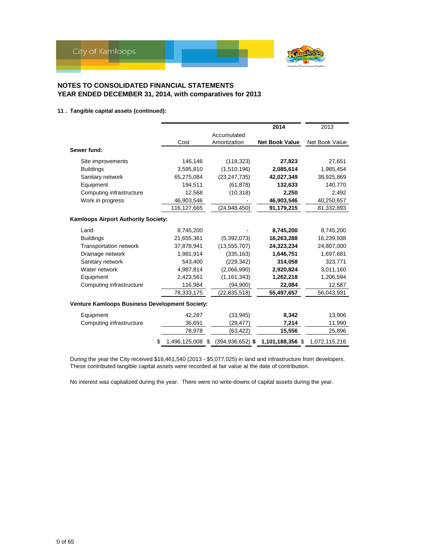

### **11 . Tangible capital assets (continued):**

|                                                |                  |                | 2014                                  | 2013           |
|------------------------------------------------|------------------|----------------|---------------------------------------|----------------|
|                                                |                  | Accumulated    |                                       |                |
|                                                | Cost             | Amortization   | <b>Net Book Value</b>                 | Net Book Value |
| Sewer fund:                                    |                  |                |                                       |                |
| Site improvements                              | 146,146          | (118, 323)     | 27,823                                | 27,651         |
| <b>Buildings</b>                               | 3,595,810        | (1,510,196)    | 2,085,614                             | 1,985,454      |
| Sanitary network                               | 65,275,084       | (23, 247, 735) | 42,027,349                            | 38,925,869     |
| Equipment                                      | 194,511          | (61, 878)      | 132,633                               | 140,770        |
| Computing infrastructure                       | 12,568           | (10, 318)      | 2,250                                 | 2,492          |
| Work in progress                               | 46,903,546       |                | 46,903,546                            | 40,250,657     |
|                                                | 116,127,665      | (24,948,450)   | 91,179,215                            | 81,332,893     |
| Kamloops Airport Authority Society:            |                  |                |                                       |                |
| Land                                           | 8,745,200        |                | 8,745,200                             | 8,745,200      |
| <b>Buildings</b>                               | 21,655,361       | (5,392,073)    | 16,263,288                            | 16,239,938     |
| <b>Transportation network</b>                  | 37,878,941       | (13, 555, 707) | 24,323,234                            | 24,807,000     |
| Drainage network                               | 1,981,914        | (335, 163)     | 1,646,751                             | 1,697,681      |
| Sanitary network                               | 543,400          | (229, 342)     | 314,058                               | 323,771        |
| Water network                                  | 4,987,814        | (2,066,990)    | 2,920,824                             | 3,011,160      |
| Equipment                                      | 2,423,561        | (1, 161, 343)  | 1,262,218                             | 1,206,594      |
| Computing infrastructure                       | 116,984          | (94,900)       | 22,084                                | 12,587         |
|                                                | 78,333,175       | (22,835,518)   | 55,497,657                            | 56,043,931     |
| Venture Kamloops Business Development Society: |                  |                |                                       |                |
| Equipment                                      | 42,287           | (33, 945)      | 8,342                                 | 13,906         |
| Computing infrastructure                       | 36,691           | (29, 477)      | 7,214                                 | 11,990         |
|                                                | 78,978           | (63, 422)      | 15,556                                | 25,896         |
|                                                | 1,496,125,008 \$ |                | $(394, 936, 652)$ \$ 1,101,188,356 \$ | 1,072,115,216  |

During the year the City received \$16,461,540 (2013 - \$5,077,025) in land and infrastructure from developers. These contributed tangible capital assets were recorded at fair value at the date of contribution.

No interest was capitalized during the year. There were no write-downs of capital assets during the year.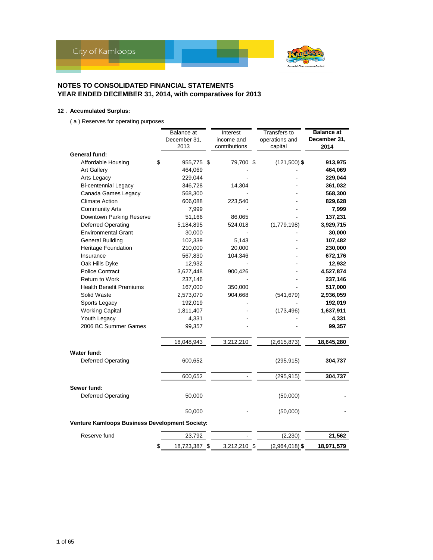

### **12 . Accumulated Surplus:**

( a ) Reserves for operating purposes

|                                                | <b>Balance</b> at<br>December 31,<br>2013 | Interest<br>income and<br>contributions | Transfers to<br>operations and<br>capital | <b>Balance at</b><br>December 31,<br>2014 |
|------------------------------------------------|-------------------------------------------|-----------------------------------------|-------------------------------------------|-------------------------------------------|
| General fund:                                  |                                           |                                         |                                           |                                           |
| Affordable Housing                             | \$<br>955,775 \$                          | 79,700 \$                               | $(121,500)$ \$                            | 913,975                                   |
| <b>Art Gallery</b>                             | 464,069                                   |                                         |                                           | 464,069                                   |
| Arts Legacy                                    | 229,044                                   |                                         |                                           | 229,044                                   |
| <b>Bi-centennial Legacy</b>                    | 346,728                                   | 14,304                                  |                                           | 361,032                                   |
| Canada Games Legacy                            | 568,300                                   |                                         |                                           | 568,300                                   |
| <b>Climate Action</b>                          | 606,088                                   | 223,540                                 |                                           | 829,628                                   |
| <b>Community Arts</b>                          | 7,999                                     |                                         |                                           | 7,999                                     |
| Downtown Parking Reserve                       | 51,166                                    | 86,065                                  |                                           | 137,231                                   |
| <b>Deferred Operating</b>                      | 5,184,895                                 | 524,018                                 | (1,779,198)                               | 3,929,715                                 |
| <b>Environmental Grant</b>                     | 30,000                                    |                                         |                                           | 30,000                                    |
| <b>General Building</b>                        | 102,339                                   | 5,143                                   |                                           | 107,482                                   |
| <b>Heritage Foundation</b>                     | 210,000                                   | 20,000                                  |                                           | 230,000                                   |
| Insurance                                      | 567,830                                   | 104,346                                 |                                           | 672,176                                   |
| Oak Hills Dyke                                 | 12,932                                    |                                         |                                           | 12,932                                    |
| <b>Police Contract</b>                         | 3,627,448                                 | 900,426                                 |                                           | 4,527,874                                 |
| <b>Return to Work</b>                          | 237,146                                   |                                         |                                           | 237,146                                   |
| <b>Health Benefit Premiums</b>                 | 167,000                                   | 350,000                                 |                                           | 517,000                                   |
| Solid Waste                                    | 2,573,070                                 | 904,668                                 | (541, 679)                                | 2,936,059                                 |
| Sports Legacy                                  | 192,019                                   |                                         |                                           | 192,019                                   |
| <b>Working Capital</b>                         | 1,811,407                                 |                                         | (173, 496)                                | 1,637,911                                 |
| Youth Legacy                                   | 4,331                                     |                                         |                                           | 4,331                                     |
| 2006 BC Summer Games                           | 99,357                                    |                                         |                                           | 99,357                                    |
|                                                | 18,048,943                                | 3,212,210                               | (2,615,873)                               | 18,645,280                                |
| Water fund:                                    |                                           |                                         |                                           |                                           |
| Deferred Operating                             | 600,652                                   |                                         | (295, 915)                                | 304,737                                   |
|                                                | 600,652                                   |                                         | (295, 915)                                | 304,737                                   |
| Sewer fund:                                    |                                           |                                         |                                           |                                           |
| <b>Deferred Operating</b>                      | 50,000                                    |                                         | (50,000)                                  |                                           |
|                                                | 50,000                                    |                                         | (50,000)                                  |                                           |
| Venture Kamloops Business Development Society: |                                           |                                         |                                           |                                           |
| Reserve fund                                   | 23,792                                    |                                         | (2, 230)                                  | 21,562                                    |
|                                                | \$<br>18,723,387 \$                       | 3,212,210 \$                            | $(2,964,018)$ \$                          | 18,971,579                                |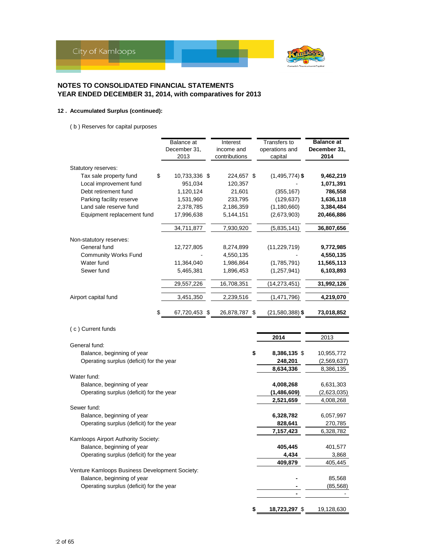

### **12 . Accumulated Surplus (continued):**

( b ) Reserves for capital purposes

|                                                | Balance at    | Interest      | Transfers to        | <b>Balance</b> at |
|------------------------------------------------|---------------|---------------|---------------------|-------------------|
|                                                | December 31,  | income and    | operations and      | December 31,      |
|                                                | 2013          | contributions | capital             | 2014              |
| Statutory reserves:                            |               |               |                     |                   |
| Tax sale property fund<br>\$                   | 10,733,336 \$ | 224,657 \$    | $(1,495,774)$ \$    | 9,462,219         |
| Local improvement fund                         | 951,034       | 120,357       |                     | 1,071,391         |
| Debt retirement fund                           | 1,120,124     | 21,601        | (355, 167)          | 786,558           |
| Parking facility reserve                       | 1,531,960     | 233,795       | (129, 637)          | 1,636,118         |
| Land sale reserve fund                         | 2,378,785     | 2,186,359     | (1, 180, 660)       | 3,384,484         |
| Equipment replacement fund                     | 17,996,638    | 5,144,151     | (2,673,903)         | 20,466,886        |
|                                                | 34,711,877    | 7,930,920     | (5,835,141)         | 36,807,656        |
| Non-statutory reserves:                        |               |               |                     |                   |
| General fund                                   | 12,727,805    | 8,274,899     | (11, 229, 719)      | 9,772,985         |
| Community Works Fund                           |               | 4,550,135     |                     | 4,550,135         |
| Water fund                                     | 11,364,040    | 1,986,864     | (1,785,791)         | 11,565,113        |
| Sewer fund                                     | 5,465,381     | 1,896,453     | (1, 257, 941)       | 6,103,893         |
|                                                |               |               |                     |                   |
|                                                | 29,557,226    | 16,708,351    | (14, 273, 451)      | 31,992,126        |
| Airport capital fund                           | 3,451,350     | 2,239,516     | (1,471,796)         | 4,219,070         |
| \$                                             | 67,720,453 \$ | 26,878,787 \$ | $(21,580,388)$ \$   | 73,018,852        |
|                                                |               |               |                     |                   |
| (c) Current funds                              |               |               |                     |                   |
|                                                |               |               | 2014                | 2013              |
| General fund:                                  |               |               |                     |                   |
| Balance, beginning of year                     |               |               | \$<br>8,386,135 \$  | 10,955,772        |
| Operating surplus (deficit) for the year       |               |               | 248,201             | (2,569,637)       |
|                                                |               |               | 8,634,336           | 8,386,135         |
| Water fund:                                    |               |               |                     |                   |
| Balance, beginning of year                     |               |               | 4,008,268           | 6,631,303         |
| Operating surplus (deficit) for the year       |               |               | (1,486,609)         | (2,623,035)       |
|                                                |               |               | 2,521,659           | 4,008,268         |
| Sewer fund:                                    |               |               |                     |                   |
| Balance, beginning of year                     |               |               | 6,328,782           | 6,057,997         |
| Operating surplus (deficit) for the year       |               |               | 828,641             | 270,785           |
|                                                |               |               | 7,157,423           | 6,328,782         |
| Kamloops Airport Authority Society:            |               |               |                     |                   |
| Balance, beginning of year                     |               |               | 405,445             | 401,577           |
| Operating surplus (deficit) for the year       |               |               | A 43A               | 3,868             |
|                                                |               |               | 409,879             | 405,445           |
| Venture Kamloops Business Development Society: |               |               |                     |                   |
| Balance, beginning of year                     |               |               |                     | 85,568            |
| Operating surplus (deficit) for the year       |               |               |                     | (85, 568)         |
|                                                |               |               |                     |                   |
|                                                |               |               |                     |                   |
|                                                |               |               | \$<br>18,723,297 \$ | 19,128,630        |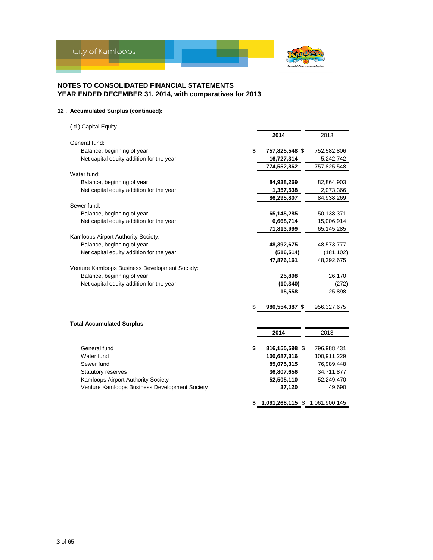

### **12 . Accumulated Surplus (continued):**

| (d) Capital Equity                             |                        |               |
|------------------------------------------------|------------------------|---------------|
|                                                | 2014                   | 2013          |
| General fund:                                  |                        |               |
| Balance, beginning of year                     | \$<br>757,825,548 \$   | 752,582,806   |
| Net capital equity addition for the year       | 16,727,314             | 5,242,742     |
|                                                | 774,552,862            | 757,825,548   |
| Water fund:                                    |                        |               |
| Balance, beginning of year                     | 84,938,269             | 82,864,903    |
| Net capital equity addition for the year       | 1,357,538              | 2,073,366     |
|                                                | 86,295,807             | 84,938,269    |
| Sewer fund:                                    |                        |               |
| Balance, beginning of year                     | 65,145,285             | 50,138,371    |
| Net capital equity addition for the year       | 6,668,714              | 15,006,914    |
|                                                | 71,813,999             | 65,145,285    |
| Kamloops Airport Authority Society:            |                        |               |
| Balance, beginning of year                     | 48,392,675             | 48,573,777    |
| Net capital equity addition for the year       | (516, 514)             | (181, 102)    |
|                                                | 47,876,161             | 48,392,675    |
| Venture Kamloops Business Development Society: |                        |               |
| Balance, beginning of year                     | 25,898                 | 26,170        |
| Net capital equity addition for the year       | (10, 340)              | (272)         |
|                                                | 15,558                 | 25,898        |
|                                                | 980,554,387 \$         | 956,327,675   |
|                                                |                        |               |
| <b>Total Accumulated Surplus</b>               |                        |               |
|                                                | 2014                   | 2013          |
| General fund                                   | \$<br>816,155,598 \$   | 796,988,431   |
| Water fund                                     | 100,687,316            | 100,911,229   |
| Sewer fund                                     | 85,075,315             | 76,989,448    |
| Statutory reserves                             | 36,807,656             | 34,711,877    |
| Kamloops Airport Authority Society             | 52,505,110             | 52,249,470    |
| Venture Kamloops Business Development Society  | 37,120                 | 49,690        |
|                                                | \$<br>1,091,268,115 \$ | 1,061,900,145 |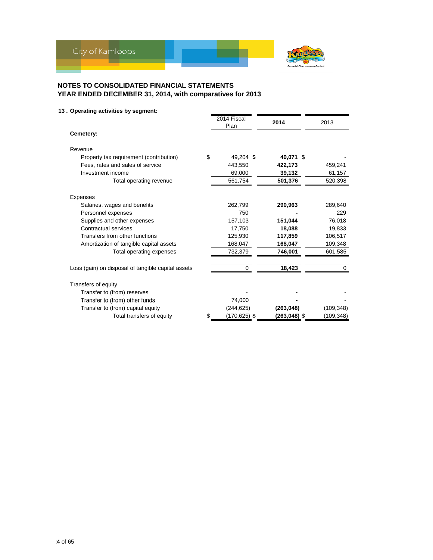

### **13 . Operating activities by segment:**

|                                                    | 2014 Fiscal<br>Plan | 2014         | 2013       |
|----------------------------------------------------|---------------------|--------------|------------|
| Cemetery:                                          |                     |              |            |
| Revenue                                            |                     |              |            |
| Property tax requirement (contribution)            | \$<br>49,204 \$     | 40.071 \$    |            |
| Fees, rates and sales of service                   | 443,550             | 422,173      | 459,241    |
| Investment income                                  | 69,000              | 39,132       | 61,157     |
| Total operating revenue                            | 561,754             | 501,376      | 520,398    |
| Expenses                                           |                     |              |            |
| Salaries, wages and benefits                       | 262,799             | 290,963      | 289,640    |
| Personnel expenses                                 | 750                 |              | 229        |
| Supplies and other expenses                        | 157,103             | 151,044      | 76,018     |
| Contractual services                               | 17,750              | 18.088       | 19,833     |
| Transfers from other functions                     | 125,930             | 117,859      | 106,517    |
| Amortization of tangible capital assets            | 168,047             | 168,047      | 109,348    |
| Total operating expenses                           | 732,379             | 746,001      | 601,585    |
| Loss (gain) on disposal of tangible capital assets | 0                   | 18,423       | 0          |
| Transfers of equity                                |                     |              |            |
| Transfer to (from) reserves                        |                     |              |            |
| Transfer to (from) other funds                     | 74,000              |              |            |
| Transfer to (from) capital equity                  | (244, 625)          | (263, 048)   | (109, 348) |
| Total transfers of equity                          | (170,625) \$        | (263,048) \$ | (109,348)  |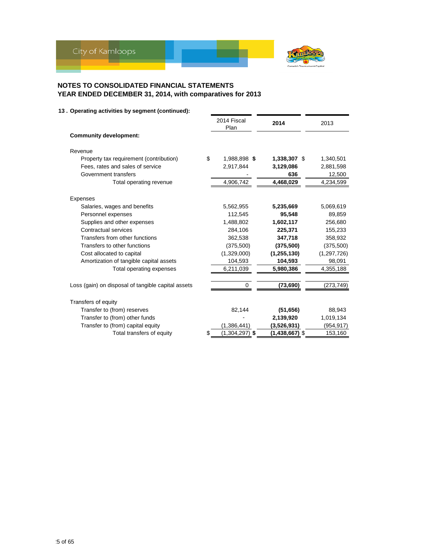

|                                                    | 2014 Fiscal<br>Plan    | 2014             | 2013          |
|----------------------------------------------------|------------------------|------------------|---------------|
| <b>Community development:</b>                      |                        |                  |               |
| Revenue                                            |                        |                  |               |
| Property tax requirement (contribution)            | \$<br>1,988,898 \$     | 1,338,307 \$     | 1,340,501     |
| Fees, rates and sales of service                   | 2,917,844              | 3,129,086        | 2,881,598     |
| Government transfers                               |                        | 636              | 12,500        |
| Total operating revenue                            | 4,906,742              | 4,468,029        | 4,234,599     |
| Expenses                                           |                        |                  |               |
| Salaries, wages and benefits                       | 5,562,955              | 5,235,669        | 5,069,619     |
| Personnel expenses                                 | 112,545                | 95,548           | 89,859        |
| Supplies and other expenses                        | 1,488,802              | 1,602,117        | 256,680       |
| Contractual services                               | 284,106                | 225,371          | 155,233       |
| Transfers from other functions                     | 362,538                | 347,718          | 358,932       |
| Transfers to other functions                       | (375,500)              | (375, 500)       | (375, 500)    |
| Cost allocated to capital                          | (1,329,000)            | (1, 255, 130)    | (1, 297, 726) |
| Amortization of tangible capital assets            | 104,593                | 104,593          | 98,091        |
| Total operating expenses                           | 6,211,039              | 5,980,386        | 4,355,188     |
| Loss (gain) on disposal of tangible capital assets |                        | (73, 690)        | (273, 749)    |
|                                                    |                        |                  |               |
| Transfers of equity                                |                        |                  |               |
| Transfer to (from) reserves                        | 82,144                 | (51, 656)        | 88,943        |
| Transfer to (from) other funds                     |                        | 2,139,920        | 1,019,134     |
| Transfer to (from) capital equity                  | (1,386,441)            | (3,526,931)      | (954,917)     |
| Total transfers of equity                          | \$<br>$(1,304,297)$ \$ | $(1,438,667)$ \$ | 153,160       |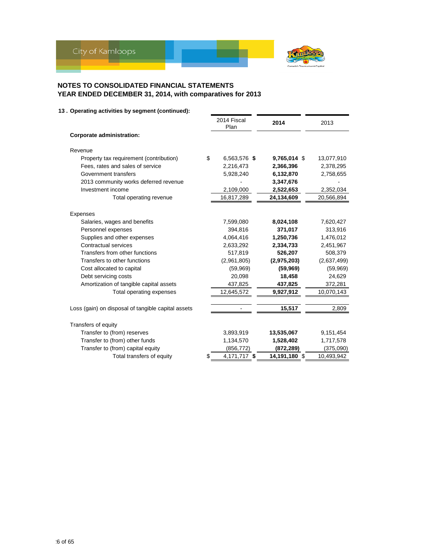

|                                                    | 2014 Fiscal<br>Plan | 2014          | 2013        |
|----------------------------------------------------|---------------------|---------------|-------------|
| Corporate administration:                          |                     |               |             |
| Revenue                                            |                     |               |             |
| \$<br>Property tax requirement (contribution)      | 6,563,576 \$        | 9,765,014 \$  | 13,077,910  |
| Fees, rates and sales of service                   | 2,216,473           | 2,366,396     | 2,378,295   |
| Government transfers                               | 5,928,240           | 6,132,870     | 2,758,655   |
| 2013 community works deferred revenue              |                     | 3,347,676     |             |
| Investment income                                  | 2,109,000           | 2,522,653     | 2,352,034   |
| Total operating revenue                            | 16,817,289          | 24,134,609    | 20,566,894  |
|                                                    |                     |               |             |
| Expenses                                           |                     |               |             |
| Salaries, wages and benefits                       | 7,599,080           | 8,024,108     | 7,620,427   |
| Personnel expenses                                 | 394,816             | 371,017       | 313,916     |
| Supplies and other expenses                        | 4,064,416           | 1,250,736     | 1,476,012   |
| Contractual services                               | 2,633,292           | 2,334,733     | 2,451,967   |
| Transfers from other functions                     | 517,819             | 526,207       | 508,379     |
| Transfers to other functions                       | (2,961,805)         | (2,975,203)   | (2,637,499) |
| Cost allocated to capital                          | (59,969)            | (59, 969)     | (59,969)    |
| Debt servicing costs                               | 20,098              | 18,458        | 24,629      |
| Amortization of tangible capital assets            | 437,825             | 437,825       | 372,281     |
| Total operating expenses                           | 12,645,572          | 9,927,912     | 10,070,143  |
| Loss (gain) on disposal of tangible capital assets |                     | 15,517        | 2,809       |
|                                                    |                     |               |             |
| Transfers of equity                                |                     |               |             |
| Transfer to (from) reserves                        | 3,893,919           | 13,535,067    | 9,151,454   |
| Transfer to (from) other funds                     | 1,134,570           | 1,528,402     | 1,717,578   |
| Transfer to (from) capital equity                  | (856, 772)          | (872, 289)    | (375,090)   |
| \$<br>Total transfers of equity                    | 4,171,717 \$        | 14,191,180 \$ | 10,493,942  |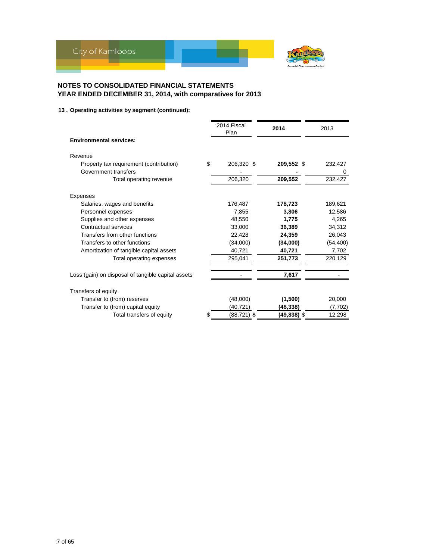

|                                                    | 2014 Fiscal<br>Plan | 2014        | 2013      |
|----------------------------------------------------|---------------------|-------------|-----------|
| <b>Environmental services:</b>                     |                     |             |           |
| Revenue                                            |                     |             |           |
| Property tax requirement (contribution)            | \$<br>206,320 \$    | 209,552 \$  | 232,427   |
| Government transfers                               |                     |             | 0         |
| Total operating revenue                            | 206,320             | 209,552     | 232,427   |
| Expenses                                           |                     |             |           |
| Salaries, wages and benefits                       | 176,487             | 178,723     | 189,621   |
| Personnel expenses                                 | 7.855               | 3.806       | 12,586    |
| Supplies and other expenses                        | 48.550              | 1.775       | 4,265     |
| Contractual services                               | 33,000              | 36,389      | 34,312    |
| Transfers from other functions                     | 22,428              | 24,359      | 26,043    |
| Transfers to other functions                       | (34,000)            | (34,000)    | (54, 400) |
| Amortization of tangible capital assets            | 40,721              | 40,721      | 7,702     |
| Total operating expenses                           | 295,041             | 251,773     | 220,129   |
| Loss (gain) on disposal of tangible capital assets |                     | 7,617       |           |
| Transfers of equity                                |                     |             |           |
| Transfer to (from) reserves                        | (48,000)            | (1,500)     | 20,000    |
| Transfer to (from) capital equity                  | (40, 721)           | (48, 338)   | (7, 702)  |
| Total transfers of equity                          | (88,721) \$         | (49,838) \$ | 12,298    |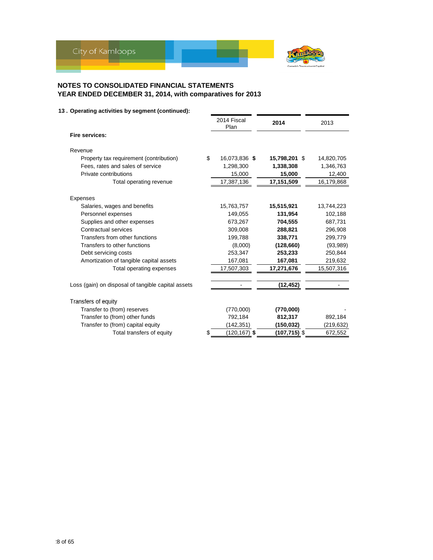

|                                                    | 2014 Fiscal<br>Plan   | 2014          | 2013       |
|----------------------------------------------------|-----------------------|---------------|------------|
| Fire services:                                     |                       |               |            |
| Revenue                                            |                       |               |            |
| Property tax requirement (contribution)            | \$<br>16,073,836 \$   | 15,798,201 \$ | 14,820,705 |
| Fees, rates and sales of service                   | 1,298,300             | 1,338,308     | 1,346,763  |
| Private contributions                              | 15,000                | 15,000        | 12,400     |
| Total operating revenue                            | 17,387,136            | 17,151,509    | 16,179,868 |
| Expenses                                           |                       |               |            |
| Salaries, wages and benefits                       | 15,763,757            | 15,515,921    | 13,744,223 |
| Personnel expenses                                 | 149,055               | 131,954       | 102,188    |
| Supplies and other expenses                        | 673,267               | 704.555       | 687,731    |
| Contractual services                               | 309.008               | 288,821       | 296,908    |
| Transfers from other functions                     | 199,788               | 338,771       | 299,779    |
| Transfers to other functions                       | (8,000)               | (128, 660)    | (93,989)   |
| Debt servicing costs                               | 253,347               | 253,233       | 250,844    |
| Amortization of tangible capital assets            | 167,081               | 167,081       | 219,632    |
| Total operating expenses                           | 17,507,303            | 17,271,676    | 15,507,316 |
|                                                    |                       |               |            |
| Loss (gain) on disposal of tangible capital assets |                       | (12, 452)     |            |
| Transfers of equity                                |                       |               |            |
| Transfer to (from) reserves                        | (770,000)             | (770,000)     |            |
| Transfer to (from) other funds                     | 792,184               | 812,317       | 892,184    |
| Transfer to (from) capital equity                  | (142,351)             | (150,032)     | (219, 632) |
| Total transfers of equity                          | \$<br>$(120, 167)$ \$ | (107,715) \$  | 672,552    |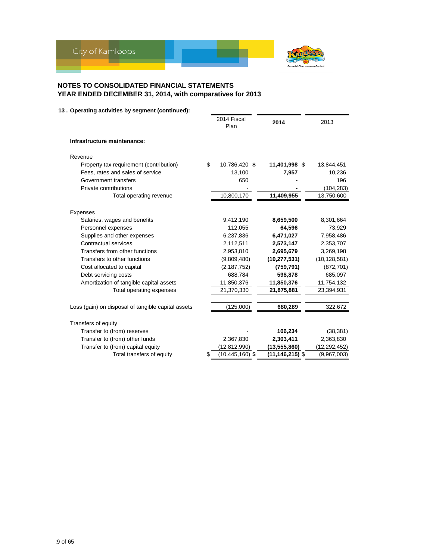

|                                                    | 2014 Fiscal<br>Plan       | 2014                | 2013           |
|----------------------------------------------------|---------------------------|---------------------|----------------|
| Infrastructure maintenance:                        |                           |                     |                |
| Revenue                                            |                           |                     |                |
| Property tax requirement (contribution)            | \$<br>10,786,420 \$       | 11,401,998 \$       | 13,844,451     |
| Fees, rates and sales of service                   | 13,100                    | 7,957               | 10,236         |
| Government transfers                               | 650                       |                     | 196            |
| Private contributions                              |                           |                     | (104,283)      |
| Total operating revenue                            | 10,800,170                | 11,409,955          | 13,750,600     |
| Expenses                                           |                           |                     |                |
| Salaries, wages and benefits                       | 9,412,190                 | 8,659,500           | 8,301,664      |
| Personnel expenses                                 | 112,055                   | 64,596              | 73,929         |
| Supplies and other expenses                        | 6,237,836                 | 6,471,027           | 7,958,486      |
| Contractual services                               | 2,112,511                 | 2,573,147           | 2,353,707      |
| Transfers from other functions                     | 2,953,810                 | 2,695,679           | 3,269,198      |
| Transfers to other functions                       | (9,809,480)               | (10, 277, 531)      | (10, 128, 581) |
| Cost allocated to capital                          | (2, 187, 752)             | (759,791)           | (872, 701)     |
| Debt servicing costs                               | 688,784                   | 598,878             | 685,097        |
| Amortization of tangible capital assets            | 11,850,376                | 11,850,376          | 11,754,132     |
| Total operating expenses                           | 21,370,330                | 21,875,881          | 23,394,931     |
|                                                    |                           |                     |                |
| Loss (gain) on disposal of tangible capital assets | (125,000)                 | 680,289             | 322,672        |
| Transfers of equity                                |                           |                     |                |
| Transfer to (from) reserves                        |                           | 106,234             | (38, 381)      |
| Transfer to (from) other funds                     | 2,367,830                 | 2,303,411           | 2,363,830      |
| Transfer to (from) capital equity                  | (12,812,990)              | (13, 555, 860)      | (12,292,452)   |
| Total transfers of equity                          | \$<br>$(10, 445, 160)$ \$ | $(11, 146, 215)$ \$ | (9,967,003)    |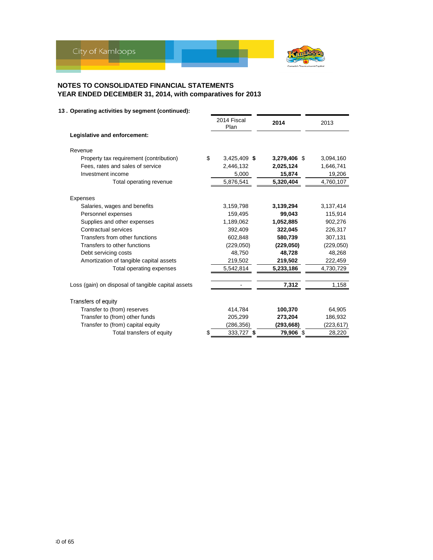

|                                                    | 2014 Fiscal<br>Plan | 2014         | 2013      |
|----------------------------------------------------|---------------------|--------------|-----------|
| Legislative and enforcement:                       |                     |              |           |
| Revenue                                            |                     |              |           |
| Property tax requirement (contribution)            | \$<br>3,425,409 \$  | 3,279,406 \$ | 3,094,160 |
| Fees, rates and sales of service                   | 2,446,132           | 2,025,124    | 1,646,741 |
| Investment income                                  | 5,000               | 15,874       | 19,206    |
| Total operating revenue                            | 5,876,541           | 5,320,404    | 4,760,107 |
| Expenses                                           |                     |              |           |
| Salaries, wages and benefits                       | 3,159,798           | 3,139,294    | 3,137,414 |
| Personnel expenses                                 | 159,495             | 99,043       | 115,914   |
| Supplies and other expenses                        | 1,189,062           | 1,052,885    | 902,276   |
| Contractual services                               | 392,409             | 322,045      | 226,317   |
| Transfers from other functions                     | 602,848             | 580,739      | 307,131   |
| Transfers to other functions                       | (229,050)           | (229,050)    | (229,050) |
| Debt servicing costs                               | 48,750              | 48,728       | 48,268    |
| Amortization of tangible capital assets            | 219,502             | 219,502      | 222,459   |
| Total operating expenses                           | 5,542,814           | 5,233,186    | 4,730,729 |
|                                                    |                     |              |           |
| Loss (gain) on disposal of tangible capital assets |                     | 7,312        | 1,158     |
| Transfers of equity                                |                     |              |           |
| Transfer to (from) reserves                        | 414,784             | 100,370      | 64,905    |
| Transfer to (from) other funds                     | 205,299             | 273,204      | 186,932   |
| Transfer to (from) capital equity                  | (286,356)           | (293,668)    | (223,617) |
| Total transfers of equity                          | \$<br>333,727 \$    | 79,906 \$    | 28,220    |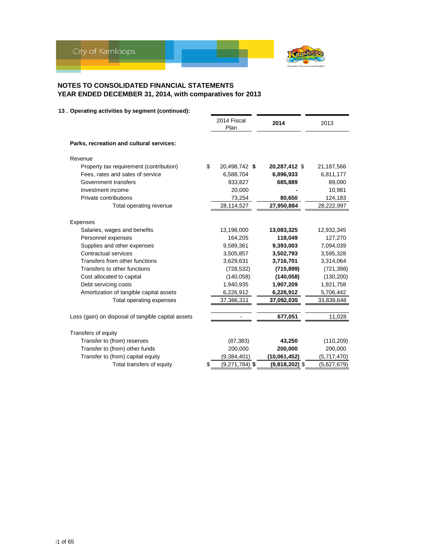

|                                                    | 2014 Fiscal<br>Plan    | 2014             | 2013        |
|----------------------------------------------------|------------------------|------------------|-------------|
| Parks, recreation and cultural services:           |                        |                  |             |
| Revenue                                            |                        |                  |             |
| Property tax requirement (contribution)            | \$<br>20,498,742 \$    | 20,287,412 \$    | 21,187,566  |
| Fees, rates and sales of service                   | 6,588,704              | 6,896,933        | 6,811,177   |
| Government transfers                               | 933,827                | 685,889          | 89,090      |
| Investment income                                  | 20,000                 |                  | 10,981      |
| Private contributions                              | 73,254                 | 80,650           | 124,183     |
| Total operating revenue                            | 28,114,527             | 27,950,884       | 28,222,997  |
| Expenses                                           |                        |                  |             |
| Salaries, wages and benefits                       | 13,198,000             | 13,083,325       | 12,932,345  |
| Personnel expenses                                 | 164,205                | 118,049          | 127,270     |
| Supplies and other expenses                        | 9,589,361              | 9,393,003        | 7,094,039   |
| Contractual services                               | 3,505,857              | 3,502,793        | 3,595,328   |
| Transfers from other functions                     |                        |                  |             |
| Transfers to other functions                       | 3,629,631              | 3,716,701        | 3,314,064   |
|                                                    | (728, 532)             | (715, 899)       | (721, 398)  |
| Cost allocated to capital                          | (140.058)              | (140, 058)       | (130, 200)  |
| Debt servicing costs                               | 1,940,935              | 1,907,209        | 1,921,758   |
| Amortization of tangible capital assets            | 6,226,912              | 6,226,912        | 5,706,442   |
| Total operating expenses                           | 37,386,311             | 37,092,035       | 33,839,648  |
| Loss (gain) on disposal of tangible capital assets |                        | 677,051          | 11,028      |
|                                                    |                        |                  |             |
| Transfers of equity                                |                        |                  |             |
| Transfer to (from) reserves                        | (87, 383)              | 43,250           | (110, 209)  |
| Transfer to (from) other funds                     | 200,000                | 200,000          | 200,000     |
| Transfer to (from) capital equity                  | (9,384,401)            | (10,061,452)     | (5,717,470) |
| Total transfers of equity                          | \$<br>$(9,271,784)$ \$ | $(9,818,202)$ \$ | (5,627,679) |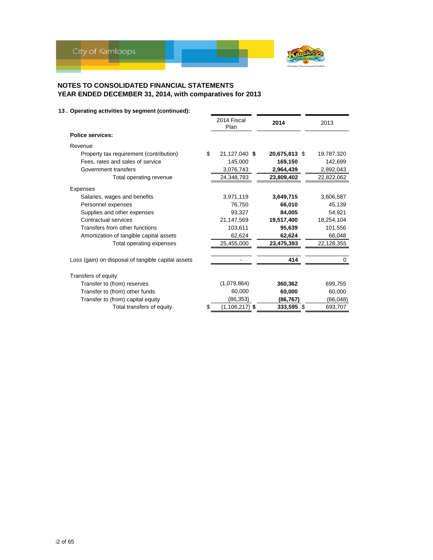

|                                                    | 2014 Fiscal<br>Plan | 2014          | 2013       |
|----------------------------------------------------|---------------------|---------------|------------|
| <b>Police services:</b>                            |                     |               |            |
| Revenue                                            |                     |               |            |
| Property tax requirement (contribution)            | \$<br>21,127,040 \$ | 20,675,813 \$ | 19,787,320 |
| Fees, rates and sales of service                   | 145,000             | 169,150       | 142,699    |
| Government transfers                               | 3,076,743           | 2,964,439     | 2,892,043  |
| Total operating revenue                            | 24,348,783          | 23,809,402    | 22,822,062 |
| Expenses                                           |                     |               |            |
| Salaries, wages and benefits                       | 3,971,119           | 3,649,715     | 3,606,587  |
| Personnel expenses                                 | 76,750              | 66,010        | 45,139     |
| Supplies and other expenses                        | 93,327              | 84,005        | 54,921     |
| Contractual services                               | 21,147,569          | 19,517,400    | 18,254,104 |
| Transfers from other functions                     | 103,611             | 95,639        | 101,556    |
| Amortization of tangible capital assets            | 62,624              | 62,624        | 66,048     |
| Total operating expenses                           | 25,455,000          | 23,475,393    | 22,128,355 |
| Loss (gain) on disposal of tangible capital assets |                     | 414           | 0          |
|                                                    |                     |               |            |
| Transfers of equity                                |                     |               |            |
| Transfer to (from) reserves                        | (1,079,864)         | 360,362       | 699,755    |
| Transfer to (from) other funds                     | 60.000              | 60,000        | 60,000     |
| Transfer to (from) capital equity                  | (86, 353)           | (86,767)      | (66, 048)  |
| Total transfers of equity                          | $(1, 106, 217)$ \$  | 333,595 \$    | 693,707    |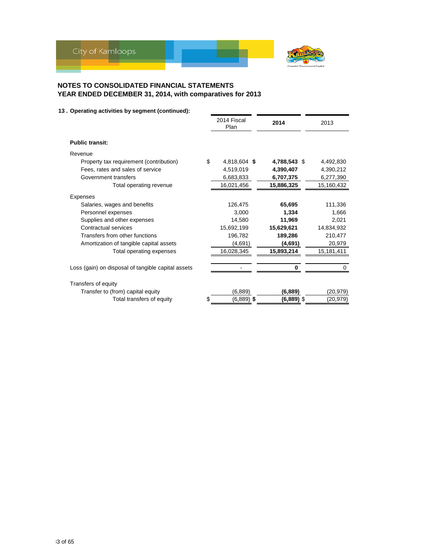

|                                                    | 2014 Fiscal<br>Plan | 2014         | 2013       |
|----------------------------------------------------|---------------------|--------------|------------|
| <b>Public transit:</b>                             |                     |              |            |
| Revenue                                            |                     |              |            |
| Property tax requirement (contribution)<br>\$      | 4,818,604 \$        | 4,788,543 \$ | 4,492,830  |
| Fees, rates and sales of service                   | 4,519,019           | 4,390,407    | 4,390,212  |
| Government transfers                               | 6,683,833           | 6,707,375    | 6,277,390  |
| Total operating revenue                            | 16,021,456          | 15,886,325   | 15,160,432 |
| Expenses                                           |                     |              |            |
| Salaries, wages and benefits                       | 126,475             | 65,695       | 111,336    |
| Personnel expenses                                 | 3,000               | 1.334        | 1,666      |
| Supplies and other expenses                        | 14.580              | 11,969       | 2,021      |
| Contractual services                               | 15,692,199          | 15,629,621   | 14,834,932 |
| Transfers from other functions                     | 196,782             | 189,286      | 210,477    |
| Amortization of tangible capital assets            | (4,691)             | (4,691)      | 20,979     |
| Total operating expenses                           | 16,028,345          | 15,893,214   | 15,181,411 |
|                                                    |                     |              |            |
| Loss (gain) on disposal of tangible capital assets |                     | 0            | 0          |
| Transfers of equity                                |                     |              |            |
| Transfer to (from) capital equity                  | (6,889)             | (6,889)      | (20, 979)  |
| Total transfers of equity<br>\$.                   | $(6,889)$ \$        | $(6,889)$ \$ | (20,979)   |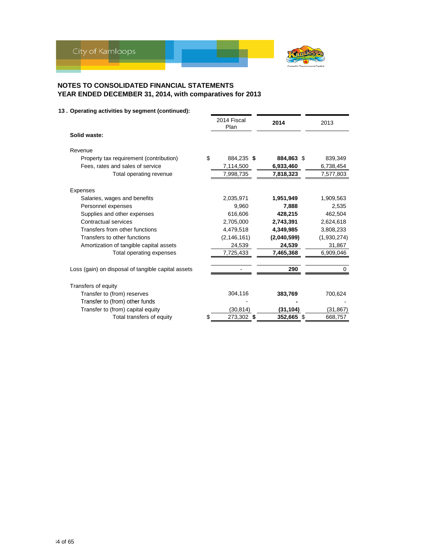

|                                                    | 2014 Fiscal<br>Plan |      | 2014        | 2013        |       |
|----------------------------------------------------|---------------------|------|-------------|-------------|-------|
| Solid waste:                                       |                     |      |             |             |       |
| Revenue                                            |                     |      |             |             |       |
| Property tax requirement (contribution)            | \$<br>884,235 \$    |      | 884,863 \$  | 839,349     |       |
| Fees, rates and sales of service                   | 7,114,500           |      | 6,933,460   | 6,738,454   |       |
| Total operating revenue                            | 7,998,735           |      | 7,818,323   | 7,577,803   |       |
| Expenses                                           |                     |      |             |             |       |
| Salaries, wages and benefits                       | 2,035,971           |      | 1,951,949   | 1,909,563   |       |
| Personnel expenses                                 | 9,960               |      | 7,888       |             | 2,535 |
| Supplies and other expenses                        | 616,606             |      | 428,215     | 462,504     |       |
| Contractual services                               | 2,705,000           |      | 2,743,391   | 2,624,618   |       |
| Transfers from other functions                     | 4,479,518           |      | 4,349,985   | 3,808,233   |       |
| Transfers to other functions                       | (2, 146, 161)       |      | (2,040,599) | (1,930,274) |       |
| Amortization of tangible capital assets            | 24,539              |      | 24,539      | 31,867      |       |
| Total operating expenses                           | 7,725,433           |      | 7,465,368   | 6,909,046   |       |
| Loss (gain) on disposal of tangible capital assets |                     |      | 290         |             | 0     |
| Transfers of equity                                |                     |      |             |             |       |
| Transfer to (from) reserves                        | 304,116             |      | 383,769     | 700,624     |       |
| Transfer to (from) other funds                     |                     |      |             |             |       |
| Transfer to (from) capital equity                  | (30, 814)           |      | (31, 104)   | (31, 867)   |       |
| Total transfers of equity                          | 273,302             | - \$ | 352,665 \$  | 668,757     |       |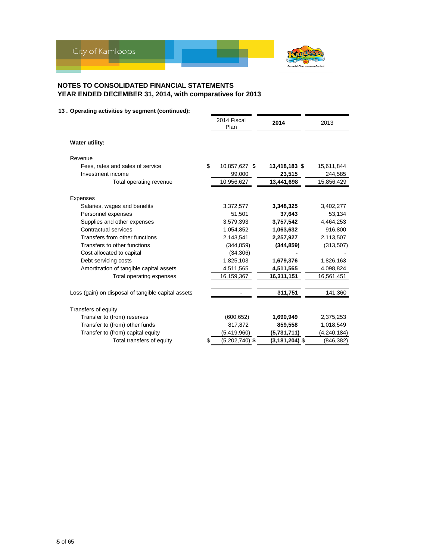

|                                                    | 2014 Fiscal<br>Plan    | 2014               | 2013        |
|----------------------------------------------------|------------------------|--------------------|-------------|
| Water utility:                                     |                        |                    |             |
| Revenue                                            |                        |                    |             |
| Fees, rates and sales of service                   | \$<br>10,857,627 \$    | 13,418,183 \$      | 15,611,844  |
| Investment income                                  | 99,000                 | 23,515             | 244,585     |
| Total operating revenue                            | 10,956,627             | 13,441,698         | 15,856,429  |
|                                                    |                        |                    |             |
| Expenses<br>Salaries, wages and benefits           | 3,372,577              | 3,348,325          | 3,402,277   |
| Personnel expenses                                 | 51,501                 | 37,643             | 53,134      |
| Supplies and other expenses                        | 3,579,393              | 3,757,542          | 4,464,253   |
| Contractual services                               | 1,054,852              | 1,063,632          | 916,800     |
| Transfers from other functions                     | 2,143,541              | 2,257,927          | 2,113,507   |
| Transfers to other functions                       | (344, 859)             | (344, 859)         | (313, 507)  |
| Cost allocated to capital                          | (34, 306)              |                    |             |
| Debt servicing costs                               | 1,825,103              | 1,679,376          | 1,826,163   |
| Amortization of tangible capital assets            | 4,511,565              | 4,511,565          | 4,098,824   |
| Total operating expenses                           | 16,159,367             | 16,311,151         | 16,561,451  |
|                                                    |                        |                    |             |
| Loss (gain) on disposal of tangible capital assets |                        | 311,751            | 141,360     |
| Transfers of equity                                |                        |                    |             |
| Transfer to (from) reserves                        | (600, 652)             | 1,690,949          | 2,375,253   |
| Transfer to (from) other funds                     | 817,872                | 859,558            | 1,018,549   |
| Transfer to (from) capital equity                  | (5, 419, 960)          | (5,731,711)        | (4,240,184) |
| Total transfers of equity                          | \$<br>$(5,202,740)$ \$ | $(3, 181, 204)$ \$ | (846, 382)  |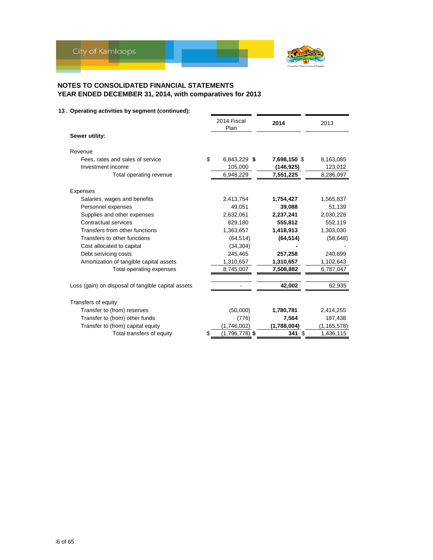

|                                                    | 2014 Fiscal<br>Plan    | 2014         | 2013          |
|----------------------------------------------------|------------------------|--------------|---------------|
| Sewer utility:                                     |                        |              |               |
| Revenue                                            |                        |              |               |
| Fees, rates and sales of service                   | \$<br>6,843,229 \$     | 7,698,150 \$ | 8,163,085     |
| Investment income                                  | 105,000                | (146,925)    | 123,012       |
| Total operating revenue                            | 6,948,229              | 7,551,225    | 8,286,097     |
| Expenses                                           |                        |              |               |
| Salaries, wages and benefits                       | 2,413,754              | 1,754,427    | 1,565,837     |
| Personnel expenses                                 | 49,051                 | 39,088       | 51,139        |
| Supplies and other expenses                        | 2,632,061              | 2,237,241    | 2,030,228     |
| Contractual services                               | 829,180                | 555,812      | 552,119       |
| Transfers from other functions                     | 1,363,657              | 1,418,913    | 1,303,030     |
| Transfers to other functions                       | (64, 514)              | (64, 514)    | (58, 648)     |
| Cost allocated to capital                          | (34, 304)              |              |               |
| Debt servicing costs                               | 245,465                | 257,258      | 240,699       |
| Amortization of tangible capital assets            | 1,310,657              | 1,310,657    | 1,102,643     |
| Total operating expenses                           | 8,745,007              | 7,508,882    | 6,787,047     |
| Loss (gain) on disposal of tangible capital assets |                        | 42,002       | 62,935        |
|                                                    |                        |              |               |
| Transfers of equity                                |                        |              |               |
| Transfer to (from) reserves                        | (50,000)               | 1,780,781    | 2,414,255     |
| Transfer to (from) other funds                     | (776)                  | 7,564        | 187,438       |
| Transfer to (from) capital equity                  | (1,746,002)            | (1,788,004)  | (1, 165, 578) |
| Total transfers of equity                          | \$<br>$(1,796,778)$ \$ | 341 \$       | 1,436,115     |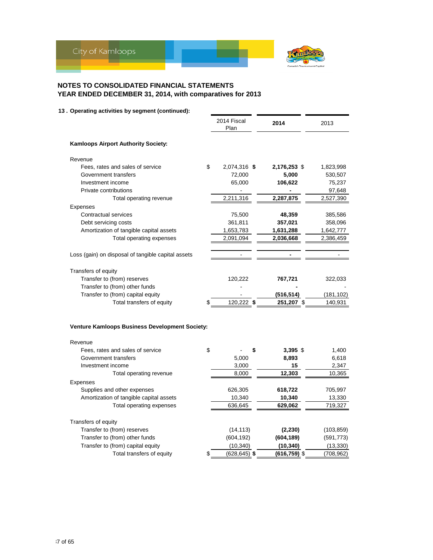

|                                                       | 2014 Fiscal<br>Plan | 2014             | 2013            |
|-------------------------------------------------------|---------------------|------------------|-----------------|
| Kamloops Airport Authority Society:                   |                     |                  |                 |
| Revenue                                               |                     |                  |                 |
| \$<br>Fees, rates and sales of service                | 2,074,316 \$        | 2,176,253 \$     | 1,823,998       |
| Government transfers                                  | 72,000              | 5,000            | 530,507         |
| Investment income                                     | 65,000              | 106,622          | 75,237          |
| Private contributions                                 |                     |                  | 97,648          |
| Total operating revenue                               | 2,211,316           | 2,287,875        | 2,527,390       |
| Expenses                                              |                     |                  |                 |
| Contractual services                                  | 75,500              | 48,359           | 385,586         |
| Debt servicing costs                                  | 361,811             | 357,021          | 358,096         |
| Amortization of tangible capital assets               | 1,653,783           | 1,631,288        | 1,642,777       |
| Total operating expenses                              | 2,091,094           | 2,036,668        | 2,386,459       |
| Loss (gain) on disposal of tangible capital assets    | $\blacksquare$      |                  |                 |
| Transfers of equity                                   |                     |                  |                 |
| Transfer to (from) reserves                           | 120,222             | 767,721          | 322,033         |
| Transfer to (from) other funds                        |                     |                  |                 |
| Transfer to (from) capital equity                     |                     | (516,514)        | (181,102)       |
| Total transfers of equity<br>\$                       | 120,222 \$          | 251,207 \$       | 140,931         |
| <b>Venture Kamloops Business Development Society:</b> |                     |                  |                 |
| Revenue                                               |                     |                  |                 |
| \$<br>Fees, rates and sales of service                |                     | \$<br>$3,395$ \$ | 1,400           |
| Government transfers                                  | 5,000               | 8,893            | 6,618           |
| Investment income<br>Total operating revenue          | 3,000<br>8.000      | 15<br>12,303     | 2,347<br>10,365 |
|                                                       |                     |                  |                 |
| Expenses<br>Supplies and other expenses               | 626,305             | 618,722          | 705,997         |
| Amortization of tangible capital assets               | 10,340              | 10,340           | 13,330          |
| Total operating expenses                              | 636,645             | 629,062          | 719,327         |
|                                                       |                     |                  |                 |
| Transfers of equity                                   |                     |                  |                 |
| Transfer to (from) reserves                           | (14, 113)           | (2, 230)         | (103, 859)      |
| Transfer to (from) other funds                        | (604, 192)          | (604, 189)       | (591, 773)      |
| Transfer to (from) capital equity                     | (10, 340)           | (10, 340)        | (13, 330)       |
| \$<br>Total transfers of equity                       | $(628, 645)$ \$     | $(616, 759)$ \$  | (708, 962)      |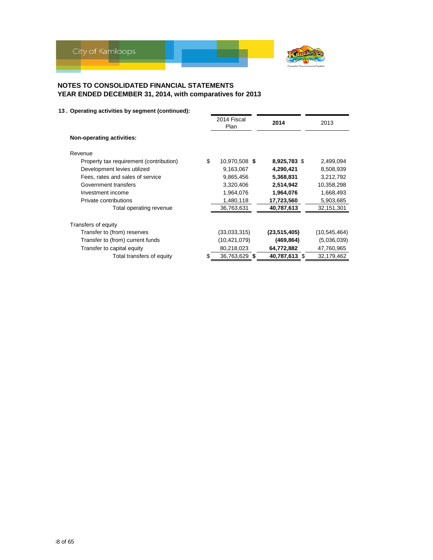

|                                               | 2014 Fiscal<br>Plan | 2014           | 2013         |
|-----------------------------------------------|---------------------|----------------|--------------|
| Non-operating activities:                     |                     |                |              |
| Revenue                                       |                     |                |              |
| \$<br>Property tax requirement (contribution) | 10,970,508 \$       | 8,925,783 \$   | 2,499,094    |
| Development levies utilized                   | 9,163,067           | 4,290,421      | 8,508,939    |
| Fees, rates and sales of service              | 9,865,456           | 5,368,831      | 3,212,792    |
| Government transfers                          | 3,320,406           | 2,514,942      | 10,358,298   |
| Investment income                             | 1,964,076           | 1,964,076      | 1,668,493    |
| Private contributions                         | 1,480,118           | 17,723,560     | 5,903,685    |
| Total operating revenue                       | 36,763,631          | 40,787,613     | 32,151,301   |
| Transfers of equity                           |                     |                |              |
| Transfer to (from) reserves                   | (33,033,315)        | (23, 515, 405) | (10,545,464) |
| Transfer to (from) current funds              | (10, 421, 079)      | (469,864)      | (5,036,039)  |
| Transfer to capital equity                    | 80,218,023          | 64,772,882     | 47,760,965   |
| Total transfers of equity                     | 36,763,629 \$       | 40,787,613 \$  | 32,179,462   |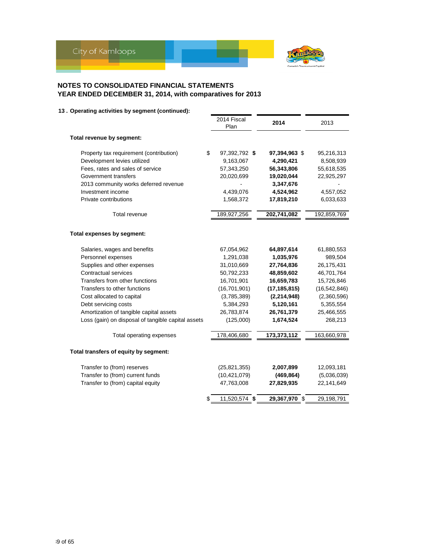

|                                                    | 2014 Fiscal<br>Plan | 2014           | 2013           |
|----------------------------------------------------|---------------------|----------------|----------------|
| Total revenue by segment:                          |                     |                |                |
| Property tax requirement (contribution)            | \$<br>97,392,792 \$ | 97,394,963 \$  | 95,216,313     |
| Development levies utilized                        | 9,163,067           | 4,290,421      | 8,508,939      |
| Fees, rates and sales of service                   | 57,343,250          | 56,343,806     | 55,618,535     |
| Government transfers                               | 20,020,699          | 19,020,044     | 22,925,297     |
| 2013 community works deferred revenue              |                     | 3,347,676      |                |
| Investment income                                  | 4,439,076           | 4,524,962      | 4,557,052      |
| Private contributions                              | 1,568,372           | 17,819,210     | 6,033,633      |
| Total revenue                                      | 189,927,256         | 202,741,082    | 192,859,769    |
| Total expenses by segment:                         |                     |                |                |
| Salaries, wages and benefits                       | 67,054,962          | 64,897,614     | 61,880,553     |
| Personnel expenses                                 | 1,291,038           | 1,035,976      | 989,504        |
| Supplies and other expenses                        | 31,010,669          | 27,764,836     | 26,175,431     |
| <b>Contractual services</b>                        | 50,792,233          | 48,859,602     | 46,701,764     |
| Transfers from other functions                     | 16,701,901          | 16,659,783     | 15,726,846     |
| Transfers to other functions                       | (16, 701, 901)      | (17, 185, 815) | (16, 542, 846) |
| Cost allocated to capital                          | (3,785,389)         | (2, 214, 948)  | (2,360,596)    |
| Debt servicing costs                               | 5,384,293           | 5,120,161      | 5,355,554      |
| Amortization of tangible capital assets            | 26,783,874          | 26,761,379     | 25,466,555     |
| Loss (gain) on disposal of tangible capital assets | (125,000)           | 1,674,524      | 268,213        |
| Total operating expenses                           | 178,406,680         | 173,373,112    | 163,660,978    |
| Total transfers of equity by segment:              |                     |                |                |
| Transfer to (from) reserves                        | (25, 821, 355)      | 2,007,899      | 12,093,181     |
| Transfer to (from) current funds                   | (10, 421, 079)      | (469, 864)     | (5,036,039)    |
| Transfer to (from) capital equity                  | 47,763,008          | 27,829,935     | 22,141,649     |
|                                                    | 11,520,574 \$       | 29,367,970 \$  | 29,198,791     |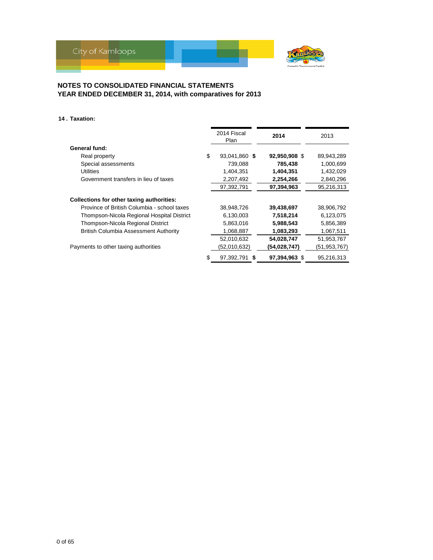

### **14 . Taxation:**

|                                                  | 2014 Fiscal<br>Plan |  | 2014          | 2013         |
|--------------------------------------------------|---------------------|--|---------------|--------------|
| General fund:                                    |                     |  |               |              |
| Real property                                    | \$<br>93,041,860 \$ |  | 92,950,908 \$ | 89,943,289   |
| Special assessments                              | 739,088             |  | 785,438       | 1,000,699    |
| <b>Utilities</b>                                 | 1,404,351           |  | 1,404,351     | 1,432,029    |
| Government transfers in lieu of taxes            | 2,207,492           |  | 2,254,266     | 2,840,296    |
|                                                  | 97,392,791          |  | 97,394,963    | 95,216,313   |
| <b>Collections for other taxing authorities:</b> |                     |  |               |              |
| Province of British Columbia - school taxes      | 38,948,726          |  | 39,438,697    | 38,906,792   |
| Thompson-Nicola Regional Hospital District       | 6,130,003           |  | 7,518,214     | 6,123,075    |
| Thompson-Nicola Regional District                | 5,863,016           |  | 5,988,543     | 5,856,389    |
| <b>British Columbia Assessment Authority</b>     | 1,068,887           |  | 1,083,293     | 1,067,511    |
|                                                  | 52,010,632          |  | 54,028,747    | 51,953,767   |
| Payments to other taxing authorities             | (52,010,632)        |  | (54,028,747)  | (51,953,767) |
|                                                  | \$<br>97,392,791 \$ |  | 97,394,963 \$ | 95,216,313   |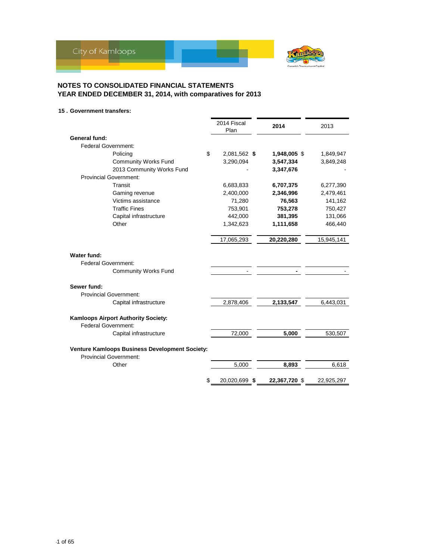

### **15 . Government transfers:**

|                                                            | 2014 Fiscal<br>Plan | 2014          | 2013       |
|------------------------------------------------------------|---------------------|---------------|------------|
| <b>General fund:</b>                                       |                     |               |            |
| <b>Federal Government:</b>                                 |                     |               |            |
| \$<br>Policing                                             | 2,081,562 \$        | 1,948,005 \$  | 1,849,947  |
| <b>Community Works Fund</b>                                | 3,290,094           | 3,547,334     | 3,849,248  |
| 2013 Community Works Fund                                  |                     | 3,347,676     |            |
| <b>Provincial Government:</b>                              |                     |               |            |
| Transit                                                    | 6,683,833           | 6,707,375     | 6,277,390  |
| Gaming revenue                                             | 2,400,000           | 2,346,996     | 2,479,461  |
| Victims assistance                                         | 71,280              | 76,563        | 141,162    |
| <b>Traffic Fines</b>                                       | 753,901             | 753,278       | 750,427    |
| Capital infrastructure                                     | 442.000             | 381,395       | 131,066    |
| Other                                                      | 1,342,623           | 1,111,658     | 466,440    |
|                                                            | 17,065,293          | 20,220,280    | 15,945,141 |
| Water fund:<br><b>Federal Government:</b>                  |                     |               |            |
| <b>Community Works Fund</b>                                |                     |               |            |
| Sewer fund:                                                |                     |               |            |
| <b>Provincial Government:</b>                              |                     |               |            |
| Capital infrastructure                                     | 2,878,406           | 2,133,547     | 6,443,031  |
| Kamloops Airport Authority Society:<br>Federal Government: |                     |               |            |
| Capital infrastructure                                     | 72,000              | 5,000         | 530,507    |
| Venture Kamloops Business Development Society:             |                     |               |            |
| <b>Provincial Government:</b>                              |                     |               |            |
| Other                                                      | 5,000               | 8,893         | 6,618      |
| \$                                                         | 20,020,699 \$       | 22,367,720 \$ | 22,925,297 |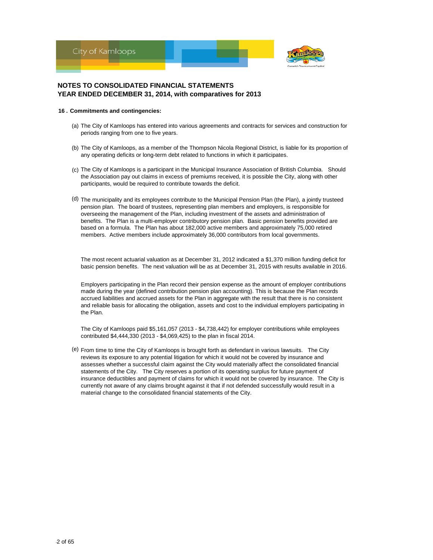

#### **16 . Commitments and contingencies:**

- (a) The City of Kamloops has entered into various agreements and contracts for services and construction for periods ranging from one to five years.
- (b) The City of Kamloops, as a member of the Thompson Nicola Regional District, is liable for its proportion of any operating deficits or long-term debt related to functions in which it participates.
- (c) The City of Kamloops is a participant in the Municipal Insurance Association of British Columbia. Should the Association pay out claims in excess of premiums received, it is possible the City, along with other participants, would be required to contribute towards the deficit.
- (d) The municipality and its employees contribute to the Municipal Pension Plan (the Plan), a jointly trusteed pension plan. The board of trustees, representing plan members and employers, is responsible for overseeing the management of the Plan, including investment of the assets and administration of benefits. The Plan is a multi-employer contributory pension plan. Basic pension benefits provided are based on a formula. The Plan has about 182,000 active members and approximately 75,000 retired members. Active members include approximately 36,000 contributors from local governments.

The most recent actuarial valuation as at December 31, 2012 indicated a \$1,370 million funding deficit for basic pension benefits. The next valuation will be as at December 31, 2015 with results available in 2016.

Employers participating in the Plan record their pension expense as the amount of employer contributions made during the year (defined contribution pension plan accounting). This is because the Plan records accrued liabilities and accrued assets for the Plan in aggregate with the result that there is no consistent and reliable basis for allocating the obligation, assets and cost to the individual employers participating in the Plan.

The City of Kamloops paid \$5,161,057 (2013 - \$4,738,442) for employer contributions while employees contributed \$4,444,330 (2013 - \$4,069,425) to the plan in fiscal 2014.

 $(e)$  From time to time the City of Kamloops is brought forth as defendant in various lawsuits. The City reviews its exposure to any potential litigation for which it would not be covered by insurance and assesses whether a successful claim against the City would materially affect the consolidated financial statements of the City. The City reserves a portion of its operating surplus for future payment of insurance deductibles and payment of claims for which it would not be covered by insurance. The City is currently not aware of any claims brought against it that if not defended successfully would result in a material change to the consolidated financial statements of the City.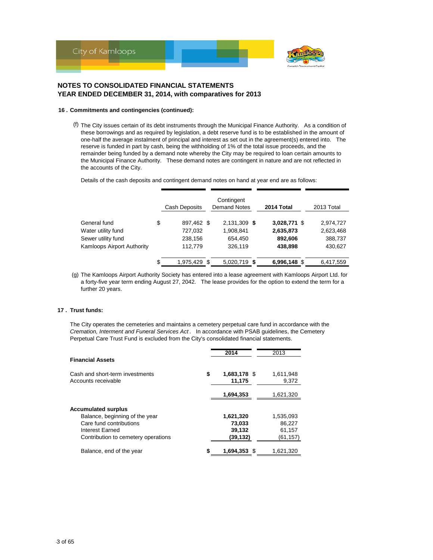

#### **16 . Commitments and contingencies (continued):**

(f) The City issues certain of its debt instruments through the Municipal Finance Authority. As a condition of these borrowings and as required by legislation, a debt reserve fund is to be established in the amount of one-half the average instalment of principal and interest as set out in the agreement(s) entered into. The reserve is funded in part by cash, being the withholding of 1% of the total issue proceeds, and the remainder being funded by a demand note whereby the City may be required to loan certain amounts to the Municipal Finance Authority. These demand notes are contingent in nature and are not reflected in the accounts of the City.

Details of the cash deposits and contingent demand notes on hand at year end are as follows:

|                            | Cash Deposits    |     | Contingent<br><b>Demand Notes</b> | 2014 Total | 2013 Total   |                        |  |
|----------------------------|------------------|-----|-----------------------------------|------------|--------------|------------------------|--|
| General fund               | \$<br>897,462 \$ |     | 2,131,309 \$                      |            | 3,028,771 \$ |                        |  |
| Water utility fund         | 727,032          |     | 1,908,841                         |            | 2,635,873    | 2,974,727<br>2,623,468 |  |
| Sewer utility fund         | 238,156          |     | 654.450                           |            | 892,606      | 388,737                |  |
| Kamloops Airport Authority | 112.779          |     | 326.119                           |            | 438.898      | 430,627                |  |
|                            | \$<br>1,975,429  | \$. | 5,020,719 \$                      |            | 6,996,148 \$ | 6.417.559              |  |

(g) The Kamloops Airport Authority Society has entered into a lease agreement with Kamloops Airport Ltd. for a forty-five year term ending August 27, 2042. The lease provides for the option to extend the term for a further 20 years.

#### **17 . Trust funds:**

The City operates the cemeteries and maintains a cemetery perpetual care fund in accordance with the *Cremation, Interment and Funeral Services Act* . In accordance with PSAB guidelines, the Cemetery Perpetual Care Trust Fund is excluded from the City's consolidated financial statements.

| <b>Financial Assets</b>                                |    | 2014                   | 2013               |
|--------------------------------------------------------|----|------------------------|--------------------|
| Cash and short-term investments<br>Accounts receivable | \$ | 1,683,178 \$<br>11,175 | 1,611,948<br>9.372 |
|                                                        |    | 1,694,353              | 1,621,320          |
| <b>Accumulated surplus</b>                             |    |                        |                    |
| Balance, beginning of the year                         |    | 1,621,320              | 1,535,093          |
| Care fund contributions                                |    | 73,033                 | 86.227             |
| Interest Earned                                        |    | 39,132                 | 61,157             |
| Contribution to cemetery operations                    |    | (39,132)               | (61, 157)          |
| Balance, end of the year                               | S  | 1,694,353 \$           | 1,621,320          |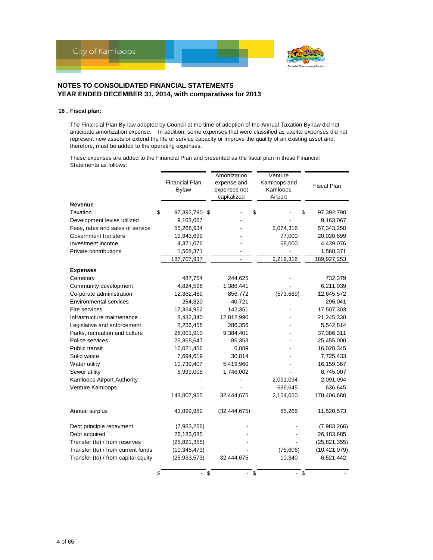

### **18 . Fiscal plan:**

The Financial Plan By-law adopted by Council at the time of adoption of the Annual Taxation By-law did not anticipate amortization expense. In addition, some expenses that were classified as capital expenses did not represent new assets or extend the life or service capacity or improve the quality of an existing asset and, therefore, must be added to the operating expenses.

These expenses are added to the Financial Plan and presented as the fiscal plan in these Financial Statements as follows:

|                                     | <b>Financial Plan</b><br><b>Bylaw</b> | Amortization<br>expense and<br>expenses not<br>capitalized | Venture<br>Kamloops and<br>Kamloops<br>Airport | <b>Fiscal Plan</b> |
|-------------------------------------|---------------------------------------|------------------------------------------------------------|------------------------------------------------|--------------------|
| Revenue                             |                                       |                                                            |                                                |                    |
| <b>Taxation</b>                     | \$<br>97,392,790 \$                   |                                                            | \$                                             | \$<br>97,392,790   |
| Development levies utilized         | 9,163,067                             |                                                            |                                                | 9,163,067          |
| Fees, rates and sales of service    | 55,268,934                            |                                                            | 2,074,316                                      | 57,343,250         |
| Government transfers                | 19,943,699                            |                                                            | 77,000                                         | 20,020,699         |
| Investment income                   | 4,371,076                             |                                                            | 68,000                                         | 4,439,076          |
| Private contributions               | 1,568,371                             |                                                            |                                                | 1,568,371          |
|                                     | 187,707,937                           | $\overline{a}$                                             | 2,219,316                                      | 189,927,253        |
| <b>Expenses</b>                     |                                       |                                                            |                                                |                    |
| Cemetery                            | 487,754                               | 244,625                                                    |                                                | 732,379            |
| Community development               | 4,824,598                             | 1,386,441                                                  |                                                | 6,211,039          |
| Corporate administration            | 12,362,489                            | 856,772                                                    | (573, 689)                                     | 12,645,572         |
| <b>Environmental services</b>       | 254,320                               | 40,721                                                     |                                                | 295,041            |
| Fire services                       | 17,364,952                            | 142,351                                                    |                                                | 17,507,303         |
| Infrastructure maintenance          | 8,432,340                             | 12,812,990                                                 |                                                | 21,245,330         |
| Legislative and enforcement         | 5,256,458                             | 286,356                                                    |                                                | 5,542,814          |
| Parks, recreation and culture       | 28,001,910                            | 9,384,401                                                  |                                                | 37,386,311         |
| Police services                     | 25,368,647                            | 86,353                                                     |                                                | 25,455,000         |
| Public transit                      | 16,021,456                            | 6,889                                                      |                                                | 16,028,345         |
| Solid waste                         | 7,694,619                             | 30,814                                                     |                                                | 7,725,433          |
| Water utility                       | 10,739,407                            | 5,419,960                                                  |                                                | 16,159,367         |
| Sewer utility                       | 6,999,005                             | 1,746,002                                                  |                                                | 8,745,007          |
| Kamloops Airport Authority          |                                       |                                                            | 2,091,094                                      | 2,091,094          |
| Venture Kamloops                    |                                       |                                                            | 636,645                                        | 636,645            |
|                                     | 143,807,955                           | 32,444,675                                                 | 2,154,050                                      | 178,406,680        |
| Annual surplus                      | 43,899,982                            | (32, 444, 675)                                             | 65,266                                         | 11,520,573         |
| Debt principle repayment            | (7,983,266)                           |                                                            |                                                | (7,983,266)        |
| Debt acquired                       | 26,183,685                            |                                                            |                                                | 26,183,685         |
| Transfer (to) / from reserves       | (25, 821, 355)                        |                                                            |                                                | (25, 821, 355)     |
| Transfer (to) / from current funds  | (10, 345, 473)                        |                                                            | (75,606)                                       | (10, 421, 079)     |
| Transfer (to) / from capital equity | (25, 933, 573)                        | 32,444,675                                                 | 10,340                                         | 6,521,442          |
|                                     | \$                                    | \$                                                         | \$                                             | \$                 |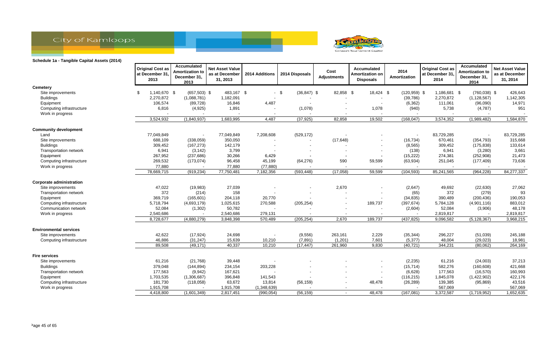



|                                              | <b>Original Cost as</b><br>at December 31,<br>2013 | Accumulated<br><b>Amortization to</b><br>December 31,<br>2013 | <b>Net Asset Value</b><br>as at December<br>31, 2013 | 2014 Additions | 2014 Disposals           | Cost<br>Adjustments      | Accumulated<br>Amortization on<br><b>Disposals</b> | 2014<br>Amortization | <b>Original Cost as</b><br>at December 31,<br>2014 | Accumulated<br><b>Amortization to</b><br>December 31,<br>2014 | <b>Net Asset Value</b><br>as at December<br>31, 2014 |
|----------------------------------------------|----------------------------------------------------|---------------------------------------------------------------|------------------------------------------------------|----------------|--------------------------|--------------------------|----------------------------------------------------|----------------------|----------------------------------------------------|---------------------------------------------------------------|------------------------------------------------------|
| <b>Cemetery</b>                              |                                                    |                                                               |                                                      |                |                          |                          |                                                    |                      |                                                    |                                                               |                                                      |
| Site improvements                            | 1,140,670 \$<br>\$                                 | $(657,503)$ \$                                                | 483,167 \$                                           |                | $-$ \$<br>$(36, 847)$ \$ | 82,858 \$                | 18,424 \$                                          | $(120.959)$ \$       | 1,186,681 \$                                       | $(760, 038)$ \$                                               | 426,643                                              |
| <b>Buildings</b>                             | 2,270,872                                          | (1,088,781)                                                   | 1,182,091                                            |                |                          |                          | $\overline{\phantom{a}}$                           | (39, 786)            | 2,270,872                                          | (1, 128, 567)                                                 | 1,142,305                                            |
| Equipment                                    | 106,574                                            | (89, 728)                                                     | 16,846                                               | 4,487          |                          |                          |                                                    | (6, 362)             | 111,061                                            | (96,090)                                                      | 14,971                                               |
| Computing infrastructure<br>Work in progress | 6,816                                              | (4,925)                                                       | 1,891                                                |                | (1,078)                  |                          | 1,078                                              | (940)                | 5,738                                              | (4,787)                                                       | 951                                                  |
|                                              | 3,524,932                                          | (1,840,937)                                                   | 1,683,995                                            | 4,487          | (37, 925)                | 82,858                   | 19,502                                             | (168, 047)           | 3,574,352                                          | (1,989,482)                                                   | 1,584,870                                            |
| <b>Community development</b>                 |                                                    |                                                               |                                                      |                |                          |                          |                                                    |                      |                                                    |                                                               |                                                      |
| Land                                         | 77,049,849                                         |                                                               | 77,049,849                                           | 7,208,608      | (529, 172)               |                          |                                                    |                      | 83,729,285                                         |                                                               | 83,729,285                                           |
| Site improvements                            | 688,109                                            | (338,059)                                                     | 350,050                                              |                | $\overline{\phantom{a}}$ | (17, 648)                |                                                    | (16, 734)            | 670,461                                            | (354, 793)                                                    | 315,668                                              |
| <b>Buildings</b>                             | 309,452                                            | (167, 273)                                                    | 142,179                                              |                |                          |                          |                                                    | (8, 565)             | 309,452                                            | (175, 838)                                                    | 133,614                                              |
| Transportation network                       | 6,941                                              | (3, 142)                                                      | 3,799                                                |                |                          |                          |                                                    | (138)                | 6,941                                              | (3,280)                                                       | 3,661                                                |
| Equipment                                    | 267,952                                            | (237, 686)                                                    | 30,266                                               | 6,429          |                          |                          |                                                    | (15, 222)            | 274,381                                            | (252, 908)                                                    | 21,473                                               |
| Computing infrastructure                     | 269,532                                            | (173, 074)                                                    | 96,458                                               | 45,199         | (64, 276)                | 590                      | 59,599                                             | (63, 934)            | 251,045                                            | (177, 409)                                                    | 73,636                                               |
| Work in progress                             | 77,880                                             |                                                               | 77,880                                               | (77, 880)      |                          | $\overline{\phantom{a}}$ |                                                    |                      |                                                    |                                                               |                                                      |
|                                              | 78,669,715                                         | (919, 234)                                                    | 77,750,481                                           | 7,182,356      | (593, 448)               | (17,058)                 | 59,599                                             | (104, 593)           | 85,241,565                                         | (964, 228)                                                    | 84,277,337                                           |
| <b>Corporate administration</b>              |                                                    |                                                               |                                                      |                |                          |                          |                                                    |                      |                                                    |                                                               |                                                      |
| Site improvements                            | 47,022                                             | (19, 983)                                                     | 27,039                                               |                |                          | 2,670                    |                                                    | (2,647)              | 49,692                                             | (22, 630)                                                     | 27,062                                               |
| Transportation network                       | 372                                                | (214)                                                         | 158                                                  |                |                          |                          |                                                    | (65)                 | 372                                                | (279)                                                         | 93                                                   |
| Equipment                                    | 369,719                                            | (165, 601)                                                    | 204,118                                              | 20,770         |                          |                          |                                                    | (34, 835)            | 390,489                                            | (200, 436)                                                    | 190,053                                              |
| Computing infrastructure                     | 5,718,794                                          | (4,693,179)                                                   | 1,025,615                                            | 270,588        | (205, 254)               |                          | 189,737                                            | (397, 674)           | 5,784,128                                          | (4,901,116)                                                   | 883,012                                              |
| Communication network                        | 52,084                                             | (1, 302)                                                      | 50,782                                               |                |                          |                          |                                                    | (2,604)              | 52,084                                             | (3,906)                                                       | 48,178                                               |
| Work in progress                             | 2,540,686                                          |                                                               | 2,540,686                                            | 279,131        | $\overline{\phantom{a}}$ |                          |                                                    |                      | 2,819,817                                          |                                                               | 2,819,817                                            |
|                                              | 8,728,677                                          | (4,880,279)                                                   | 3,848,398                                            | 570,489        | (205, 254)               | 2,670                    | 189,737                                            | (437, 825)           | 9,096,582                                          | (5, 128, 367)                                                 | 3,968,215                                            |
| <b>Environmental services</b>                |                                                    |                                                               |                                                      |                |                          |                          |                                                    |                      |                                                    |                                                               |                                                      |
| Site improvements                            | 42,622                                             | (17, 924)                                                     | 24,698                                               |                | (9, 556)                 | 263,161                  | 2,229                                              | (35, 344)            | 296,227                                            | (51,039)                                                      | 245,188                                              |
| Computing infrastructure                     | 46,886                                             | (31, 247)                                                     | 15,639                                               | 10,210         | (7, 891)                 | (1,201)                  | 7,601                                              | (5, 377)             | 48,004                                             | (29, 023)                                                     | 18,981                                               |
|                                              | 89,508                                             | (49, 171)                                                     | 40,337                                               | 10,210         | (17, 447)                | 261,960                  | 9,830                                              | (40, 721)            | 344,231                                            | (80,062)                                                      | 264,169                                              |
| <b>Fire services</b>                         |                                                    |                                                               |                                                      |                |                          |                          |                                                    |                      |                                                    |                                                               |                                                      |
| Site improvements                            | 61,216                                             | (21,768)                                                      | 39,448                                               |                |                          |                          |                                                    | (2, 235)             | 61,216                                             | (24,003)                                                      | 37,213                                               |
| <b>Buildings</b>                             | 379,048                                            | (144, 894)                                                    | 234,154                                              | 203,228        |                          |                          | $\overline{\phantom{0}}$                           | (15, 714)            | 582,276                                            | (160, 608)                                                    | 421,668                                              |
| Transportation network                       | 177,563                                            | (9,942)                                                       | 167,621                                              |                |                          |                          | $\overline{\phantom{a}}$                           | (6,628)              | 177,563                                            | (16, 570)                                                     | 160,993                                              |
| Equipment                                    | 1,703,535                                          | (1,306,687)                                                   | 396,848                                              | 141,543        |                          |                          |                                                    | (116, 215)           | 1,845,078                                          | (1,422,902)                                                   | 422,176                                              |
| Computing infrastructure                     | 181,730                                            | (118,058)                                                     | 63,672                                               | 13,814         | (56, 159)                |                          | 48,478                                             | (26, 289)            | 139,385                                            | (95, 869)                                                     | 43,516                                               |
| Work in progress                             | 1,915,708                                          |                                                               | 1,915,708                                            | (1,348,639)    |                          |                          |                                                    |                      | 567,069                                            |                                                               | 567,069                                              |
|                                              | 4,418,800                                          | (1,601,349)                                                   | 2,817,451                                            | (990, 054)     | (56, 159)                | $\overline{a}$           | 48,478                                             | (167,081)            | 3,372,587                                          | (1,719,952)                                                   | 1,652,635                                            |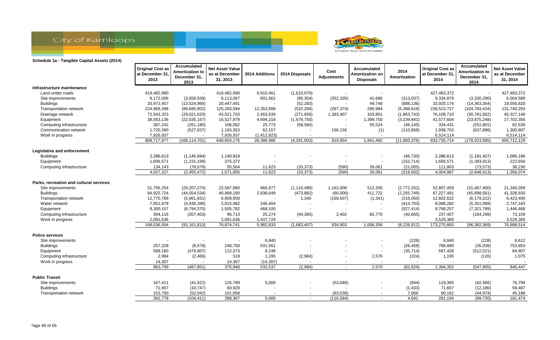



|                                         | <b>Original Cost as</b><br>at December 31,<br>2013 | Accumulated<br><b>Amortization to</b><br>December 31,<br>2013 | <b>Net Asset Value</b><br>as at December<br>31, 2013 | 2014 Additions | 2014 Disposals           | Cost<br><b>Adjustments</b> | Accumulated<br>Amortization on<br><b>Disposals</b> | 2014<br>Amortization | <b>Original Cost as</b><br>at December 31,<br>2014 | <b>Accumulated</b><br><b>Amortization to</b><br>December 31,<br>2014 | <b>Net Asset Value</b><br>as at December<br>31, 2014 |
|-----------------------------------------|----------------------------------------------------|---------------------------------------------------------------|------------------------------------------------------|----------------|--------------------------|----------------------------|----------------------------------------------------|----------------------|----------------------------------------------------|----------------------------------------------------------------------|------------------------------------------------------|
| Infrastructure maintenance              |                                                    |                                                               |                                                      |                |                          |                            |                                                    |                      |                                                    |                                                                      |                                                      |
| Land under roads                        | 419,482,990                                        |                                                               | 419,482,990                                          | 9,610,461      | (1,610,079)              |                            |                                                    |                      | 427,483,372                                        |                                                                      | 427,483,372                                          |
| Site improvements                       | 9,172,006                                          | (3,058,939)                                                   | 6,113,067                                            | 601,562        | (86, 354)                | (352, 335)                 | 41,686                                             | (313, 037)           | 9,334,879                                          | (3,330,290)                                                          | 6,004,589                                            |
| <b>Buildings</b>                        | 33,972,457                                         | (13,524,966)                                                  | 20,447,491                                           |                | (52, 283)                |                            | 49,748                                             | (888, 136)           | 33,920,174                                         | (14, 363, 354)                                                       | 19,556,820                                           |
| Transportation network                  | 224,969,396                                        | (99,685,802)                                                  | 125,283,594                                          | 12,353,999     | (532, 294)               | (267, 374)                 | 290,984                                            | (5,388,616)          | 236,523,727                                        | (104, 783, 434)                                                      | 131,740,293                                          |
| Drainage network                        | 72,543,323                                         | (29,021,620)                                                  | 43,521,703                                           | 2,453,639      | (271, 659)               | 1,383,407                  | 103,801                                            | (1,863,743)          | 76,108,710                                         | (30, 781, 562)                                                       | 45,327,148                                           |
| Equipment                               | 38,563,136                                         | (22,035,157)                                                  | 16,527,979                                           | 4,694,218      | (1,679,750)              | $\overline{\phantom{a}}$   | 1,399,750                                          | (3,239,841)          | 41,577,604                                         | (23, 875, 248)                                                       | 17,702,356                                           |
| Computing infrastructure                | 367,242                                            | (261, 180)                                                    | 106,062                                              | 25,773         | (58, 584)                |                            | 55,524                                             | (46, 145)            | 334,431                                            | (251, 801)                                                           | 82,630                                               |
| Communication network                   | 1,720,390                                          | (527, 037)                                                    | 1,193,353                                            | 62,157         |                          | 156,156                    | (1)                                                | (110, 858)           | 1,938,703                                          | (637, 896)                                                           | 1,300,807                                            |
| Work in progress                        | 7,926,937                                          |                                                               | 7,926,937                                            | (1, 412, 823)  | $\overline{\phantom{a}}$ |                            |                                                    |                      | 6,514,114                                          |                                                                      | 6,514,114                                            |
|                                         | 808,717,877                                        | (168, 114, 701)                                               | 640,603,176                                          | 28,388,986     | (4,291,003)              | 919,854                    | 1,941,492                                          | (11,850,376)         | 833,735,714                                        | (178, 023, 585)                                                      | 655,712,129                                          |
| Legislative and enforcement             |                                                    |                                                               |                                                      |                |                          |                            |                                                    |                      |                                                    |                                                                      |                                                      |
| <b>Buildings</b>                        | 2,286,613                                          | (1, 145, 694)                                                 | 1,140,919                                            |                |                          |                            |                                                    | (45, 733)            | 2,286,613                                          | (1, 191, 427)                                                        | 1,095,186                                            |
| Equipment                               | 1,606,571                                          | (1,231,199)                                                   | 375,372                                              |                |                          |                            | $\overline{\phantom{a}}$                           | (152, 714)           | 1,606,571                                          | (1,383,913)                                                          | 222,658                                              |
| Computing infrastructure                | 134,143                                            | (78, 579)                                                     | 55,564                                               | 11,623         | (33, 373)                | (590)                      | 26,061                                             | (21, 055)            | 111,803                                            | (73, 573)                                                            | 38,230                                               |
|                                         | 4,027,327                                          | (2,455,472)                                                   | 1,571,855                                            | 11,623         | (33, 373)                | (590)                      | 26,061                                             | (219, 502)           | 4,004,987                                          | (2,648,913)                                                          | 1,356,074                                            |
| Parks, recreation and cultural services |                                                    |                                                               |                                                      |                |                          |                            |                                                    |                      |                                                    |                                                                      |                                                      |
| Site improvements                       | 51,795,254                                         | (29, 207, 274)                                                | 22,587,980                                           | 966,677        | (1, 116, 480)            | 1,162,008                  | 512,205                                            | (2,772,331)          | 52,807,459                                         | (31, 467, 400)                                                       | 21,340,059                                           |
| <b>Buildings</b>                        | 84,922,724                                         | (44, 054, 534)                                                | 40,868,190                                           | 2,838,649      | (473, 882)               | (60,000)                   | 411,722                                            | (2, 255, 749)        | 87,227,491                                         | (45,898,561)                                                         | 41,328,930                                           |
| Transportation network                  | 12,770,789                                         | (5,961,831)                                                   | 6,808,958                                            |                | 1,340                    | (169, 507)                 | (1, 341)                                           | (216,050)            | 12,602,622                                         | (6, 179, 222)                                                        | 6,423,400                                            |
| Water network                           | 7,851,878                                          | (4,936,396)                                                   | 2,915,482                                            | 246,404        |                          |                            |                                                    | (414, 703)           | 8,098,282                                          | (5,351,099)                                                          | 2,747,183                                            |
| Equipment                               | 8,300,157                                          | (6,794,375)                                                   | 1,505,782                                            | 468,100        |                          |                            |                                                    | (527, 414)           | 8,768,257                                          | (7,321,789)                                                          | 1,446,468                                            |
| Computing infrastructure                | 304,116                                            | (207, 403)                                                    | 96,713                                               | 25,274         | (94, 385)                | 2,402                      | 83,770                                             | (40, 665)            | 237,407                                            | (164, 298)                                                           | 73,109                                               |
| Work in progress                        | 2,091,636                                          |                                                               | 2,091,636                                            | 1,437,729      |                          | $\overline{\phantom{a}}$   |                                                    |                      | 3,529,365                                          |                                                                      | 3,529,365                                            |
|                                         | 168,036,554                                        | (91, 161, 813)                                                | 76,874,741                                           | 5,982,833      | (1,683,407)              | 934,903                    | 1,006,356                                          | (6,226,912)          | 173,270,883                                        | (96, 382, 369)                                                       | 76,888,514                                           |
| <b>Police services</b>                  |                                                    |                                                               |                                                      |                |                          |                            |                                                    |                      |                                                    |                                                                      |                                                      |
| Site improvements                       |                                                    |                                                               | $\blacksquare$                                       | 6,840          |                          |                            |                                                    | (228)                | 6,840                                              | (228)                                                                | 6,612                                                |
| <b>Buildings</b>                        | 257,328                                            | (8,578)                                                       | 248,750                                              | 531,561        |                          |                            | $\overline{a}$                                     | (26, 458)            | 788,889                                            | (35,036)                                                             | 753,853                                              |
| Equipment                               | 589,180                                            | (476, 807)                                                    | 112,373                                              | 8,248          |                          |                            |                                                    | (35, 714)            | 597,428                                            | (512, 521)                                                           | 84,907                                               |
| Computing infrastructure                | 2,984                                              | (2, 466)                                                      | 518                                                  | 1,195          | (2,984)                  |                            | 2,570                                              | (224)                | 1,195                                              | (120)                                                                | 1,075                                                |
| Work in progress                        | 14,307                                             |                                                               | 14,307                                               | (14, 307)      |                          | $\overline{\phantom{a}}$   |                                                    |                      |                                                    |                                                                      |                                                      |
|                                         | 863,799                                            | (487, 851)                                                    | 375,948                                              | 533,537        | (2,984)                  | $\overline{\phantom{a}}$   | 2,570                                              | (62, 624)            | 1,394,352                                          | (547, 905)                                                           | 846,447                                              |
| <b>Public Transit</b>                   |                                                    |                                                               |                                                      |                |                          |                            |                                                    |                      |                                                    |                                                                      |                                                      |
| Site improvements                       | 167,411                                            | (41, 622)                                                     | 125,789                                              | 5,000          |                          | (53,046)                   |                                                    | (944)                | 119,365                                            | (42, 566)                                                            | 76,799                                               |
| <b>Buildings</b>                        | 71,667                                             | (10, 747)                                                     | 60,920                                               |                |                          |                            |                                                    | (1, 433)             | 71,667                                             | (12, 180)                                                            | 59,487                                               |
| Transportation network                  | 153,700                                            | (52,042)                                                      | 101,658                                              |                | $\sim$                   | (63, 538)                  |                                                    | 7,068                | 90,162                                             | (44, 974)                                                            | 45,188                                               |
|                                         | 392,778                                            | (104, 411)                                                    | 288,367                                              | 5,000          | $\overline{\phantom{a}}$ | (116, 584)                 |                                                    | 4,691                | 281,194                                            | (99, 720)                                                            | 181,474                                              |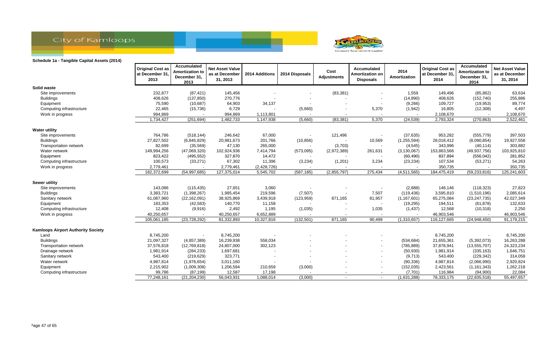



|                                           | <b>Original Cost as</b><br>at December 31.<br>2013 | Accumulated<br><b>Amortization to</b><br>December 31,<br>2013 | <b>Net Asset Value</b><br>as at December<br>31, 2013 | 2014 Additions | 2014 Disposals | Cost<br><b>Adjustments</b> | Accumulated<br>Amortization on<br><b>Disposals</b> | 2014<br>Amortization | <b>Original Cost as</b><br>at December 31,<br>2014 | Accumulated<br><b>Amortization to</b><br>December 31,<br>2014 | <b>Net Asset Value</b><br>as at December<br>31, 2014 |
|-------------------------------------------|----------------------------------------------------|---------------------------------------------------------------|------------------------------------------------------|----------------|----------------|----------------------------|----------------------------------------------------|----------------------|----------------------------------------------------|---------------------------------------------------------------|------------------------------------------------------|
| Solid waste                               |                                                    |                                                               |                                                      |                |                |                            |                                                    |                      |                                                    |                                                               |                                                      |
| Site improvements                         | 232,877                                            | (87, 421)                                                     | 145,456                                              |                |                | (83, 381)                  |                                                    | 1,559                | 149,496                                            | (85, 862)                                                     | 63,634                                               |
| <b>Buildings</b>                          | 408,626                                            | (137, 850)                                                    | 270,776                                              |                |                |                            |                                                    | (14, 890)            | 408,626                                            | (152, 740)                                                    | 255,886                                              |
| Equipment                                 | 75,590                                             | (10, 687)                                                     | 64,903                                               | 34,137         |                |                            |                                                    | (9,266)              | 109,727                                            | (19, 953)                                                     | 89,774                                               |
| Computing infrastructure                  | 22,465                                             | (15, 736)                                                     | 6,729                                                |                | (5,660)        | $\overline{\phantom{a}}$   | 5,370                                              | (1,942)              | 16,805                                             | (12,308)                                                      | 4,497                                                |
| Work in progress                          | 994,869                                            |                                                               | 994,869                                              | 1,113,801      |                |                            |                                                    |                      | 2,108,670                                          |                                                               | 2,108,670                                            |
|                                           | 1,734,427                                          | (251, 694)                                                    | 1,482,733                                            | 1,147,938      | (5,660)        | (83, 381)                  | 5,370                                              | (24, 539)            | 2,793,324                                          | (270, 863)                                                    | 2,522,461                                            |
| <b>Water utility</b>                      |                                                    |                                                               |                                                      |                |                |                            |                                                    |                      |                                                    |                                                               |                                                      |
| Site improvements                         | 764,786                                            | (518, 144)                                                    | 246,642                                              | 67,000         |                | 121,496                    |                                                    | (37, 635)            | 953,282                                            | (555, 779)                                                    | 397,503                                              |
| <b>Buildings</b>                          | 27,827,502                                         | (6,845,829)                                                   | 20,981,673                                           | 201,766        | (10, 856)      |                            | 10,569                                             | (1, 255, 594)        | 28,018,412                                         | (8,090,854)                                                   | 19,927,558                                           |
| <b>Transportation network</b>             | 82,699                                             | (35, 569)                                                     | 47,130                                               | 265,000        |                | (3,703)                    |                                                    | (4, 545)             | 343,996                                            | (40, 114)                                                     | 303,882                                              |
| Water network                             | 149,994,256                                        | (47,069,320)                                                  | 102,924,936                                          | 7,414,794      | (573,095)      | (2,972,389)                | 261,631                                            | (3, 130, 067)        | 153,863,566                                        | (49, 937, 756)                                                | 103,925,810                                          |
| Equipment                                 | 823,422                                            | (495, 552)                                                    | 327,870                                              | 14,472         |                |                            |                                                    | (60, 490)            | 837,894                                            | (556, 042)                                                    | 281,852                                              |
| Computing infrastructure                  | 100,573                                            | (33, 271)                                                     | 67,302                                               | 11,396         | (3,234)        | (1,201)                    | 3,234                                              | (23, 234)            | 107,534                                            | (53, 271)                                                     | 54,263                                               |
| Work in progress                          | 2,779,461                                          |                                                               | 2,779,461                                            | (2,428,726)    |                |                            |                                                    |                      | 350,735                                            |                                                               | 350,735                                              |
|                                           | 182,372,699                                        | (54, 997, 685)                                                | 127,375,014                                          | 5,545,702      | (587, 185)     | (2,855,797)                | 275,434                                            | (4,511,565)          | 184,475,419                                        | (59, 233, 816)                                                | 125,241,603                                          |
| <b>Sewer utility</b>                      |                                                    |                                                               |                                                      |                |                |                            |                                                    |                      |                                                    |                                                               |                                                      |
| Site improvements                         | 143,086                                            | (115, 435)                                                    | 27,651                                               | 3,060          |                |                            |                                                    | (2,888)              | 146,146                                            | (118, 323)                                                    | 27,823                                               |
| <b>Buildings</b>                          | 3,383,721                                          | (1,398,267)                                                   | 1,985,454                                            | 219,596        | (7, 507)       |                            | 7,507                                              | (119, 436)           | 3,595,810                                          | (1,510,196)                                                   | 2,085,614                                            |
| Sanitary network                          | 61,087,960                                         | (22, 162, 091)                                                | 38,925,869                                           | 3,439,918      | (123, 959)     | 871,165                    | 81,957                                             | (1, 167, 601)        | 65,275,084                                         | (23, 247, 735)                                                | 42,027,349                                           |
| Equipment                                 | 183,353                                            | (42, 583)                                                     | 140,770                                              | 11,158         |                |                            |                                                    | (19, 295)            | 194,511                                            | (61, 878)                                                     | 132,633                                              |
| Computing infrastructure                  | 12,408                                             | (9,916)                                                       | 2,492                                                | 1,195          | (1,035)        |                            | 1,035                                              | (1, 437)             | 12,568                                             | (10, 318)                                                     | 2,250                                                |
| Work in progress                          | 40,250,657                                         |                                                               | 40,250,657                                           | 6,652,889      |                |                            |                                                    |                      | 46,903,546                                         |                                                               | 46,903,546                                           |
|                                           | 105,061,185                                        | (23, 728, 292)                                                | 81,332,893                                           | 10,327,816     | (132, 501)     | 871,165                    | 90,499                                             | (1,310,657)          | 116,127,665                                        | (24, 948, 450)                                                | 91,179,215                                           |
| <b>Kamloops Airport Authority Society</b> |                                                    |                                                               |                                                      |                |                |                            |                                                    |                      |                                                    |                                                               |                                                      |
| Land                                      | 8,745,200                                          |                                                               | 8,745,200                                            |                |                |                            |                                                    |                      | 8,745,200                                          |                                                               | 8,745,200                                            |
| <b>Buildings</b>                          | 21,097,327                                         | (4,857,389)                                                   | 16,239,938                                           | 558,034        |                |                            |                                                    | (534, 684)           | 21,655,361                                         | (5,392,073)                                                   | 16,263,288                                           |
| <b>Transportation network</b>             | 37,576,818                                         | (12,769,818)                                                  | 24,807,000                                           | 302,123        |                |                            |                                                    | (785, 889)           | 37,878,941                                         | (13, 555, 707)                                                | 24,323,234                                           |
| Drainage network                          | 1,981,914                                          | (284, 233)                                                    | 1,697,681                                            |                |                |                            |                                                    | (50, 930)            | 1,981,914                                          | (335, 163)                                                    | 1,646,751                                            |
| Sanitary network                          | 543,400                                            | (219, 629)                                                    | 323,771                                              |                |                |                            |                                                    | (9,713)              | 543,400                                            | (229, 342)                                                    | 314,058                                              |
| Water network                             | 4,987,814                                          | (1,976,654)                                                   | 3,011,160                                            |                |                |                            |                                                    | (90, 336)            | 4,987,814                                          | (2,066,990)                                                   | 2,920,824                                            |
| Equipment                                 | 2,215,902                                          | (1,009,308)                                                   | 1,206,594                                            | 210,659        | (3,000)        |                            |                                                    | (152, 035)           | 2,423,561                                          | (1, 161, 343)                                                 | 1,262,218                                            |
| Computing infrastructure                  | 99,786                                             | (87, 199)                                                     | 12,587                                               | 17,198         |                | $\blacksquare$             |                                                    | (7, 701)             | 116,984                                            | (94,900)                                                      | 22,084                                               |
|                                           | 77,248,161                                         | (21, 204, 230)                                                | 56,043,931                                           | 1,088,014      | (3,000)        | $\overline{\phantom{a}}$   |                                                    | (1,631,288)          | 78,333,175                                         | (22, 835, 518)                                                | 55,497,657                                           |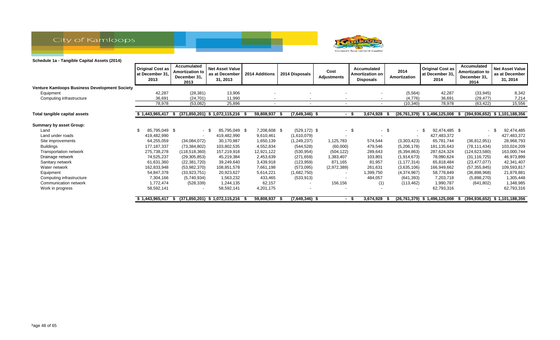



|                                                      | <b>Original Cost as</b><br>at December 31.<br>2013 | Accumulated<br><b>Amortization to</b><br>December 31,<br>2013 | <b>Net Asset Value</b><br>as at December<br>31, 2013 | 2014 Additions | 2014 Disposals   | Cost<br>Adjustments      | Accumulated<br><b>Amortization on</b><br><b>Disposals</b> | 2014<br>Amortization     | <b>Original Cost as</b><br>at December 31,<br>2014 | <b>Accumulated</b><br><b>Amortization to</b><br>December 31.<br>2014 | <b>Net Asset Value</b><br>as at December<br>31, 2014 |
|------------------------------------------------------|----------------------------------------------------|---------------------------------------------------------------|------------------------------------------------------|----------------|------------------|--------------------------|-----------------------------------------------------------|--------------------------|----------------------------------------------------|----------------------------------------------------------------------|------------------------------------------------------|
| <b>Venture Kamloops Business Development Society</b> |                                                    |                                                               |                                                      |                |                  |                          |                                                           |                          |                                                    |                                                                      |                                                      |
| Equipment                                            | 42,287                                             | (28, 381)                                                     | 13,906                                               |                |                  |                          |                                                           | (5, 564)                 | 42,287                                             | (33, 945)                                                            | 8,342                                                |
| Computing infrastructure                             | 36,691                                             | (24, 701)                                                     | 11,990                                               |                |                  |                          |                                                           | (4,776)                  | 36,691                                             | (29, 477)                                                            | 7,214                                                |
|                                                      | 78,978                                             | (53,082)                                                      | 25,896                                               |                | $\overline{a}$   | $\overline{\phantom{a}}$ | $\sim$                                                    | (10, 340)                | 78,978                                             | (63, 422)                                                            | 15,556                                               |
| Total tangible capital assets                        | $$1,443,965,417$ \$                                |                                                               | $(371,850,201)$ \$ 1,072,115,216 \$                  | 59,808,937     | $(7,649,346)$ \$ |                          | 3,674,928<br>- \$                                         |                          | $(26, 761, 379)$ \$ 1,496,125,008                  | S.                                                                   | (394,936,652) \$1,101,188,356                        |
| <b>Summary by asset Group:</b>                       |                                                    |                                                               |                                                      |                |                  |                          |                                                           |                          |                                                    |                                                                      |                                                      |
| Land                                                 | 85,795,049 \$                                      |                                                               | 85,795,049 \$<br>- \$                                | 7,208,608 \$   | $(529, 172)$ \$  | $\sim$                   | -\$<br>$-$ \$                                             | $\sim$                   | 92,474,485 \$<br>_ Տ                               | $\sim$                                                               | 92,474,485                                           |
| Land under roads                                     | 419,482,990                                        |                                                               | 419,482,990                                          | 9,610,461      | (1,610,079)      |                          |                                                           | $\overline{\phantom{a}}$ | 427,483,372                                        |                                                                      | 427,483,372                                          |
| Site improvements                                    | 64,255,059                                         | (34,084,072)                                                  | 30,170,987                                           | 1,650,139      | (1, 249, 237)    | 1,125,783                | 574,544                                                   | (3,303,423)              | 65,781,744                                         | (36, 812, 951)                                                       | 28,968,793                                           |
| <b>Buildings</b>                                     | 177,187,337                                        | (73, 384, 802)                                                | 103,802,535                                          | 4,552,834      | (544, 528)       | (60,000)                 | 479,546                                                   | (5,206,178)              | 181,135,643                                        | (78, 111, 434)                                                       | 103,024,209                                          |
| Transportation network                               | 275,738,278                                        | (118, 518, 360)                                               | 157,219,918                                          | 12,921,122     | (530, 954)       | (504, 122)               | 289,643                                                   | (6, 394, 863)            | 287,624,324                                        | (124, 623, 580)                                                      | 163,000,744                                          |
| Drainage network                                     | 74,525,237                                         | (29, 305, 853)                                                | 45,219,384                                           | 2,453,639      | (271, 659)       | 1,383,407                | 103,801                                                   | (1, 914, 673)            | 78,090,624                                         | (31, 116, 725)                                                       | 46,973,899                                           |
| Sanitary network                                     | 61,631,360                                         | (22, 381, 720)                                                | 39,249,640                                           | 3,439,918      | (123, 959)       | 871,165                  | 81,957                                                    | (1, 177, 314)            | 65,818,484                                         | (23, 477, 077)                                                       | 42,341,407                                           |
| Water network                                        | 162,833,948                                        | (53,982,370)                                                  | 108,851,578                                          | 7,661,198      | (573,095)        | (2,972,389)              | 261,631                                                   | (3,635,106)              | 166,949,662                                        | (57, 355, 845)                                                       | 109,593,817                                          |
| Equipment                                            | 54,847,378                                         | (33, 923, 751)                                                | 20,923,627                                           | 5,614,221      | (1,682,750)      |                          | ,399,750                                                  | (4,374,967)              | 58,778,849                                         | (36,898,968)                                                         | 21,879,881                                           |
| Computing infrastructure                             | 7,304,166                                          | (5,740,934)                                                   | 1,563,232                                            | 433,465        | (533, 913)       |                          | 484,057                                                   | (641, 393)               | 7,203,718                                          | (5,898,270)                                                          | 1,305,448                                            |
| Communication network                                | 1,772,474                                          | (528, 339)                                                    | 1,244,135                                            | 62,157         |                  | 156,156                  | (1)                                                       | (113, 462)               | 1,990,787                                          | (641, 802)                                                           | 1,348,985                                            |
| Work in progress                                     | 58,592,141                                         |                                                               | 58,592,141                                           | 4,201,175      |                  |                          |                                                           |                          | 62,793,316                                         |                                                                      | 62,793,316                                           |
|                                                      | 1,443,965,417                                      |                                                               | $(371,850,201)$ \$ 1,072,115,216                     | 59,808,937     | $(7,649,346)$ \$ |                          | 3,674,928<br>- \$                                         |                          | $(26, 761, 379)$ \$ 1,496,125,008                  | ъ                                                                    | $(394.936.652)$ \$ 1.101.188.356                     |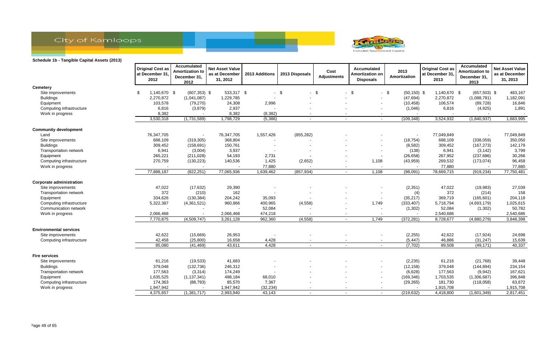



|                                 | <b>Original Cost as</b><br>at December 31.<br>2012 | Accumulated<br><b>Amortization to</b><br>December 31,<br>2012 | <b>Net Asset Value</b><br>as at December<br>31, 2012 | 2013 Additions | 2013 Disposals | Cost<br><b>Adjustments</b> | <b>Accumulated</b><br>Amortization on<br><b>Disposals</b> | 2013<br>Amortization     | <b>Original Cost as</b><br>at December 31,<br>2013 | Accumulated<br><b>Amortization to</b><br>December 31,<br>2013 | <b>Net Asset Value</b><br>as at December<br>31, 2013 |
|---------------------------------|----------------------------------------------------|---------------------------------------------------------------|------------------------------------------------------|----------------|----------------|----------------------------|-----------------------------------------------------------|--------------------------|----------------------------------------------------|---------------------------------------------------------------|------------------------------------------------------|
| Cemetery                        |                                                    |                                                               |                                                      |                |                |                            |                                                           |                          |                                                    |                                                               |                                                      |
| Site improvements               | 1,140,670 \$<br>-\$                                | $(607, 353)$ \$                                               | 533,317 \$                                           |                | $-$ \$         | $-5$                       | -\$                                                       | $-$ \$<br>$(50, 150)$ \$ | 1,140,670 \$                                       | $(657,503)$ \$                                                | 483,167                                              |
| <b>Buildings</b>                | 2,270,872                                          | (1,041,087)                                                   | 1,229,785                                            |                |                |                            | $\blacksquare$                                            | (47, 694)                | 2,270,872                                          | (1,088,781)                                                   | 1,182,091                                            |
| Equipment                       | 103,578                                            | (79, 270)                                                     | 24,308                                               | 2,996          |                |                            |                                                           | (10, 458)                | 106,574                                            | (89, 728)                                                     | 16,846                                               |
| Computing infrastructure        | 6,816                                              | (3,879)                                                       | 2,937                                                |                |                |                            |                                                           | (1,046)                  | 6,816                                              | (4,925)                                                       | 1,891                                                |
| Work in progress                | 8,382                                              |                                                               | 8,382                                                | (8, 382)       |                |                            |                                                           |                          |                                                    |                                                               |                                                      |
|                                 | 3,530,318                                          | (1,731,589)                                                   | 1,798,729                                            | (5, 386)       | $\sim$         | $\sim$                     | $\sim$                                                    | (109, 348)               | 3,524,932                                          | (1,840,937)                                                   | 1,683,995                                            |
| <b>Community development</b>    |                                                    |                                                               |                                                      |                |                |                            |                                                           |                          |                                                    |                                                               |                                                      |
| Land                            | 76,347,705                                         |                                                               | 76,347,705                                           | 1,557,426      | (855, 282)     |                            |                                                           | $\overline{\phantom{a}}$ | 77,049,849                                         |                                                               | 77,049,849                                           |
| Site improvements               | 688,109                                            | (319, 305)                                                    | 368,804                                              |                |                |                            |                                                           | (18, 754)                | 688,109                                            | (338,059)                                                     | 350,050                                              |
| <b>Buildings</b>                | 309,452                                            | (158, 691)                                                    | 150,761                                              |                |                |                            |                                                           | (8, 582)                 | 309,452                                            | (167, 273)                                                    | 142,179                                              |
| Transportation network          | 6,941                                              | (3,004)                                                       | 3,937                                                |                |                |                            |                                                           | (138)                    | 6,941                                              | (3, 142)                                                      | 3,799                                                |
| Equipment                       | 265,221                                            | (211, 028)                                                    | 54,193                                               | 2,731          |                |                            |                                                           | (26, 658)                | 267,952                                            | (237, 686)                                                    | 30,266                                               |
| Computing infrastructure        | 270,759                                            | (130, 223)                                                    | 140,536                                              | 1,425          | (2,652)        |                            | 1,108                                                     | (43,959)                 | 269,532                                            | (173, 074)                                                    | 96,458                                               |
| Work in progress                |                                                    |                                                               |                                                      | 77,880         |                |                            | $\overline{\phantom{a}}$                                  |                          | 77,880                                             |                                                               | 77,880                                               |
|                                 | 77,888,187                                         | (822, 251)                                                    | 77,065,936                                           | 1,639,462      | (857, 934)     | $\sim$                     | 1,108                                                     | (98,091)                 | 78,669,715                                         | (919, 234)                                                    | 77,750,481                                           |
| <b>Corporate administration</b> |                                                    |                                                               |                                                      |                |                |                            |                                                           |                          |                                                    |                                                               |                                                      |
| Site improvements               | 47,022                                             | (17, 632)                                                     | 29,390                                               |                |                |                            |                                                           | (2,351)                  | 47,022                                             | (19,983)                                                      | 27,039                                               |
| Transportation network          | 372                                                | (210)                                                         | 162                                                  |                |                |                            |                                                           | (4)                      | 372                                                | (214)                                                         | 158                                                  |
| Equipment                       | 334,626                                            | (130, 384)                                                    | 204,242                                              | 35,093         |                |                            |                                                           | (35, 217)                | 369,719                                            | (165, 601)                                                    | 204,118                                              |
| Computing infrastructure        | 5,322,387                                          | (4,361,521)                                                   | 960,866                                              | 400,965        | (4, 558)       |                            | 1,749                                                     | (333, 407)               | 5,718,794                                          | (4,693,179)                                                   | 1,025,615                                            |
| Communication network           |                                                    |                                                               |                                                      | 52,084         |                |                            | $\overline{\phantom{a}}$                                  | (1,302)                  | 52,084                                             | (1,302)                                                       | 50,782                                               |
| Work in progress                | 2,066,468                                          |                                                               | 2,066,468                                            | 474,218        |                | $\overline{\phantom{a}}$   |                                                           |                          | 2,540,686                                          |                                                               | 2,540,686                                            |
|                                 | 7,770,875                                          | (4,509,747)                                                   | 3,261,128                                            | 962,360        | (4, 558)       | $\blacksquare$             | 1,749                                                     | (372, 281)               | 8,728,677                                          | (4,880,279)                                                   | 3,848,398                                            |
| <b>Environmental services</b>   |                                                    |                                                               |                                                      |                |                |                            |                                                           |                          |                                                    |                                                               |                                                      |
| Site improvements               | 42,622                                             | (15,669)                                                      | 26,953                                               |                |                |                            |                                                           | (2,255)                  | 42,622                                             | (17, 924)                                                     | 24,698                                               |
| Computing infrastructure        | 42,458                                             | (25, 800)                                                     | 16,658                                               | 4,428          |                |                            | $\overline{\phantom{a}}$                                  | (5, 447)                 | 46,886                                             | (31, 247)                                                     | 15,639                                               |
|                                 | 85.080                                             | (41, 469)                                                     | 43,611                                               | 4,428          | $\sim$         | $\sim$                     | $\sim$                                                    | (7,702)                  | 89,508                                             | (49, 171)                                                     | 40,337                                               |
| <b>Fire services</b>            |                                                    |                                                               |                                                      |                |                |                            |                                                           |                          |                                                    |                                                               |                                                      |
| Site improvements               | 61,216                                             | (19, 533)                                                     | 41,683                                               |                |                |                            |                                                           | (2, 235)                 | 61,216                                             | (21,768)                                                      | 39,448                                               |
| <b>Buildings</b>                | 379,048                                            | (132, 736)                                                    | 246,312                                              |                |                |                            | $\overline{\phantom{a}}$                                  | (12, 158)                | 379,048                                            | (144, 894)                                                    | 234,154                                              |
| Transportation network          | 177,563                                            | (3, 314)                                                      | 174,249                                              |                |                |                            |                                                           | (6,628)                  | 177,563                                            | (9,942)                                                       | 167,621                                              |
| Equipment                       | 1,635,525                                          | (1, 137, 341)                                                 | 498,184                                              | 68,010         |                |                            | $\overline{\phantom{a}}$                                  | (169, 346)               | 1,703,535                                          | (1,306,687)                                                   | 396,848                                              |
| Computing infrastructure        | 174,363                                            | (88, 793)                                                     | 85,570                                               | 7,367          |                |                            |                                                           | (29, 265)                | 181,730                                            | (118,058)                                                     | 63,672                                               |
| Work in progress                | 1,947,942                                          |                                                               | 1,947,942                                            | (32, 234)      |                |                            |                                                           |                          | 1,915,708                                          |                                                               | 1,915,708                                            |
|                                 | 4,375,657                                          | (1,381,717)                                                   | 2,993,940                                            | 43,143         |                |                            |                                                           | (219, 632)               | 4,418,800                                          | (1,601,349)                                                   | 2,817,451                                            |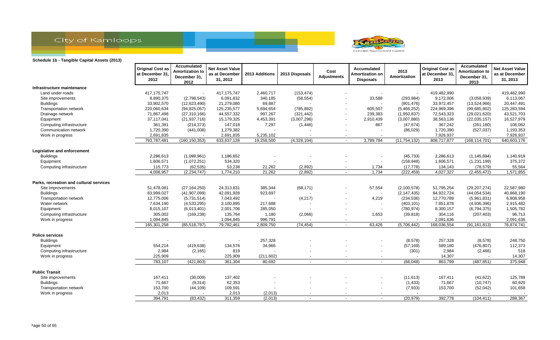



|                                         | <b>Original Cost as</b><br>at December 31,<br>2012 | Accumulated<br><b>Amortization to</b><br>December 31,<br>2012 | <b>Net Asset Value</b><br>as at December<br>31, 2012 | 2013 Additions | 2013 Disposals           | Cost<br><b>Adjustments</b> | Accumulated<br>Amortization or<br><b>Disposals</b> | 2013<br>Amortization | <b>Original Cost as</b><br>at December 31,<br>2013 | Accumulated<br>Amortization to<br>December 31,<br>2013 | <b>Net Asset Value</b><br>as at December<br>31, 2013 |
|-----------------------------------------|----------------------------------------------------|---------------------------------------------------------------|------------------------------------------------------|----------------|--------------------------|----------------------------|----------------------------------------------------|----------------------|----------------------------------------------------|--------------------------------------------------------|------------------------------------------------------|
| Infrastructure maintenance              |                                                    |                                                               |                                                      |                |                          |                            |                                                    |                      |                                                    |                                                        |                                                      |
| Land under roads                        | 417, 175, 747                                      |                                                               | 417, 175, 747                                        | 2,460,717      | (153, 474)               |                            |                                                    |                      | 419,482,990                                        |                                                        | 419,482,990                                          |
| Site improvements                       | 8,890,375                                          | (2,798,543)                                                   | 6,091,832                                            | 340,185        | (58, 554)                |                            | 33,588                                             | (293, 984)           | 9,172,006                                          | (3,058,939)                                            | 6,113,067                                            |
| <b>Buildings</b>                        | 33,902,570                                         | (12,623,490)                                                  | 21,279,080                                           | 69,887         |                          | $\overline{\phantom{0}}$   |                                                    | (901, 476)           | 33,972,457                                         | (13,524,966)                                           | 20,447,491                                           |
| Transportation network                  | 220,060,634                                        | (94, 825, 057)                                                | 125,235,577                                          | 5,694,654      | (785, 892)               |                            | 605,507                                            | (5,466,252)          | 224,969,396                                        | (99, 685, 802)                                         | 125,283,594                                          |
| Drainage network                        | 71,867,498                                         | (27, 310, 166)                                                | 44,557,332                                           | 997,267        | (321, 442)               |                            | 239,383                                            | (1,950,837)          | 72,543,323                                         | (29,021,620)                                           | 43,521,703                                           |
| Equipment                               | 37,117,041                                         | (21, 937, 716)                                                | 15,179,325                                           | 4,453,391      | (3,007,296)              |                            | 2,910,439                                          | (3,007,880)          | 38,563,136                                         | (22,035,157)                                           | 16,527,979                                           |
| Computing infrastructure                | 361,391                                            | (214, 373)                                                    | 147,018                                              | 7,297          | (1, 446)                 |                            | 867                                                | (47, 674)            | 367,242                                            | (261, 180)                                             | 106,062                                              |
| Communication network                   | 1,720,390                                          | (441,008)                                                     | 1,279,382                                            |                |                          |                            |                                                    | (86, 029)            | 1,720,390                                          | (527, 037)                                             | 1,193,353                                            |
| Work in progress                        | 2,691,835                                          |                                                               | 2,691,835                                            | 5,235,102      |                          |                            |                                                    |                      | 7,926,937                                          |                                                        | 7,926,937                                            |
|                                         | 793,787,481                                        | (160, 150, 353)                                               | 633,637,128                                          | 19,258,500     | (4,328,104)              | $\sim$                     | 3,789,784                                          | (11, 754, 132)       | 808,717,877                                        | (168, 114, 701)                                        | 640,603,176                                          |
| Legislative and enforcement             |                                                    |                                                               |                                                      |                |                          |                            |                                                    |                      |                                                    |                                                        |                                                      |
| <b>Buildings</b>                        | 2,286,613                                          | (1,099,961)                                                   | 1,186,652                                            |                |                          |                            |                                                    | (45, 733)            | 2,286,613                                          | (1, 145, 694)                                          | 1,140,919                                            |
| Equipment                               | 1,606,571                                          | (1,072,251)                                                   | 534,320                                              |                |                          |                            |                                                    | (158, 948)           | 1,606,571                                          | (1,231,199)                                            | 375,372                                              |
| Computing infrastructure                | 115,773                                            | (62, 535)                                                     | 53,238                                               | 21,262         | (2,892)                  | $\overline{\phantom{a}}$   | 1,734                                              | (17, 778)            | 134,143                                            | (78, 579)                                              | 55,564                                               |
|                                         | 4,008,957                                          | (2, 234, 747)                                                 | 1,774,210                                            | 21,262         | (2,892)                  | $\sim$                     | 1,734                                              | (222, 459)           | 4,027,327                                          | (2,455,472)                                            | 1,571,855                                            |
| Parks, recreation and cultural services |                                                    |                                                               |                                                      |                |                          |                            |                                                    |                      |                                                    |                                                        |                                                      |
| Site improvements                       | 51,478,081                                         | (27, 164, 250)                                                | 24,313,831                                           | 385,344        | (68, 171)                |                            | 57,554                                             | (2, 100, 578)        | 51,795,254                                         | (29, 207, 274)                                         | 22,587,980                                           |
| <b>Buildings</b>                        | 83,999,027                                         | (41, 907, 099)                                                | 42,091,928                                           | 923,697        |                          |                            |                                                    | (2, 147, 435)        | 84,922,724                                         | (44, 054, 534)                                         | 40,868,190                                           |
| Transportation network                  | 12,775,006                                         | (5,731,514)                                                   | 7,043,492                                            |                | (4,217)                  |                            | 4,219                                              | (234, 536)           | 12,770,789                                         | (5,961,831)                                            | 6,808,958                                            |
| Water network                           | 7,634,190                                          | (4,533,295)                                                   | 3,100,895                                            | 217,688        |                          |                            | $\blacksquare$                                     | (403, 101)           | 7,851,878                                          | (4,936,396)                                            | 2,915,482                                            |
| Equipment                               | 8,015,107                                          | (6,013,401)                                                   | 2,001,706                                            | 285,050        |                          |                            | $\overline{\phantom{a}}$                           | (780, 974)           | 8,300,157                                          | (6,794,375)                                            | 1,505,782                                            |
| Computing infrastructure                | 305,002                                            | (169, 238)                                                    | 135,764                                              | 1,180          | (2,066)                  |                            | 1,653                                              | (39, 818)            | 304,116                                            | (207, 403)                                             | 96,713                                               |
| Work in progress                        | 1,094,845                                          |                                                               | 1,094,845                                            | 996,791        |                          |                            |                                                    |                      | 2,091,636                                          |                                                        | 2,091,636                                            |
|                                         | 165,301,258                                        | (85, 518, 797)                                                | 79,782,461                                           | 2,809,750      | (74, 454)                | $\sim$                     | 63,426                                             | (5,706,442)          | 168,036,554                                        | (91, 161, 813)                                         | 76,874,741                                           |
| <b>Police services</b>                  |                                                    |                                                               |                                                      |                |                          |                            |                                                    |                      |                                                    |                                                        |                                                      |
| <b>Buildings</b>                        |                                                    |                                                               |                                                      | 257,328        |                          |                            |                                                    | (8,578)              | 257,328                                            | (8,578)                                                | 248,750                                              |
| Equipment                               | 554,214                                            | (419, 638)                                                    | 134,576                                              | 34,966         |                          |                            |                                                    | (57, 169)            | 589,180                                            | (476, 807)                                             | 112,373                                              |
| Computing infrastructure                | 2,984                                              | (2, 165)                                                      | 819                                                  |                |                          |                            |                                                    | (301)                | 2,984                                              | (2, 466)                                               | 518                                                  |
| Work in progress                        | 225,909                                            |                                                               | 225,909                                              | (211, 602)     | $\overline{\phantom{a}}$ | $\overline{\phantom{a}}$   | $\overline{\phantom{a}}$                           |                      | 14,307                                             | $\overline{\phantom{a}}$                               | 14,307                                               |
|                                         | 783,107                                            | (421, 803)                                                    | 361,304                                              | 80,692         | $\sim$                   | $\overline{\phantom{a}}$   | $\overline{\phantom{a}}$                           | (66, 048)            | 863,799                                            | (487, 851)                                             | 375,948                                              |
| <b>Public Transit</b>                   |                                                    |                                                               |                                                      |                |                          |                            |                                                    |                      |                                                    |                                                        |                                                      |
| Site improvements                       | 167,411                                            | (30,009)                                                      | 137,402                                              |                |                          |                            |                                                    | (11, 613)            | 167,411                                            | (41, 622)                                              | 125,789                                              |
| <b>Buildings</b>                        | 71,667                                             | (9,314)                                                       | 62,353                                               |                |                          |                            |                                                    | (1, 433)             | 71,667                                             | (10, 747)                                              | 60,920                                               |
| Transportation network                  | 153,700                                            | (44, 109)                                                     | 109,591                                              |                |                          |                            | $\overline{\phantom{0}}$                           | (7, 933)             | 153,700                                            | (52,042)                                               | 101,658                                              |
| Work in progress                        | 2,013                                              |                                                               | 2,013                                                | (2,013)        |                          |                            |                                                    |                      |                                                    |                                                        |                                                      |
|                                         | 394,791                                            | (83, 432)                                                     | 311,359                                              | (2,013)        | $\sim$                   |                            |                                                    | (20, 979)            | 392,778                                            | (104, 411)                                             | 288,367                                              |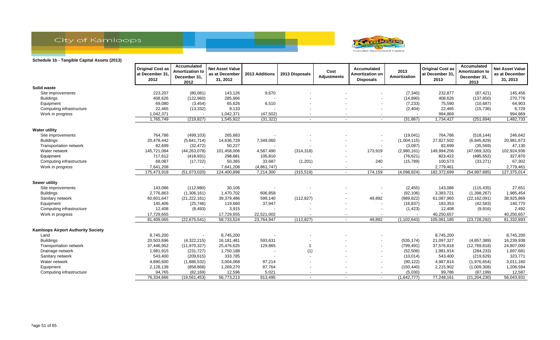



|                                           | <b>Original Cost as</b><br>at December 31,<br>2012 | Accumulated<br><b>Amortization to</b><br>December 31,<br>2012 | <b>Net Asset Value</b><br>as at December<br>31, 2012 | 2013 Additions | 2013 Disposals | Cost<br><b>Adjustments</b> | Accumulated<br>Amortization on<br><b>Disposals</b> | 2013<br>Amortization     | <b>Original Cost as</b><br>at December 31,<br>2013 | Accumulated<br><b>Amortization to</b><br>December 31,<br>2013 | <b>Net Asset Value</b><br>as at December<br>31, 2013 |
|-------------------------------------------|----------------------------------------------------|---------------------------------------------------------------|------------------------------------------------------|----------------|----------------|----------------------------|----------------------------------------------------|--------------------------|----------------------------------------------------|---------------------------------------------------------------|------------------------------------------------------|
| Solid waste                               |                                                    |                                                               |                                                      |                |                |                            |                                                    |                          |                                                    |                                                               |                                                      |
| Site improvements                         | 223,207                                            | (80,081)                                                      | 143,126                                              | 9,670          |                |                            |                                                    | (7, 340)                 | 232,877                                            | (87, 421)                                                     | 145,456                                              |
| <b>Buildings</b>                          | 408,626                                            | (122,960)                                                     | 285,666                                              |                |                |                            |                                                    | (14, 890)                | 408,626                                            | (137, 850)                                                    | 270,776                                              |
| Equipment                                 | 69,080                                             | (3, 454)                                                      | 65,626                                               | 6,510          |                |                            |                                                    | (7, 233)                 | 75,590                                             | (10, 687)                                                     | 64,903                                               |
| Computing infrastructure                  | 22,465                                             | (13, 332)                                                     | 9,133                                                |                |                |                            |                                                    | (2,404)                  | 22,465                                             | (15, 736)                                                     | 6,729                                                |
| Work in progress                          | 1,042,371                                          |                                                               | 1,042,371                                            | (47, 502)      |                |                            |                                                    |                          | 994,869                                            |                                                               | 994,869                                              |
|                                           | 1,765,749                                          | (219, 827)                                                    | 1,545,922                                            | (31, 322)      |                |                            |                                                    | (31, 867)                | 1,734,427                                          | (251, 694)                                                    | 1,482,733                                            |
| <b>Water utility</b>                      |                                                    |                                                               |                                                      |                |                |                            |                                                    |                          |                                                    |                                                               |                                                      |
| Site improvements                         | 764,786                                            | (499, 103)                                                    | 265,683                                              |                |                |                            |                                                    | (19,041)                 | 764,786                                            | (518, 144)                                                    | 246,642                                              |
| <b>Buildings</b>                          | 20,478,442                                         | (5,841,714)                                                   | 14,636,728                                           | 7,349,060      |                |                            |                                                    | (1,004,115)              | 27,827,502                                         | (6,845,829)                                                   | 20,981,673                                           |
| Transportation network                    | 82,699                                             | (32, 472)                                                     | 50,227                                               |                |                |                            |                                                    | (3,097)                  | 82,699                                             | (35, 569)                                                     | 47,130                                               |
| Water network                             | 145,721,084                                        | (44, 263, 078)                                                | 101,458,006                                          | 4,587,490      | (314, 318)     |                            | 173,919                                            | (2,980,161)              | 149,994,256                                        | (47,069,320)                                                  | 102,924,936                                          |
| Equipment                                 | 717,612                                            | (418, 931)                                                    | 298,681                                              | 105,810        |                | $\overline{\phantom{a}}$   |                                                    | (76, 621)                | 823,422                                            | (495, 552)                                                    | 327,870                                              |
| Computing infrastructure                  | 68,087                                             | (17, 722)                                                     | 50,365                                               | 33,687         | (1,201)        | $\blacksquare$             | 240                                                | (15,789)                 | 100,573                                            | (33, 271)                                                     | 67,302                                               |
| Work in progress                          | 7,641,208                                          |                                                               | 7,641,208                                            | (4,861,747)    |                | $\overline{\phantom{a}}$   | $\overline{\phantom{a}}$                           | $\overline{\phantom{a}}$ | 2,779,461                                          |                                                               | 2,779,461                                            |
|                                           | 175,473,918                                        | (51,073,020)                                                  | 124,400,898                                          | 7,214,300      | (315, 519)     | $\overline{\phantom{0}}$   | 174,159                                            | (4,098,824)              | 182,372,699                                        | (54, 997, 685)                                                | 127,375,014                                          |
| Sewer utility                             |                                                    |                                                               |                                                      |                |                |                            |                                                    |                          |                                                    |                                                               |                                                      |
| Site improvements                         | 143,086                                            | (112,980)                                                     | 30,106                                               |                |                |                            |                                                    | (2, 455)                 | 143,086                                            | (115, 435)                                                    | 27,651                                               |
| <b>Buildings</b>                          | 2,776,863                                          | (1,306,161)                                                   | 1,470,702                                            | 606,858        |                |                            |                                                    | (92, 106)                | 3,383,721                                          | (1,398,267)                                                   | 1,985,454                                            |
| Sanitary network                          | 60,601,647                                         | (21, 222, 161)                                                | 39,379,486                                           | 599,140        | (112, 827)     |                            | 49,892                                             | (989, 822)               | 61,087,960                                         | (22, 162, 091)                                                | 38,925,869                                           |
| Equipment                                 | 145,406                                            | (25, 746)                                                     | 119,660                                              | 37,947         |                |                            |                                                    | (16, 837)                | 183,353                                            | (42, 583)                                                     | 140,770                                              |
| Computing infrastructure                  | 12,408                                             | (8, 493)                                                      | 3,915                                                |                |                |                            |                                                    | (1, 423)                 | 12,408                                             | (9,916)                                                       | 2,492                                                |
| Work in progress                          | 17,729,655                                         |                                                               | 17,729,655                                           | 22,521,002     |                | $\overline{\phantom{a}}$   |                                                    |                          | 40,250,657                                         |                                                               | 40,250,657                                           |
|                                           | 81,409,065                                         | (22, 675, 541)                                                | 58,733,524                                           | 23,764,947     | (112, 827)     | $\blacksquare$             | 49,892                                             | (1, 102, 643)            | 105,061,185                                        | (23, 728, 292)                                                | 81,332,893                                           |
| <b>Kamloops Airport Authority Society</b> |                                                    |                                                               |                                                      |                |                |                            |                                                    |                          |                                                    |                                                               |                                                      |
| Land                                      | 8,745,200                                          |                                                               | 8,745,200                                            |                |                |                            |                                                    |                          | 8,745,200                                          |                                                               | 8,745,200                                            |
| <b>Buildings</b>                          | 20,503,696                                         | (4,322,215)                                                   | 16,181,481                                           | 593,631        |                |                            |                                                    | (535, 174)               | 21,097,327                                         | (4,857,389)                                                   | 16,239,938                                           |
| Transportation network                    | 37,446,952                                         | (11, 970, 327)                                                | 25,476,625                                           | 129,865        |                |                            |                                                    | (799, 491)               | 37,576,818                                         | (12,769,818)                                                  | 24,807,000                                           |
| Drainage network                          | 1,981,915                                          | (231, 727)                                                    | 1,750,188                                            |                | (1)            |                            |                                                    | (52, 506)                | 1,981,914                                          | (284, 233)                                                    | 1,697,681                                            |
| Sanitary network                          | 543,400                                            | (209, 615)                                                    | 333,785                                              |                | $\sim$         |                            |                                                    | (10, 014)                | 543,400                                            | (219, 629)                                                    | 323,771                                              |
| Water network                             | 4,890,600                                          | (1,886,532)                                                   | 3,004,068                                            | 97,214         |                |                            |                                                    | (90, 122)                | 4,987,814                                          | (1,976,654)                                                   | 3,011,160                                            |
| Equipment                                 | 2,128,138                                          | (858, 868)                                                    | 1,269,270                                            | 87,764         |                |                            | $\overline{\phantom{a}}$                           | (150, 440)               | 2,215,902                                          | (1,009,308)                                                   | 1,206,594                                            |
| Computing infrastructure                  | 94,765                                             | (82, 169)                                                     | 12,596                                               | 5,021          |                | $\blacksquare$             |                                                    | (5,030)                  | 99,786                                             | (87, 199)                                                     | 12,587                                               |
|                                           | 76,334,666                                         | (19, 561, 453)                                                | 56,773,213                                           | 913,495        | $\sim$         | $\overline{\phantom{a}}$   | $\sim$                                             | (1,642,777)              | 77,248,161                                         | (21, 204, 230)                                                | 56,043,931                                           |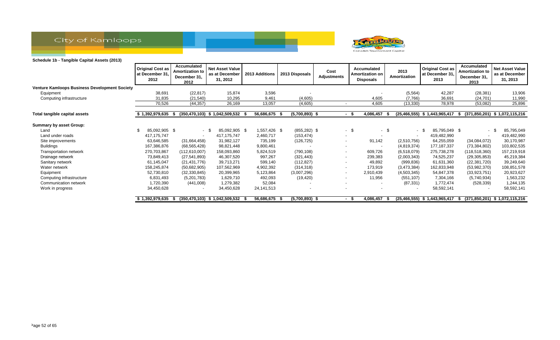



|                                                      | <b>Original Cost as</b><br>at December 31.<br>2012 | Accumulated<br><b>Amortization to</b><br>December 31,<br>2012 | Net Asset Value<br>as at December<br>31, 2012 | 2013 Additions | 2013 Disposals   | Cost<br><b>Adjustments</b> | Accumulated<br><b>Amortization on</b><br>Disposals | 2013<br>Amortization     | <b>Original Cost as</b><br>at December 31,<br>2013 | Accumulated<br><b>Amortization to</b><br>December 31,<br>2013 | <b>Net Asset Value</b><br>as at December<br>31, 2013 |
|------------------------------------------------------|----------------------------------------------------|---------------------------------------------------------------|-----------------------------------------------|----------------|------------------|----------------------------|----------------------------------------------------|--------------------------|----------------------------------------------------|---------------------------------------------------------------|------------------------------------------------------|
| <b>Venture Kamloops Business Development Society</b> |                                                    |                                                               |                                               |                |                  |                            |                                                    |                          |                                                    |                                                               |                                                      |
| Equipment                                            | 38,691                                             | (22, 817)                                                     | 15,874                                        | 3,596          |                  |                            |                                                    | (5, 564)                 | 42,287                                             | (28, 381)                                                     | 13,906                                               |
| Computing infrastructure                             | 31,835                                             | (21, 540)                                                     | 10,295                                        | 9,461          | (4,605)          |                            | 4,605                                              | (7,766)                  | 36,691                                             | (24, 701)                                                     | 11,990                                               |
|                                                      | 70,526                                             | (44, 357)                                                     | 26,169                                        | 13,057         | (4,605)          | $\overline{\phantom{a}}$   | 4,605                                              | (13,330)                 | 78,978                                             | (53,082)                                                      | 25,896                                               |
| Total tangible capital assets                        | 1,392,979,635                                      | -S                                                            | $(350, 470, 103)$ \$ 1,042,509,532            | 56,686,675     | $(5,700,893)$ \$ |                            | 4,086,457<br>- \$                                  |                          | (25,466,555) \$ 1,443,965,417                      |                                                               | (371,850,201) \$ 1,072,115,216                       |
| <b>Summary by asset Group:</b>                       |                                                    |                                                               |                                               |                |                  |                            |                                                    |                          |                                                    |                                                               |                                                      |
| Land                                                 | 85,092,905 \$                                      |                                                               | 85,092,905 \$<br>- \$                         | 1,557,426 \$   | $(855, 282)$ \$  | $\sim$                     | -\$                                                | $-$ \$<br>$\sim$         | 85,795,049 \$                                      |                                                               | 85,795,049<br>- \$                                   |
| Land under roads                                     | 417, 175, 747                                      | $\sim$                                                        | 417, 175, 747                                 | 2,460,717      | (153, 474)       | $\sim$                     |                                                    | $\sim$                   | 419,482,990                                        | $\overline{\phantom{0}}$                                      | 419,482,990                                          |
| Site improvements                                    | 63,646,585                                         | (31,664,458)                                                  | 31,982,127                                    | 735,199        | (126, 725)       | $\sim$                     | 91,142                                             | (2,510,756)              | 64,255,059                                         | (34,084,072)                                                  | 30,170,987                                           |
| Buildings                                            | 167,386,876                                        | (68, 565, 428)                                                | 98,821,448                                    | 9,800,461      |                  | $\overline{\phantom{a}}$   |                                                    | (4,819,374)              | 177, 187, 337                                      | (73, 384, 802)                                                | 103,802,535                                          |
| Transportation network                               | 270,703,867                                        | (112,610,007)                                                 | 158,093,860                                   | 5,824,519      | (790, 108)       | $\sim$                     | 609,726                                            | (6,518,079)              | 275,738,278                                        | (118, 518, 360)                                               | 157,219,918                                          |
| Drainage network                                     | 73,849,413                                         | (27, 541, 893)                                                | 46,307,520                                    | 997,267        | (321, 443)       | $\overline{\phantom{a}}$   | 239,383                                            | (2,003,343)              | 74,525,237                                         | (29, 305, 853)                                                | 45,219,384                                           |
| Sanitary network                                     | 61,145,047                                         | (21, 431, 776)                                                | 39,713,271                                    | 599,140        | (112, 827)       | $\overline{\phantom{a}}$   | 49,892                                             | (999, 836)               | 61,631,360                                         | (22, 381, 720)                                                | 39,249,640                                           |
| Water network                                        | 158,245,874                                        | (50,682,905)                                                  | 107,562,969                                   | 4,902,392      | (314, 318)       | $\overline{\phantom{a}}$   | 173,919                                            | (3,473,384)              | 162,833,948                                        | (53,982,370)                                                  | 108,851,578                                          |
| Equipment                                            | 52,730,810                                         | (32, 330, 845)                                                | 20,399,965                                    | 5,123,864      | (3,007,296)      | $\overline{\phantom{a}}$   | 2,910,439                                          | (4,503,345)              | 54,847,378                                         | (33, 923, 751)                                                | 20,923,627                                           |
| Computing infrastructure                             | 6,831,493                                          | (5,201,783)                                                   | 1,629,710                                     | 492,093        | (19, 420)        | $\overline{\phantom{a}}$   | 11,956                                             | (551, 107)               | 7,304,166                                          | (5,740,934)                                                   | 1,563,232                                            |
| Communication network                                | 1,720,390                                          | (441,008)                                                     | 1,279,382                                     | 52,084         |                  | $\overline{\phantom{a}}$   | $\overline{\phantom{a}}$                           | (87, 331)                | 1,772,474                                          | (528, 339)                                                    | 1,244,135                                            |
| Work in progress                                     | 34,450,628                                         |                                                               | 34,450,628                                    | 24,141,513     |                  |                            |                                                    | $\overline{\phantom{a}}$ | 58,592,141                                         |                                                               | 58,592,141                                           |
|                                                      | \$1,392,979,635                                    | - 56                                                          | $(350, 470, 103)$ \$ 1,042,509,532            | 56,686,675 \$  | $(5,700,893)$ \$ |                            | 4,086,457<br>- \$                                  |                          | (25,466,555) \$ 1,443,965,417                      | ъ.                                                            | (371,850,201) \$ 1,072,115,216                       |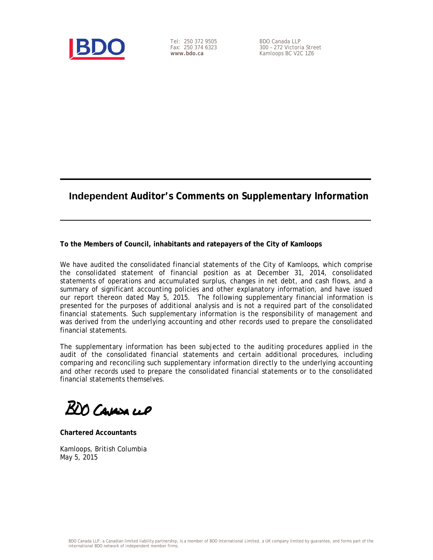

Tel: 250 372 9505 Fax: 250 374 6323 **www.bdo.ca** 

BDO Canada LLP 300 – 272 Victoria Street Kamloops BC V2C 1Z6

# **Independent Auditor's Comments on Supplementary Information**

### **To the Members of Council, inhabitants and ratepayers of the City of Kamloops**

We have audited the consolidated financial statements of the City of Kamloops, which comprise the consolidated statement of financial position as at December 31, 2014, consolidated statements of operations and accumulated surplus, changes in net debt, and cash flows, and a summary of significant accounting policies and other explanatory information, and have issued our report thereon dated May 5, 2015. The following supplementary financial information is presented for the purposes of additional analysis and is not a required part of the consolidated financial statements. Such supplementary information is the responsibility of management and was derived from the underlying accounting and other records used to prepare the consolidated financial statements.

The supplementary information has been subjected to the auditing procedures applied in the audit of the consolidated financial statements and certain additional procedures, including comparing and reconciling such supplementary information directly to the underlying accounting and other records used to prepare the consolidated financial statements or to the consolidated financial statements themselves.

BDO Cavasa ceP

**Chartered Accountants** 

Kamloops, British Columbia May 5, 2015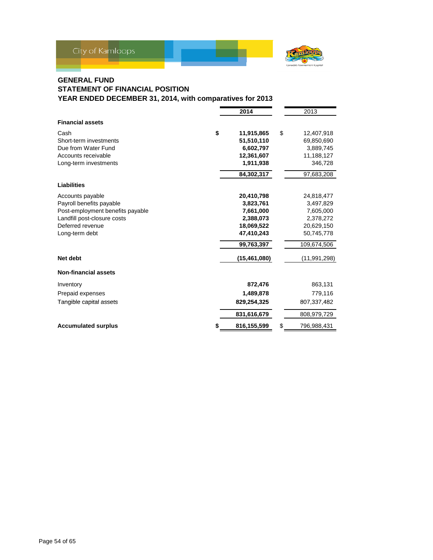

### **GENERAL FUND STATEMENT OF FINANCIAL POSITION YEAR ENDED DECEMBER 31, 2014, with comparatives for 2013**

|                                  | 2014             |    | 2013         |
|----------------------------------|------------------|----|--------------|
| <b>Financial assets</b>          |                  |    |              |
| Cash                             | \$<br>11,915,865 | \$ | 12,407,918   |
| Short-term investments           | 51,510,110       |    | 69,850,690   |
| Due from Water Fund              | 6,602,797        |    | 3,889,745    |
| Accounts receivable              | 12,361,607       |    | 11,188,127   |
| Long-term investments            | 1,911,938        |    | 346,728      |
|                                  | 84,302,317       |    | 97,683,208   |
| Liabilities                      |                  |    |              |
| Accounts payable                 | 20,410,798       |    | 24,818,477   |
| Payroll benefits payable         | 3,823,761        |    | 3,497,829    |
| Post-employment benefits payable | 7,661,000        |    | 7,605,000    |
| Landfill post-closure costs      | 2,388,073        |    | 2,378,272    |
| Deferred revenue                 | 18,069,522       |    | 20,629,150   |
| Long-term debt                   | 47,410,243       |    | 50,745,778   |
|                                  | 99,763,397       |    | 109,674,506  |
| Net debt                         | (15, 461, 080)   |    | (11,991,298) |
| <b>Non-financial assets</b>      |                  |    |              |
| Inventory                        | 872,476          |    | 863,131      |
| Prepaid expenses                 | 1,489,878        |    | 779,116      |
| Tangible capital assets          | 829,254,325      |    | 807,337,482  |
|                                  | 831,616,679      |    | 808,979,729  |
| <b>Accumulated surplus</b>       | 816,155,599      | S  | 796,988,431  |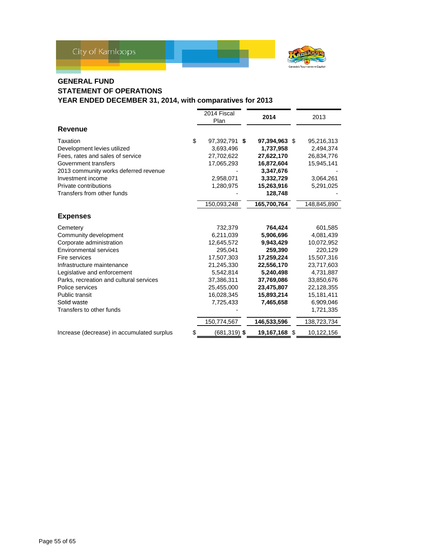

# **GENERAL FUND**

# **STATEMENT OF OPERATIONS**

|                                            | 2014 Fiscal<br>Plan   | 2014          | 2013        |
|--------------------------------------------|-----------------------|---------------|-------------|
| Revenue                                    |                       |               |             |
| Taxation                                   | \$<br>97,392,791 \$   | 97,394,963 \$ | 95,216,313  |
| Development levies utilized                | 3,693,496             | 1,737,958     | 2,494,374   |
| Fees, rates and sales of service           | 27,702,622            | 27,622,170    | 26,834,776  |
| Government transfers                       | 17,065,293            | 16,872,604    | 15,945,141  |
| 2013 community works deferred revenue      |                       | 3,347,676     |             |
| Investment income                          | 2,958,071             | 3,332,729     | 3,064,261   |
| Private contributions                      | 1,280,975             | 15,263,916    | 5,291,025   |
| Transfers from other funds                 |                       | 128,748       |             |
|                                            | 150,093,248           | 165,700,764   | 148,845,890 |
| <b>Expenses</b>                            |                       |               |             |
| Cemetery                                   | 732,379               | 764,424       | 601,585     |
| Community development                      | 6,211,039             | 5,906,696     | 4,081,439   |
| Corporate administration                   | 12,645,572            | 9,943,429     | 10,072,952  |
| Environmental services                     | 295,041               | 259,390       | 220,129     |
| Fire services                              | 17,507,303            | 17,259,224    | 15,507,316  |
| Infrastructure maintenance                 | 21,245,330            | 22,556,170    | 23,717,603  |
| Legislative and enforcement                | 5,542,814             | 5,240,498     | 4,731,887   |
| Parks, recreation and cultural services    | 37,386,311            | 37,769,086    | 33,850,676  |
| Police services                            | 25,455,000            | 23,475,807    | 22,128,355  |
| <b>Public transit</b>                      | 16,028,345            | 15,893,214    | 15,181,411  |
| Solid waste                                | 7,725,433             | 7,465,658     | 6,909,046   |
| Transfers to other funds                   |                       |               | 1,721,335   |
|                                            | 150,774,567           | 146,533,596   | 138,723,734 |
| Increase (decrease) in accumulated surplus | \$<br>$(681, 319)$ \$ | 19,167,168 \$ | 10,122,156  |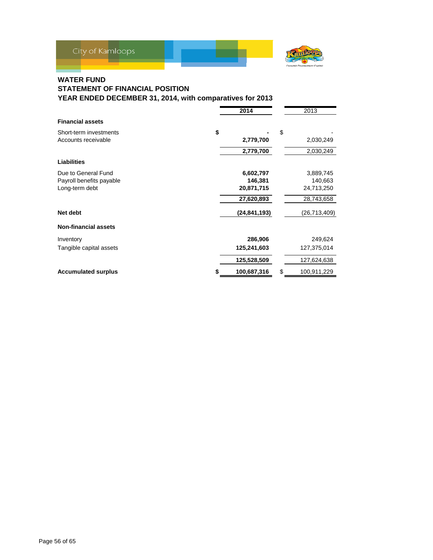

### **WATER FUND**

# **STATEMENT OF FINANCIAL POSITION**

|                             | 2014           | 2013              |
|-----------------------------|----------------|-------------------|
| <b>Financial assets</b>     |                |                   |
| Short-term investments      | \$             | \$                |
| Accounts receivable         | 2,779,700      | 2,030,249         |
|                             | 2,779,700      | 2,030,249         |
| <b>Liabilities</b>          |                |                   |
| Due to General Fund         | 6,602,797      | 3,889,745         |
| Payroll benefits payable    | 146,381        | 140,663           |
| Long-term debt              | 20,871,715     | 24,713,250        |
|                             | 27,620,893     | 28,743,658        |
| Net debt                    | (24, 841, 193) | (26, 713, 409)    |
| <b>Non-financial assets</b> |                |                   |
| Inventory                   | 286,906        | 249,624           |
| Tangible capital assets     | 125,241,603    | 127,375,014       |
|                             | 125,528,509    | 127,624,638       |
| <b>Accumulated surplus</b>  | 100,687,316    | \$<br>100,911,229 |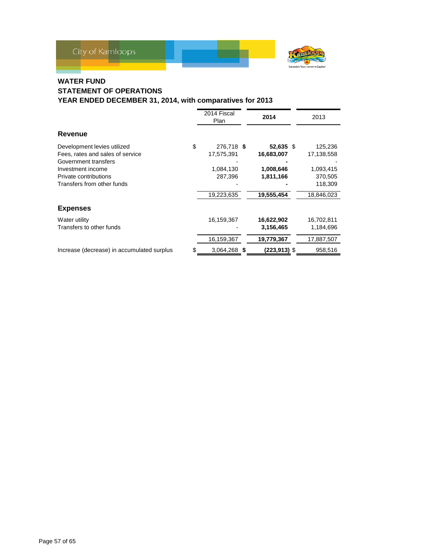

# **WATER FUND**

### **STATEMENT OF OPERATIONS YEAR ENDED DECEMBER 31, 2014, with comparatives for 2013**

|                                                                                         |    | 2014 Fiscal<br>Plan      | 2014                    | 2013                            |  |
|-----------------------------------------------------------------------------------------|----|--------------------------|-------------------------|---------------------------------|--|
| <b>Revenue</b>                                                                          |    |                          |                         |                                 |  |
| Development levies utilized<br>Fees, rates and sales of service<br>Government transfers | \$ | 276,718 \$<br>17,575,391 | 52,635 \$<br>16,683,007 | 125,236<br>17,138,558           |  |
| Investment income<br>Private contributions<br>Transfers from other funds                |    | 1,084,130<br>287,396     | 1,008,646<br>1,811,166  | 1,093,415<br>370,505<br>118,309 |  |
|                                                                                         |    | 19,223,635               | 19,555,454              | 18,846,023                      |  |
| <b>Expenses</b>                                                                         |    |                          |                         |                                 |  |
| Water utility<br>Transfers to other funds                                               |    | 16,159,367               | 16,622,902<br>3,156,465 | 16,702,811<br>1,184,696         |  |
|                                                                                         |    | 16,159,367               | 19,779,367              | 17,887,507                      |  |
| Increase (decrease) in accumulated surplus                                              | S  | 3,064,268 \$             | (223,913) \$            | 958,516                         |  |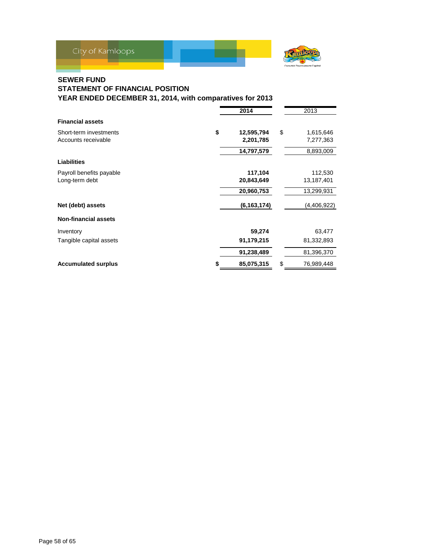

### **SEWER FUND**

# **STATEMENT OF FINANCIAL POSITION**

|                             | 2014             | 2013             |
|-----------------------------|------------------|------------------|
| <b>Financial assets</b>     |                  |                  |
| Short-term investments      | \$<br>12,595,794 | \$<br>1,615,646  |
| Accounts receivable         | 2,201,785        | 7,277,363        |
|                             | 14,797,579       | 8,893,009        |
| <b>Liabilities</b>          |                  |                  |
| Payroll benefits payable    | 117,104          | 112,530          |
| Long-term debt              | 20,843,649       | 13,187,401       |
|                             | 20,960,753       | 13,299,931       |
| Net (debt) assets           | (6, 163, 174)    | (4,406,922)      |
| <b>Non-financial assets</b> |                  |                  |
| Inventory                   | 59,274           | 63,477           |
| Tangible capital assets     | 91,179,215       | 81,332,893       |
|                             | 91,238,489       | 81,396,370       |
| <b>Accumulated surplus</b>  | 85,075,315       | \$<br>76,989,448 |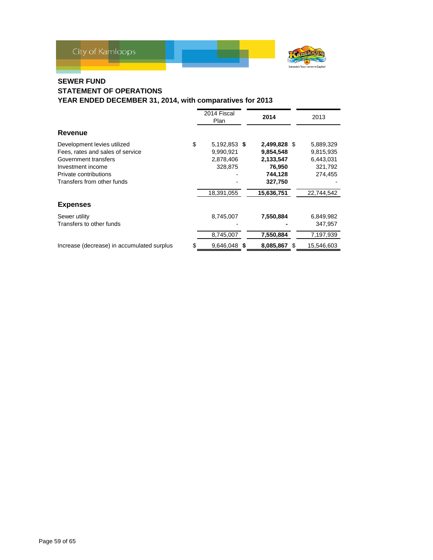

## **SEWER FUND**

### **STATEMENT OF OPERATIONS YEAR ENDED DECEMBER 31, 2014, with comparatives for 2013**

|                                            |    | 2014 Fiscal<br>Plan | 2014         | 2013       |
|--------------------------------------------|----|---------------------|--------------|------------|
| Revenue                                    |    |                     |              |            |
| Development levies utilized                | \$ | 5,192,853 \$        | 2,499,828 \$ | 5,889,329  |
| Fees, rates and sales of service           |    | 9,990,921           | 9,854,548    | 9,815,935  |
| Government transfers                       |    | 2,878,406           | 2,133,547    | 6,443,031  |
| Investment income                          |    | 328,875             | 76,950       | 321,792    |
| Private contributions                      |    |                     | 744,128      | 274,455    |
| Transfers from other funds                 |    |                     | 327,750      |            |
|                                            |    | 18,391,055          | 15,636,751   | 22,744,542 |
| <b>Expenses</b>                            |    |                     |              |            |
| Sewer utility                              |    | 8,745,007           | 7,550,884    | 6,849,982  |
| Transfers to other funds                   |    |                     |              | 347.957    |
|                                            |    | 8,745,007           | 7,550,884    | 7,197,939  |
| Increase (decrease) in accumulated surplus | S  | 9,646,048 \$        | 8,085,867 \$ | 15,546,603 |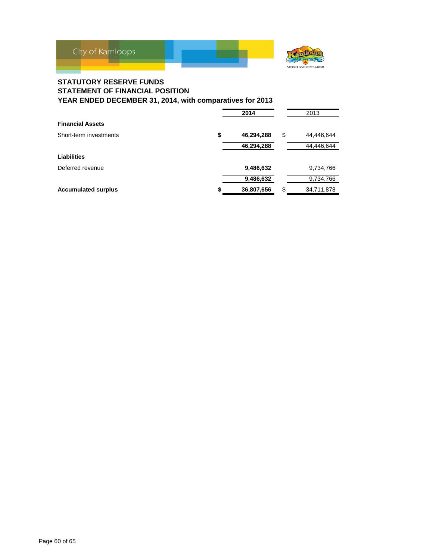

### **STATUTORY RESERVE FUNDS STATEMENT OF FINANCIAL POSITION YEAR ENDED DECEMBER 31, 2014, with comparatives for 2013**

|                            | 2014             | 2013             |
|----------------------------|------------------|------------------|
| <b>Financial Assets</b>    |                  |                  |
| Short-term investments     | \$<br>46,294,288 | \$<br>44,446,644 |
|                            | 46,294,288       | 44,446,644       |
| Liabilities                |                  |                  |
| Deferred revenue           | 9,486,632        | 9,734,766        |
|                            | 9,486,632        | 9,734,766        |
| <b>Accumulated surplus</b> | \$<br>36,807,656 | \$<br>34,711,878 |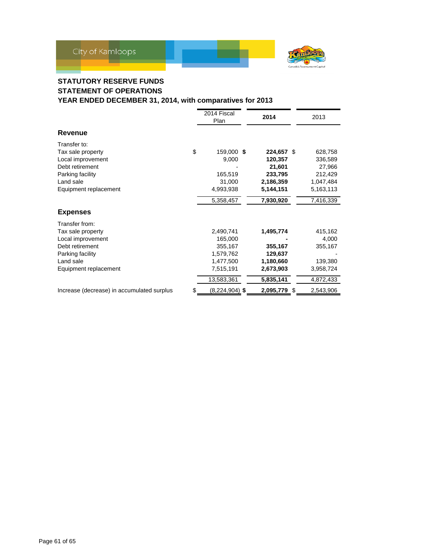

# **STATUTORY RESERVE FUNDS STATEMENT OF OPERATIONS**

|                                                                                                                                       | 2014 Fiscal<br>Plan                                                                  | 2014                                                                              | 2013                                                                           |
|---------------------------------------------------------------------------------------------------------------------------------------|--------------------------------------------------------------------------------------|-----------------------------------------------------------------------------------|--------------------------------------------------------------------------------|
| Revenue                                                                                                                               |                                                                                      |                                                                                   |                                                                                |
| Transfer to:<br>Tax sale property<br>Local improvement<br>Debt retirement<br>Parking facility<br>Land sale<br>Equipment replacement   | \$<br>159,000 \$<br>9,000<br>165,519<br>31,000<br>4,993,938<br>5,358,457             | 224,657 \$<br>120,357<br>21,601<br>233,795<br>2,186,359<br>5,144,151<br>7,930,920 | 628,758<br>336,589<br>27,966<br>212,429<br>1,047,484<br>5,163,113<br>7,416,339 |
| <b>Expenses</b>                                                                                                                       |                                                                                      |                                                                                   |                                                                                |
| Transfer from:<br>Tax sale property<br>Local improvement<br>Debt retirement<br>Parking facility<br>Land sale<br>Equipment replacement | 2,490,741<br>165,000<br>355,167<br>1,579,762<br>1,477,500<br>7,515,191<br>13,583,361 | 1,495,774<br>355,167<br>129,637<br>1,180,660<br>2,673,903<br>5,835,141            | 415,162<br>4,000<br>355,167<br>139,380<br>3,958,724<br>4,872,433               |
| Increase (decrease) in accumulated surplus                                                                                            | \$<br>(8,224,904) \$                                                                 | 2,095,779 \$                                                                      | 2,543,906                                                                      |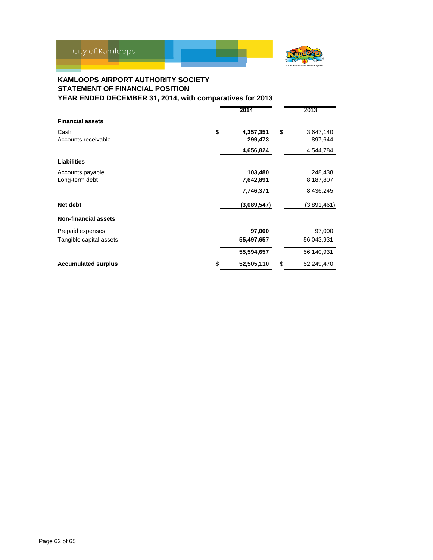

### **KAMLOOPS AIRPORT AUTHORITY SOCIETY STATEMENT OF FINANCIAL POSITION YEAR ENDED DECEMBER 31, 2014, with comparatives for 2013**

**2014** 2013 **Financial assets** Cash **\$ 4,357,351** \$ 3,647,140 Accounts receivable 299,473 897,644  **4,656,824** 4,544,784 **Liabilities** Accounts payable **103,480** 248,438<br>
Long-term debt **103,480** 248,438<br> **26,187,807** 26,187,807 Long-term debt  **7,746,371** 8,436,245 **Net debt (3,089,547)** (3,891,461) **Non-financial assets** Prepaid expenses **97,000** 97,000 Tangible capital assets **55,497,657** 56,043,931  **55,594,657** 56,140,931 **Accumulated surplus 120 a. 32,505,110**  52,505,110 **\$** 52,249,470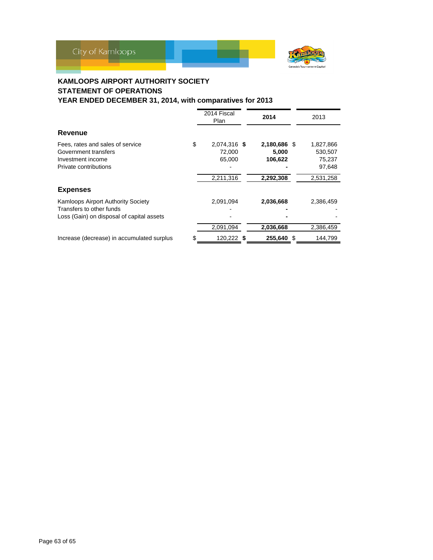

# **KAMLOOPS AIRPORT AUTHORITY SOCIETY STATEMENT OF OPERATIONS**

|                                                                                                             |    | 2014 Fiscal<br>Plan              | 2014 |                                  | 2013                                     |
|-------------------------------------------------------------------------------------------------------------|----|----------------------------------|------|----------------------------------|------------------------------------------|
| Revenue                                                                                                     |    |                                  |      |                                  |                                          |
| Fees, rates and sales of service<br>Government transfers<br>Investment income<br>Private contributions      | \$ | 2,074,316 \$<br>72,000<br>65,000 |      | 2,180,686 \$<br>5,000<br>106,622 | 1,827,866<br>530,507<br>75,237<br>97,648 |
|                                                                                                             |    | 2,211,316                        |      | 2,292,308                        | 2,531,258                                |
| <b>Expenses</b>                                                                                             |    |                                  |      |                                  |                                          |
| Kamloops Airport Authority Society<br>Transfers to other funds<br>Loss (Gain) on disposal of capital assets |    | 2,091,094                        |      | 2,036,668                        | 2,386,459                                |
|                                                                                                             |    | 2,091,094                        |      | 2,036,668                        | 2,386,459                                |
| Increase (decrease) in accumulated surplus                                                                  | S  | 120,222 \$                       |      | 255,640 \$                       | 144,799                                  |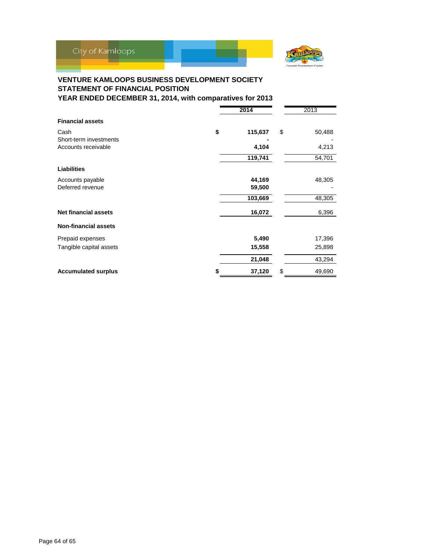

# **VENTURE KAMLOOPS BUSINESS DEVELOPMENT SOCIETY STATEMENT OF FINANCIAL POSITION**

|                             | 2014 |         |    | 2013   |
|-----------------------------|------|---------|----|--------|
| <b>Financial assets</b>     |      |         |    |        |
| Cash                        | \$   | 115,637 | \$ | 50,488 |
| Short-term investments      |      |         |    |        |
| Accounts receivable         |      | 4,104   |    | 4,213  |
|                             |      | 119,741 |    | 54,701 |
| <b>Liabilities</b>          |      |         |    |        |
| Accounts payable            |      | 44,169  |    | 48,305 |
| Deferred revenue            |      | 59,500  |    |        |
|                             |      | 103,669 |    | 48,305 |
| <b>Net financial assets</b> |      | 16,072  |    | 6,396  |
| <b>Non-financial assets</b> |      |         |    |        |
| Prepaid expenses            |      | 5,490   |    | 17,396 |
| Tangible capital assets     |      | 15,558  |    | 25,898 |
|                             |      | 21,048  |    | 43,294 |
| <b>Accumulated surplus</b>  |      | 37,120  | \$ | 49,690 |